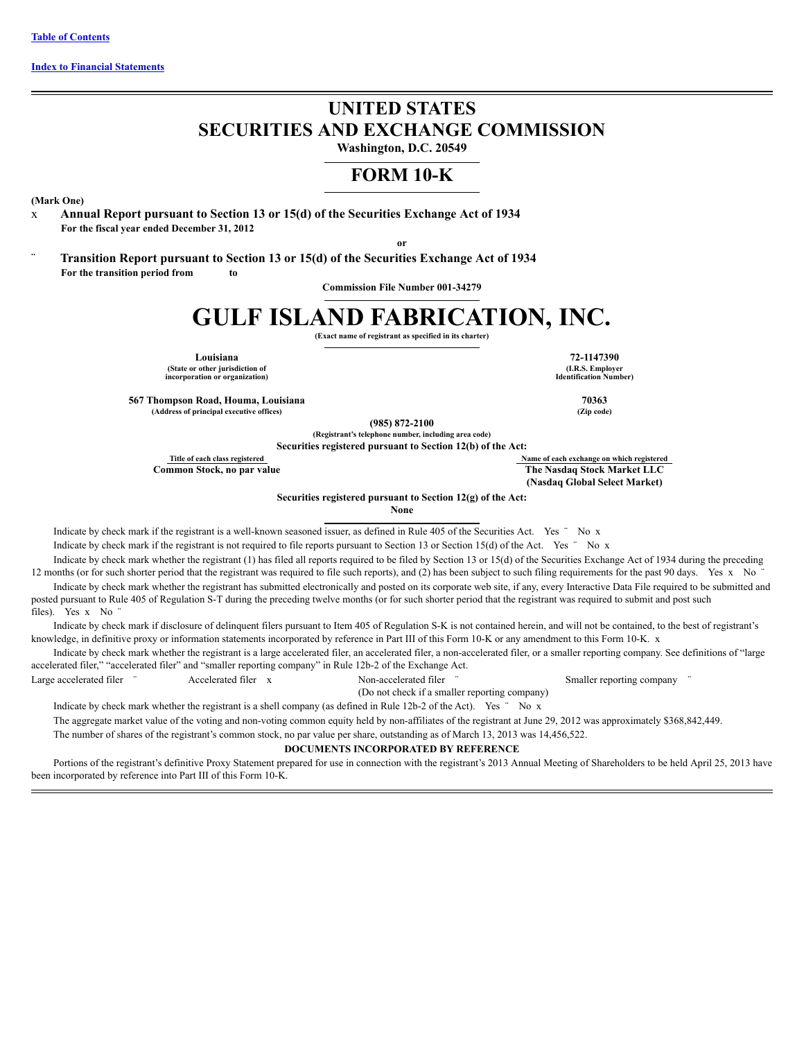# **UNITED STATES SECURITIES AND EXCHANGE COMMISSION**

**Washington, D.C. 20549**

# **FORM 10-K**

**(Mark One)**

x **Annual Report pursuant to Section 13 or 15(d) of the Securities Exchange Act of 1934 For the fiscal year ended December 31, 2012**

**or**

¨ **Transition Report pursuant to Section 13 or 15(d) of the Securities Exchange Act of 1934 For the transition period from to** 

**Commission File Number 001-34279**

# **GULF ISLAND FABRICATION, INC.**

**(Exact name of registrant as specified in its charter)**

**Louisiana 72-1147390 (State or other jurisdiction of incorporation or organization)**

**567 Thompson Road, Houma, Louisiana 70363 (Address of principal executive offices) (Zip code)**

**(985) 872-2100**

**(Registrant's telephone number, including area code)**

**Securities registered pursuant to Section 12(b) of the Act:**

**Title of each class registered Name of each exchange on which registered Common Stock, no par value The Nasdaq Stock Market LLC (Nasdaq Global Select Market)**

**(I.R.S. Employer Identification Number)**

**Securities registered pursuant to Section 12(g) of the Act:**

**None**

Indicate by check mark if the registrant is a well-known seasoned issuer, as defined in Rule 405 of the Securities Act. Yes " No x

Indicate by check mark if the registrant is not required to file reports pursuant to Section 13 or Section 15(d) of the Act. Yes " No x

Indicate by check mark whether the registrant (1) has filed all reports required to be filed by Section 13 or 15(d) of the Securities Exchange Act of 1934 during the preceding 12 months (or for such shorter period that the registrant was required to file such reports), and (2) has been subject to such filing requirements for the past 90 days. Yes x No Indicate by check mark whether the registrant has submitted electronically and posted on its corporate web site, if any, every Interactive Data File required to be submitted and

posted pursuant to Rule 405 of Regulation S-T during the preceding twelve months (or for such shorter period that the registrant was required to submit and post such files). Yes x No

Indicate by check mark if disclosure of delinquent filers pursuant to Item 405 of Regulation S-K is not contained herein, and will not be contained, to the best of registrant's knowledge, in definitive proxy or information statements incorporated by reference in Part III of this Form 10-K or any amendment to this Form 10-K. x

Indicate by check mark whether the registrant is a large accelerated filer, an accelerated filer, a non-accelerated filer, or a smaller reporting company. See definitions of "large accelerated filer," "accelerated filer" and "smaller reporting company" in Rule 12b-2 of the Exchange Act.

Large accelerated filer <sup>"</sup> Accelerated filer x Non-accelerated filer <sup>"</sup> Smaller reporting company

(Do not check if a smaller reporting company)

Indicate by check mark whether the registrant is a shell company (as defined in Rule 12b-2 of the Act). Yes " No x

The aggregate market value of the voting and non-voting common equity held by non-affiliates of the registrant at June 29, 2012 was approximately \$368,842,449.

The number of shares of the registrant's common stock, no par value per share, outstanding as of March 13, 2013 was 14,456,522.

**DOCUMENTS INCORPORATED BY REFERENCE**

Portions of the registrant's definitive Proxy Statement prepared for use in connection with the registrant's 2013 Annual Meeting of Shareholders to be held April 25, 2013 have been incorporated by reference into Part III of this Form 10-K.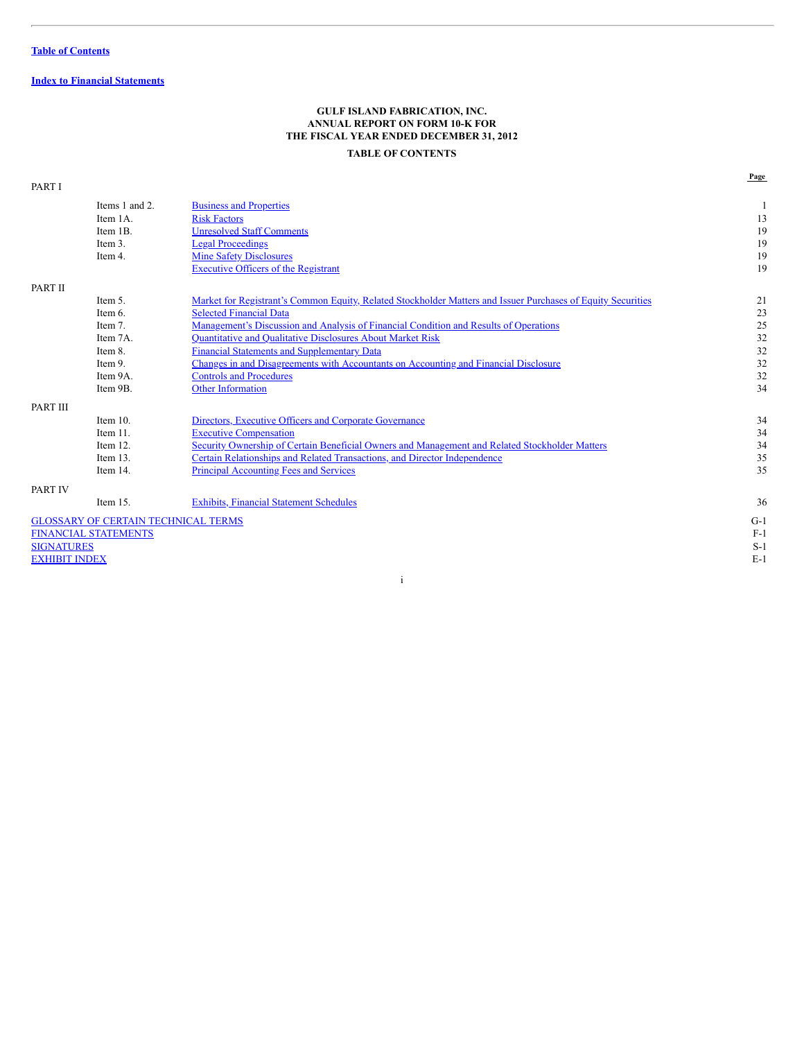### **Table of [Contents](#page-1-0)**

### **Index to Financial [Statements](#page-37-0)**

### **GULF ISLAND FABRICATION, INC. ANNUAL REPORT ON FORM 10-K FOR THE FISCAL YEAR ENDED DECEMBER 31, 2012**

### **TABLE OF CONTENTS**

<span id="page-1-0"></span>PART I

|                      | Items 1 and 2.                             | <b>Business and Properties</b>                                                                               |       |
|----------------------|--------------------------------------------|--------------------------------------------------------------------------------------------------------------|-------|
|                      | Item 1A.                                   | <b>Risk Factors</b>                                                                                          | 13    |
|                      | Item 1B.                                   | <b>Unresolved Staff Comments</b>                                                                             | 19    |
|                      | Item 3.                                    | <b>Legal Proceedings</b>                                                                                     | 19    |
|                      | Item 4.                                    | <b>Mine Safety Disclosures</b>                                                                               | 19    |
|                      |                                            | <b>Executive Officers of the Registrant</b>                                                                  | 19    |
| PART II              |                                            |                                                                                                              |       |
|                      | Item 5.                                    | Market for Registrant's Common Equity, Related Stockholder Matters and Issuer Purchases of Equity Securities | 21    |
|                      | Item 6.                                    | <b>Selected Financial Data</b>                                                                               | 23    |
|                      | Item 7.                                    | Management's Discussion and Analysis of Financial Condition and Results of Operations                        | 25    |
|                      | Item 7A.                                   | <b>Quantitative and Qualitative Disclosures About Market Risk</b>                                            | 32    |
|                      | Item 8.                                    | <b>Financial Statements and Supplementary Data</b>                                                           | 32    |
|                      | Item 9.                                    | Changes in and Disagreements with Accountants on Accounting and Financial Disclosure                         | 32    |
|                      | Item 9A.                                   | <b>Controls and Procedures</b>                                                                               | 32    |
|                      | Item 9B.                                   | Other Information                                                                                            | 34    |
| <b>PART III</b>      |                                            |                                                                                                              |       |
|                      | Item $10$ .                                | Directors, Executive Officers and Corporate Governance                                                       | 34    |
|                      | Item 11.                                   | <b>Executive Compensation</b>                                                                                | 34    |
|                      | Item 12.                                   | Security Ownership of Certain Beneficial Owners and Management and Related Stockholder Matters               | 34    |
|                      | Item 13.                                   | Certain Relationships and Related Transactions, and Director Independence                                    | 35    |
|                      | Item 14.                                   | <b>Principal Accounting Fees and Services</b>                                                                | 35    |
| <b>PART IV</b>       |                                            |                                                                                                              |       |
|                      | Item 15.                                   | <b>Exhibits, Financial Statement Schedules</b>                                                               | 36    |
|                      | <b>GLOSSARY OF CERTAIN TECHNICAL TERMS</b> |                                                                                                              | $G-1$ |
|                      | <b>FINANCIAL STATEMENTS</b>                |                                                                                                              | $F-1$ |
| <b>SIGNATURES</b>    |                                            |                                                                                                              | $S-1$ |
| <b>EXHIBIT INDEX</b> |                                            |                                                                                                              | $E-1$ |
|                      |                                            | $\mathbf{1}$                                                                                                 |       |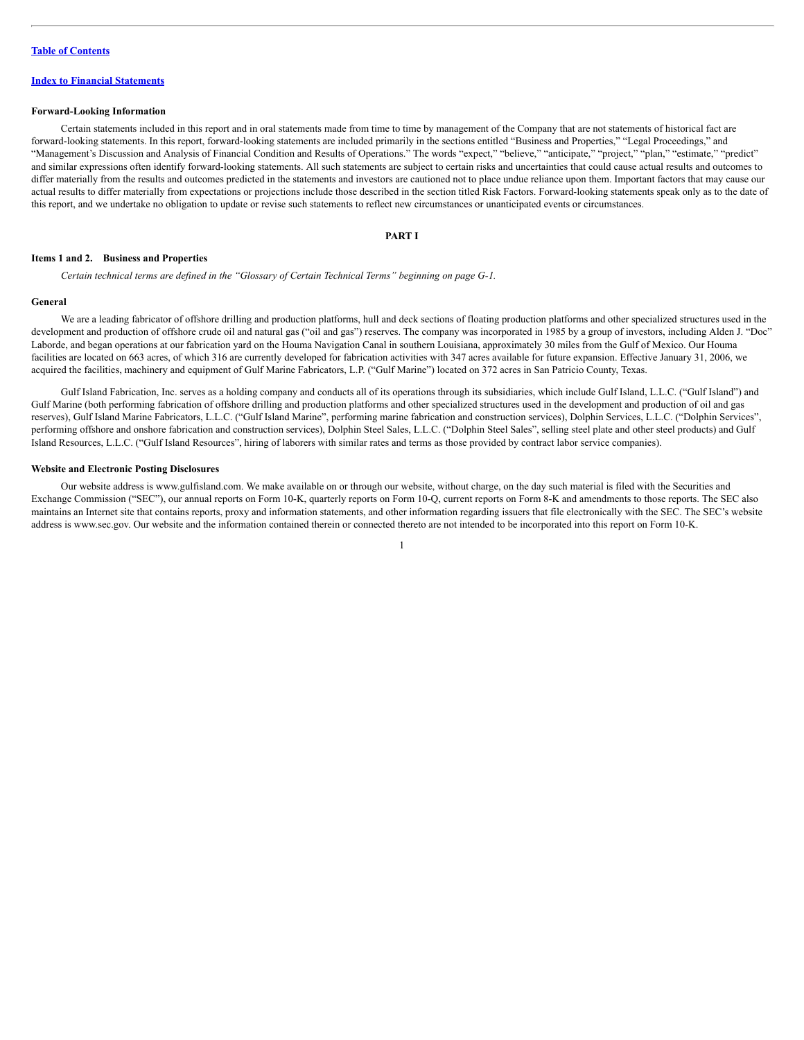#### **Forward-Looking Information**

Certain statements included in this report and in oral statements made from time to time by management of the Company that are not statements of historical fact are forward-looking statements. In this report, forward-looking statements are included primarily in the sections entitled "Business and Properties," "Legal Proceedings," and "Management's Discussion and Analysis of Financial Condition and Results of Operations." The words "expect," "believe," "anticipate," "project," "plan," "estimate," "predict" and similar expressions often identify forward-looking statements. All such statements are subject to certain risks and uncertainties that could cause actual results and outcomes to differ materially from the results and outcomes predicted in the statements and investors are cautioned not to place undue reliance upon them. Important factors that may cause our actual results to differ materially from expectations or projections include those described in the section titled Risk Factors. Forward-looking statements speak only as to the date of this report, and we undertake no obligation to update or revise such statements to reflect new circumstances or unanticipated events or circumstances.

### **PART I**

#### <span id="page-2-0"></span>**Items 1 and 2. Business and Properties**

*Certain technical terms are defined in the "Glossary of Certain Technical Terms" beginning on page G-1.*

#### **General**

We are a leading fabricator of offshore drilling and production platforms, hull and deck sections of floating production platforms and other specialized structures used in the development and production of offshore crude oil and natural gas ("oil and gas") reserves. The company was incorporated in 1985 by a group of investors, including Alden J. "Doc" Laborde, and began operations at our fabrication yard on the Houma Navigation Canal in southern Louisiana, approximately 30 miles from the Gulf of Mexico. Our Houma facilities are located on 663 acres, of which 316 are currently developed for fabrication activities with 347 acres available for future expansion. Effective January 31, 2006, we acquired the facilities, machinery and equipment of Gulf Marine Fabricators, L.P. ("Gulf Marine") located on 372 acres in San Patricio County, Texas.

Gulf Island Fabrication, Inc. serves as a holding company and conducts all of its operations through its subsidiaries, which include Gulf Island, L.L.C. ("Gulf Island") and Gulf Marine (both performing fabrication of offshore drilling and production platforms and other specialized structures used in the development and production of oil and gas reserves), Gulf Island Marine Fabricators, L.L.C. ("Gulf Island Marine", performing marine fabrication and construction services), Dolphin Services, L.L.C. ("Dolphin Services", performing offshore and onshore fabrication and construction services), Dolphin Steel Sales, L.L.C. ("Dolphin Steel Sales", selling steel plate and other steel products) and Gulf Island Resources, L.L.C. ("Gulf Island Resources", hiring of laborers with similar rates and terms as those provided by contract labor service companies).

### **Website and Electronic Posting Disclosures**

Our website address is www.gulfisland.com. We make available on or through our website, without charge, on the day such material is filed with the Securities and Exchange Commission ("SEC"), our annual reports on Form 10-K, quarterly reports on Form 10-Q, current reports on Form 8-K and amendments to those reports. The SEC also maintains an Internet site that contains reports, proxy and information statements, and other information regarding issuers that file electronically with the SEC. The SEC's website address is www.sec.gov. Our website and the information contained therein or connected thereto are not intended to be incorporated into this report on Form 10-K.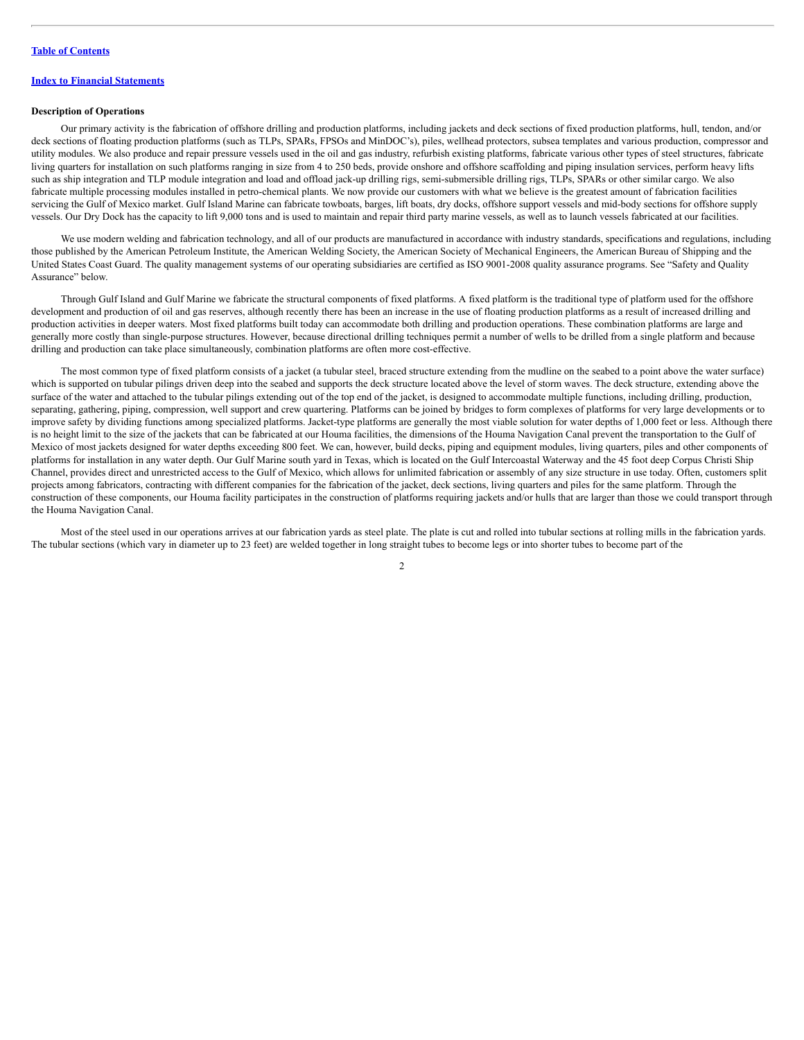### **Description of Operations**

Our primary activity is the fabrication of offshore drilling and production platforms, including jackets and deck sections of fixed production platforms, hull, tendon, and/or deck sections of floating production platforms (such as TLPs, SPARs, FPSOs and MinDOC's), piles, wellhead protectors, subsea templates and various production, compressor and utility modules. We also produce and repair pressure vessels used in the oil and gas industry, refurbish existing platforms, fabricate various other types of steel structures, fabricate living quarters for installation on such platforms ranging in size from 4 to 250 beds, provide onshore and offshore scaffolding and piping insulation services, perform heavy lifts such as ship integration and TLP module integration and load and offload jack-up drilling rigs, semi-submersible drilling rigs, TLPs, SPARs or other similar cargo. We also fabricate multiple processing modules installed in petro-chemical plants. We now provide our customers with what we believe is the greatest amount of fabrication facilities servicing the Gulf of Mexico market. Gulf Island Marine can fabricate towboats, barges, lift boats, dry docks, offshore support vessels and mid-body sections for offshore supply vessels. Our Dry Dock has the capacity to lift 9,000 tons and is used to maintain and repair third party marine vessels, as well as to launch vessels fabricated at our facilities.

We use modern welding and fabrication technology, and all of our products are manufactured in accordance with industry standards, specifications and regulations, including those published by the American Petroleum Institute, the American Welding Society, the American Society of Mechanical Engineers, the American Bureau of Shipping and the United States Coast Guard. The quality management systems of our operating subsidiaries are certified as ISO 9001-2008 quality assurance programs. See "Safety and Quality Assurance" below.

Through Gulf Island and Gulf Marine we fabricate the structural components of fixed platforms. A fixed platform is the traditional type of platform used for the offshore development and production of oil and gas reserves, although recently there has been an increase in the use of floating production platforms as a result of increased drilling and production activities in deeper waters. Most fixed platforms built today can accommodate both drilling and production operations. These combination platforms are large and generally more costly than single-purpose structures. However, because directional drilling techniques permit a number of wells to be drilled from a single platform and because drilling and production can take place simultaneously, combination platforms are often more cost-effective.

The most common type of fixed platform consists of a jacket (a tubular steel, braced structure extending from the mudline on the seabed to a point above the water surface) which is supported on tubular pilings driven deep into the seabed and supports the deck structure located above the level of storm waves. The deck structure, extending above the surface of the water and attached to the tubular pilings extending out of the top end of the jacket, is designed to accommodate multiple functions, including drilling, production, separating, gathering, piping, compression, well support and crew quartering. Platforms can be joined by bridges to form complexes of platforms for very large developments or to improve safety by dividing functions among specialized platforms. Jacket-type platforms are generally the most viable solution for water depths of 1,000 feet or less. Although there is no height limit to the size of the jackets that can be fabricated at our Houma facilities, the dimensions of the Houma Navigation Canal prevent the transportation to the Gulf of Mexico of most jackets designed for water depths exceeding 800 feet. We can, however, build decks, piping and equipment modules, living quarters, piles and other components of platforms for installation in any water depth. Our Gulf Marine south yard in Texas, which is located on the Gulf Intercoastal Waterway and the 45 foot deep Corpus Christi Ship Channel, provides direct and unrestricted access to the Gulf of Mexico, which allows for unlimited fabrication or assembly of any size structure in use today. Often, customers split projects among fabricators, contracting with different companies for the fabrication of the jacket, deck sections, living quarters and piles for the same platform. Through the construction of these components, our Houma facility participates in the construction of platforms requiring jackets and/or hulls that are larger than those we could transport through the Houma Navigation Canal.

Most of the steel used in our operations arrives at our fabrication yards as steel plate. The plate is cut and rolled into tubular sections at rolling mills in the fabrication yards. The tubular sections (which vary in diameter up to 23 feet) are welded together in long straight tubes to become legs or into shorter tubes to become part of the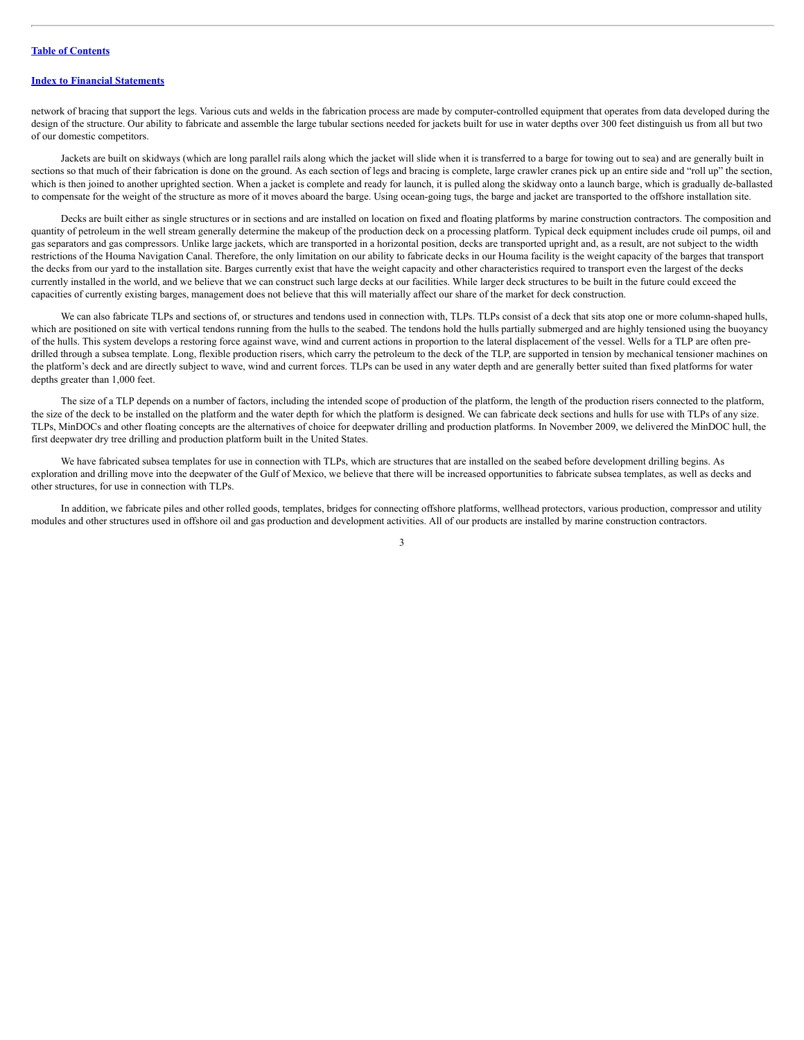network of bracing that support the legs. Various cuts and welds in the fabrication process are made by computer-controlled equipment that operates from data developed during the design of the structure. Our ability to fabricate and assemble the large tubular sections needed for jackets built for use in water depths over 300 feet distinguish us from all but two of our domestic competitors.

Jackets are built on skidways (which are long parallel rails along which the jacket will slide when it is transferred to a barge for towing out to sea) and are generally built in sections so that much of their fabrication is done on the ground. As each section of legs and bracing is complete, large crawler cranes pick up an entire side and "roll up" the section, which is then joined to another uprighted section. When a jacket is complete and ready for launch, it is pulled along the skidway onto a launch barge, which is gradually de-ballasted to compensate for the weight of the structure as more of it moves aboard the barge. Using ocean-going tugs, the barge and jacket are transported to the offshore installation site.

Decks are built either as single structures or in sections and are installed on location on fixed and floating platforms by marine construction contractors. The composition and quantity of petroleum in the well stream generally determine the makeup of the production deck on a processing platform. Typical deck equipment includes crude oil pumps, oil and gas separators and gas compressors. Unlike large jackets, which are transported in a horizontal position, decks are transported upright and, as a result, are not subject to the width restrictions of the Houma Navigation Canal. Therefore, the only limitation on our ability to fabricate decks in our Houma facility is the weight capacity of the barges that transport the decks from our yard to the installation site. Barges currently exist that have the weight capacity and other characteristics required to transport even the largest of the decks currently installed in the world, and we believe that we can construct such large decks at our facilities. While larger deck structures to be built in the future could exceed the capacities of currently existing barges, management does not believe that this will materially affect our share of the market for deck construction.

We can also fabricate TLPs and sections of, or structures and tendons used in connection with, TLPs. TLPs consist of a deck that sits atop one or more column-shaped hulls, which are positioned on site with vertical tendons running from the hulls to the seabed. The tendons hold the hulls partially submerged and are highly tensioned using the buoyancy of the hulls. This system develops a restoring force against wave, wind and current actions in proportion to the lateral displacement of the vessel. Wells for a TLP are often predrilled through a subsea template. Long, flexible production risers, which carry the petroleum to the deck of the TLP, are supported in tension by mechanical tensioner machines on the platform's deck and are directly subject to wave, wind and current forces. TLPs can be used in any water depth and are generally better suited than fixed platforms for water depths greater than 1,000 feet.

The size of a TLP depends on a number of factors, including the intended scope of production of the platform, the length of the production risers connected to the platform, the size of the deck to be installed on the platform and the water depth for which the platform is designed. We can fabricate deck sections and hulls for use with TLPs of any size. TLPs, MinDOCs and other floating concepts are the alternatives of choice for deepwater drilling and production platforms. In November 2009, we delivered the MinDOC hull, the first deepwater dry tree drilling and production platform built in the United States.

We have fabricated subsea templates for use in connection with TLPs, which are structures that are installed on the seabed before development drilling begins. As exploration and drilling move into the deepwater of the Gulf of Mexico, we believe that there will be increased opportunities to fabricate subsea templates, as well as decks and other structures, for use in connection with TLPs.

In addition, we fabricate piles and other rolled goods, templates, bridges for connecting offshore platforms, wellhead protectors, various production, compressor and utility modules and other structures used in offshore oil and gas production and development activities. All of our products are installed by marine construction contractors.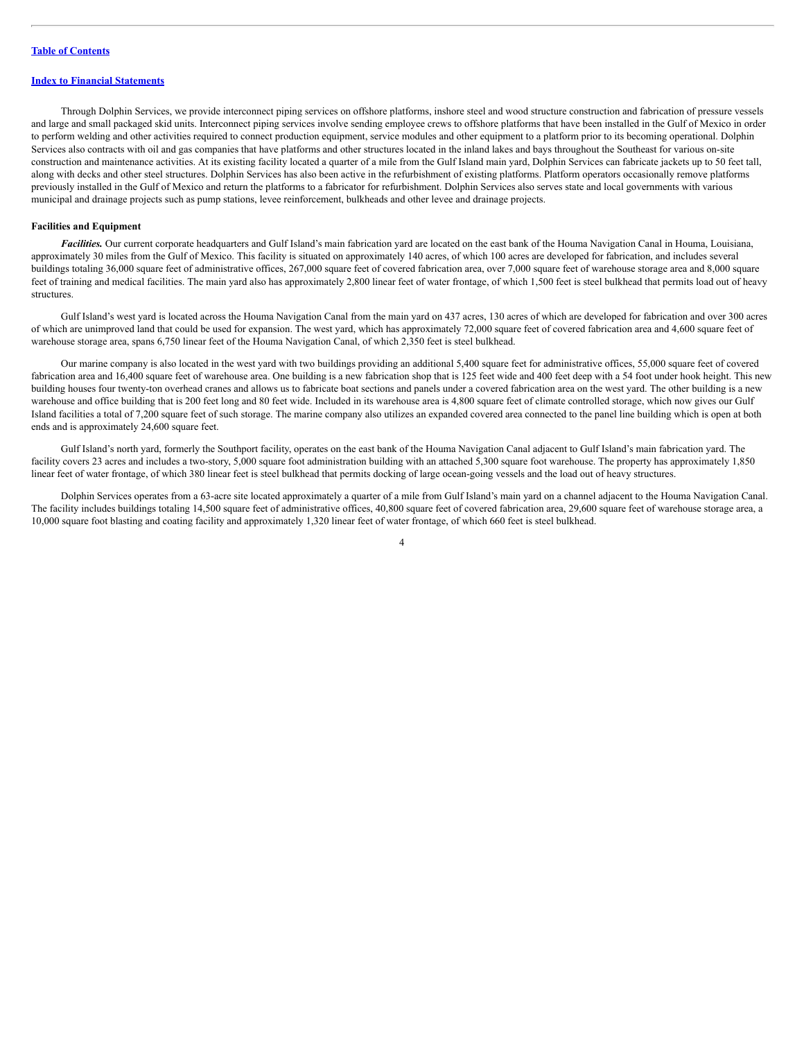Through Dolphin Services, we provide interconnect piping services on offshore platforms, inshore steel and wood structure construction and fabrication of pressure vessels and large and small packaged skid units. Interconnect piping services involve sending employee crews to offshore platforms that have been installed in the Gulf of Mexico in order to perform welding and other activities required to connect production equipment, service modules and other equipment to a platform prior to its becoming operational. Dolphin Services also contracts with oil and gas companies that have platforms and other structures located in the inland lakes and bays throughout the Southeast for various on-site construction and maintenance activities. At its existing facility located a quarter of a mile from the Gulf Island main yard, Dolphin Services can fabricate jackets up to 50 feet tall, along with decks and other steel structures. Dolphin Services has also been active in the refurbishment of existing platforms. Platform operators occasionally remove platforms previously installed in the Gulf of Mexico and return the platforms to a fabricator for refurbishment. Dolphin Services also serves state and local governments with various municipal and drainage projects such as pump stations, levee reinforcement, bulkheads and other levee and drainage projects.

### **Facilities and Equipment**

*Facilities.* Our current corporate headquarters and Gulf Island's main fabrication yard are located on the east bank of the Houma Navigation Canal in Houma, Louisiana, approximately 30 miles from the Gulf of Mexico. This facility is situated on approximately 140 acres, of which 100 acres are developed for fabrication, and includes several buildings totaling 36,000 square feet of administrative offices, 267,000 square feet of covered fabrication area, over 7,000 square feet of warehouse storage area and 8,000 square feet of training and medical facilities. The main yard also has approximately 2,800 linear feet of water frontage, of which 1,500 feet is steel bulkhead that permits load out of heavy structures.

Gulf Island's west yard is located across the Houma Navigation Canal from the main yard on 437 acres, 130 acres of which are developed for fabrication and over 300 acres of which are unimproved land that could be used for expansion. The west yard, which has approximately 72,000 square feet of covered fabrication area and 4,600 square feet of warehouse storage area, spans 6,750 linear feet of the Houma Navigation Canal, of which 2,350 feet is steel bulkhead.

Our marine company is also located in the west yard with two buildings providing an additional 5,400 square feet for administrative offices, 55,000 square feet of covered fabrication area and 16,400 square feet of warehouse area. One building is a new fabrication shop that is 125 feet wide and 400 feet deep with a 54 foot under hook height. This new building houses four twenty-ton overhead cranes and allows us to fabricate boat sections and panels under a covered fabrication area on the west yard. The other building is a new warehouse and office building that is 200 feet long and 80 feet wide. Included in its warehouse area is 4,800 square feet of climate controlled storage, which now gives our Gulf Island facilities a total of 7,200 square feet of such storage. The marine company also utilizes an expanded covered area connected to the panel line building which is open at both ends and is approximately 24,600 square feet.

Gulf Island's north yard, formerly the Southport facility, operates on the east bank of the Houma Navigation Canal adjacent to Gulf Island's main fabrication yard. The facility covers 23 acres and includes a two-story, 5,000 square foot administration building with an attached 5,300 square foot warehouse. The property has approximately 1,850 linear feet of water frontage, of which 380 linear feet is steel bulkhead that permits docking of large ocean-going vessels and the load out of heavy structures.

Dolphin Services operates from a 63-acre site located approximately a quarter of a mile from Gulf Island's main yard on a channel adjacent to the Houma Navigation Canal. The facility includes buildings totaling 14,500 square feet of administrative offices, 40,800 square feet of covered fabrication area, 29,600 square feet of warehouse storage area, a 10,000 square foot blasting and coating facility and approximately 1,320 linear feet of water frontage, of which 660 feet is steel bulkhead.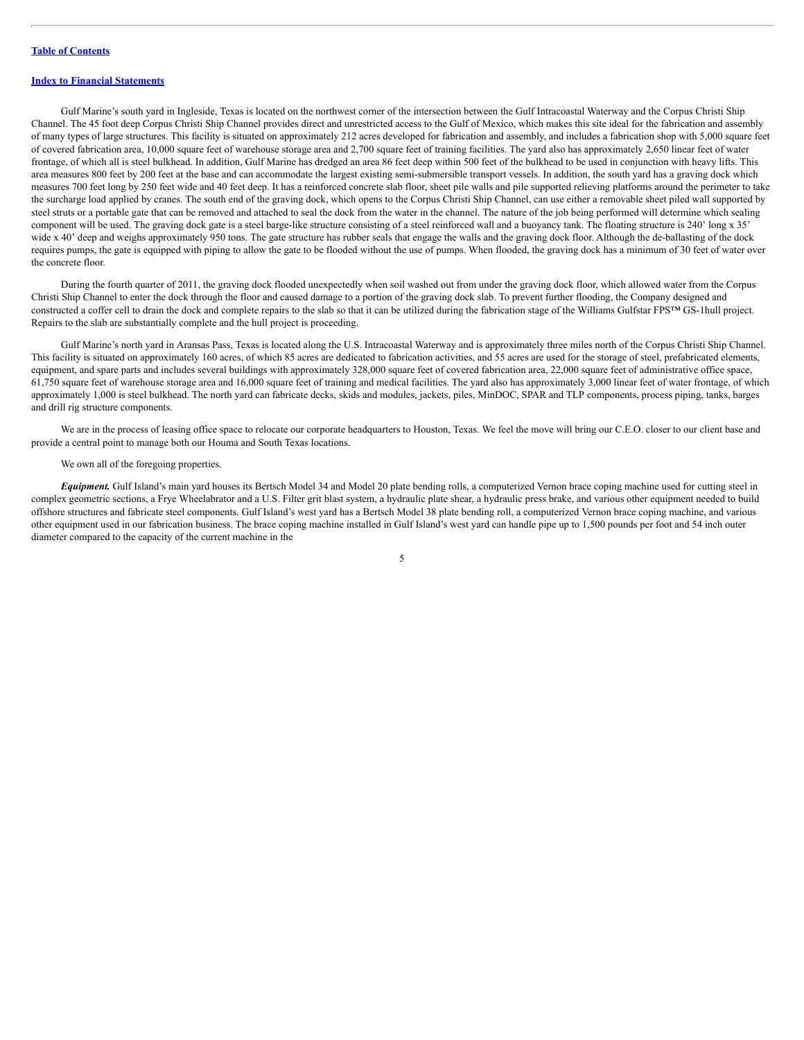Gulf Marine's south yard in Ingleside, Texas is located on the northwest corner of the intersection between the Gulf Intracoastal Waterway and the Corpus Christi Ship Channel. The 45 foot deep Corpus Christi Ship Channel provides direct and unrestricted access to the Gulf of Mexico, which makes this site ideal for the fabrication and assembly of many types of large structures. This facility is situated on approximately 212 acres developed for fabrication and assembly, and includes a fabrication shop with 5,000 square feet of covered fabrication area, 10,000 square feet of warehouse storage area and 2,700 square feet of training facilities. The yard also has approximately 2,650 linear feet of water frontage, of which all is steel bulkhead. In addition, Gulf Marine has dredged an area 86 feet deep within 500 feet of the bulkhead to be used in conjunction with heavy lifts. This area measures 800 feet by 200 feet at the base and can accommodate the largest existing semi-submersible transport vessels. In addition, the south yard has a graving dock which measures 700 feet long by 250 feet wide and 40 feet deep. It has a reinforced concrete slab floor, sheet pile walls and pile supported relieving platforms around the perimeter to take the surcharge load applied by cranes. The south end of the graving dock, which opens to the Corpus Christi Ship Channel, can use either a removable sheet piled wall supported by steel struts or a portable gate that can be removed and attached to seal the dock from the water in the channel. The nature of the job being performed will determine which sealing component will be used. The graving dock gate is a steel barge-like structure consisting of a steel reinforced wall and a buoyancy tank. The floating structure is 240' long x 35' wide x 40' deep and weighs approximately 950 tons. The gate structure has rubber seals that engage the walls and the graving dock floor. Although the de-ballasting of the dock requires pumps, the gate is equipped with piping to allow the gate to be flooded without the use of pumps. When flooded, the graving dock has a minimum of 30 feet of water over the concrete floor.

During the fourth quarter of 2011, the graving dock flooded unexpectedly when soil washed out from under the graving dock floor, which allowed water from the Corpus Christi Ship Channel to enter the dock through the floor and caused damage to a portion of the graving dock slab. To prevent further flooding, the Company designed and constructed a coffer cell to drain the dock and complete repairs to the slab so that it can be utilized during the fabrication stage of the Williams Gulfstar FPS™ GS-1hull project. Repairs to the slab are substantially complete and the hull project is proceeding.

Gulf Marine's north yard in Aransas Pass, Texas is located along the U.S. Intracoastal Waterway and is approximately three miles north of the Corpus Christi Ship Channel. This facility is situated on approximately 160 acres, of which 85 acres are dedicated to fabrication activities, and 55 acres are used for the storage of steel, prefabricated elements, equipment, and spare parts and includes several buildings with approximately 328,000 square feet of covered fabrication area, 22,000 square feet of administrative office space, 61,750 square feet of warehouse storage area and 16,000 square feet of training and medical facilities. The yard also has approximately 3,000 linear feet of water frontage, of which approximately 1,000 is steel bulkhead. The north yard can fabricate decks, skids and modules, jackets, piles, MinDOC, SPAR and TLP components, process piping, tanks, barges and drill rig structure components.

We are in the process of leasing office space to relocate our corporate headquarters to Houston, Texas. We feel the move will bring our C.E.O. closer to our client base and provide a central point to manage both our Houma and South Texas locations.

#### We own all of the foregoing properties.

*Equipment.* Gulf Island's main yard houses its Bertsch Model 34 and Model 20 plate bending rolls, a computerized Vernon brace coping machine used for cutting steel in complex geometric sections, a Frye Wheelabrator and a U.S. Filter grit blast system, a hydraulic plate shear, a hydraulic press brake, and various other equipment needed to build offshore structures and fabricate steel components. Gulf Island's west yard has a Bertsch Model 38 plate bending roll, a computerized Vernon brace coping machine, and various other equipment used in our fabrication business. The brace coping machine installed in Gulf Island's west yard can handle pipe up to 1,500 pounds per foot and 54 inch outer diameter compared to the capacity of the current machine in the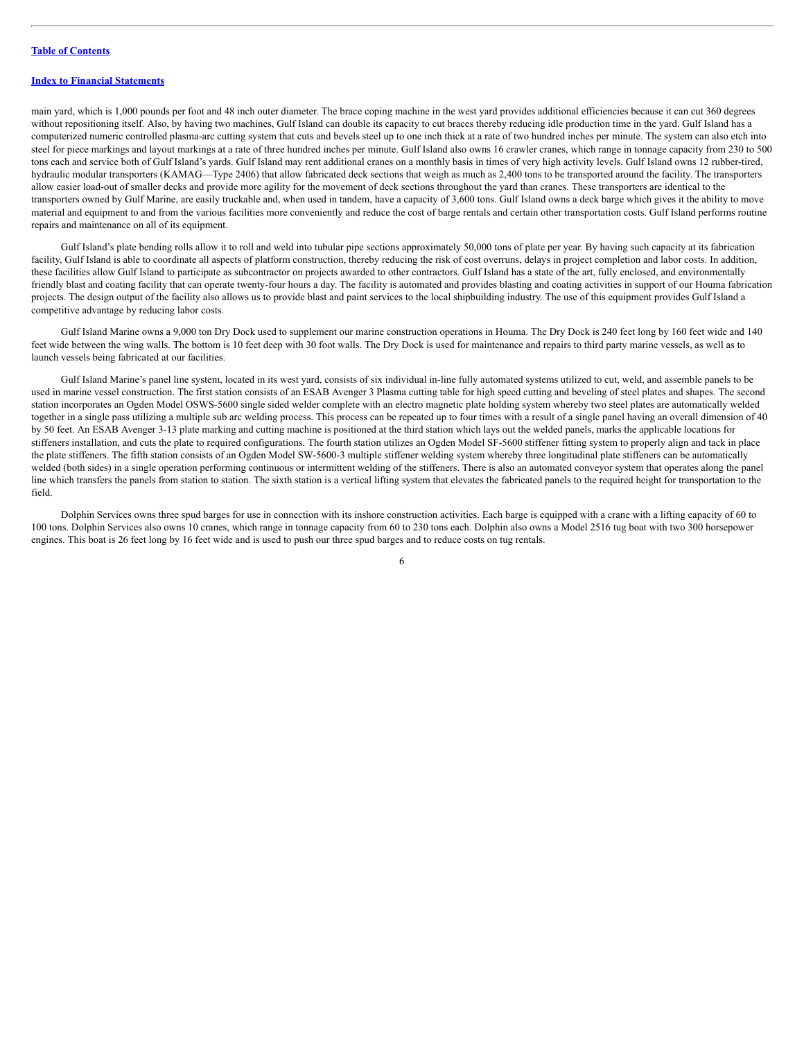main yard, which is 1,000 pounds per foot and 48 inch outer diameter. The brace coping machine in the west yard provides additional efficiencies because it can cut 360 degrees without repositioning itself. Also, by having two machines, Gulf Island can double its capacity to cut braces thereby reducing idle production time in the yard. Gulf Island has a computerized numeric controlled plasma-arc cutting system that cuts and bevels steel up to one inch thick at a rate of two hundred inches per minute. The system can also etch into steel for piece markings and layout markings at a rate of three hundred inches per minute. Gulf Island also owns 16 crawler cranes, which range in tonnage capacity from 230 to 500 tons each and service both of Gulf Island's yards. Gulf Island may rent additional cranes on a monthly basis in times of very high activity levels. Gulf Island owns 12 rubber-tired, hydraulic modular transporters (KAMAG—Type 2406) that allow fabricated deck sections that weigh as much as 2,400 tons to be transported around the facility. The transporters allow easier load-out of smaller decks and provide more agility for the movement of deck sections throughout the yard than cranes. These transporters are identical to the transporters owned by Gulf Marine, are easily truckable and, when used in tandem, have a capacity of 3,600 tons. Gulf Island owns a deck barge which gives it the ability to move material and equipment to and from the various facilities more conveniently and reduce the cost of barge rentals and certain other transportation costs. Gulf Island performs routine repairs and maintenance on all of its equipment.

Gulf Island's plate bending rolls allow it to roll and weld into tubular pipe sections approximately 50,000 tons of plate per year. By having such capacity at its fabrication facility, Gulf Island is able to coordinate all aspects of platform construction, thereby reducing the risk of cost overruns, delays in project completion and labor costs. In addition, these facilities allow Gulf Island to participate as subcontractor on projects awarded to other contractors. Gulf Island has a state of the art, fully enclosed, and environmentally friendly blast and coating facility that can operate twenty-four hours a day. The facility is automated and provides blasting and coating activities in support of our Houma fabrication projects. The design output of the facility also allows us to provide blast and paint services to the local shipbuilding industry. The use of this equipment provides Gulf Island a competitive advantage by reducing labor costs.

Gulf Island Marine owns a 9,000 ton Dry Dock used to supplement our marine construction operations in Houma. The Dry Dock is 240 feet long by 160 feet wide and 140 feet wide between the wing walls. The bottom is 10 feet deep with 30 foot walls. The Dry Dock is used for maintenance and repairs to third party marine vessels, as well as to launch vessels being fabricated at our facilities.

Gulf Island Marine's panel line system, located in its west yard, consists of six individual in-line fully automated systems utilized to cut, weld, and assemble panels to be used in marine vessel construction. The first station consists of an ESAB Avenger 3 Plasma cutting table for high speed cutting and beveling of steel plates and shapes. The second station incorporates an Ogden Model OSWS-5600 single sided welder complete with an electro magnetic plate holding system whereby two steel plates are automatically welded together in a single pass utilizing a multiple sub arc welding process. This process can be repeated up to four times with a result of a single panel having an overall dimension of 40 by 50 feet. An ESAB Avenger 3-13 plate marking and cutting machine is positioned at the third station which lays out the welded panels, marks the applicable locations for stiffeners installation, and cuts the plate to required configurations. The fourth station utilizes an Ogden Model SF-5600 stiffener fitting system to properly align and tack in place the plate stiffeners. The fifth station consists of an Ogden Model SW-5600-3 multiple stiffener welding system whereby three longitudinal plate stiffeners can be automatically welded (both sides) in a single operation performing continuous or intermittent welding of the stiffeners. There is also an automated conveyor system that operates along the panel line which transfers the panels from station to station. The sixth station is a vertical lifting system that elevates the fabricated panels to the required height for transportation to the field.

Dolphin Services owns three spud barges for use in connection with its inshore construction activities. Each barge is equipped with a crane with a lifting capacity of 60 to 100 tons. Dolphin Services also owns 10 cranes, which range in tonnage capacity from 60 to 230 tons each. Dolphin also owns a Model 2516 tug boat with two 300 horsepower engines. This boat is 26 feet long by 16 feet wide and is used to push our three spud barges and to reduce costs on tug rentals.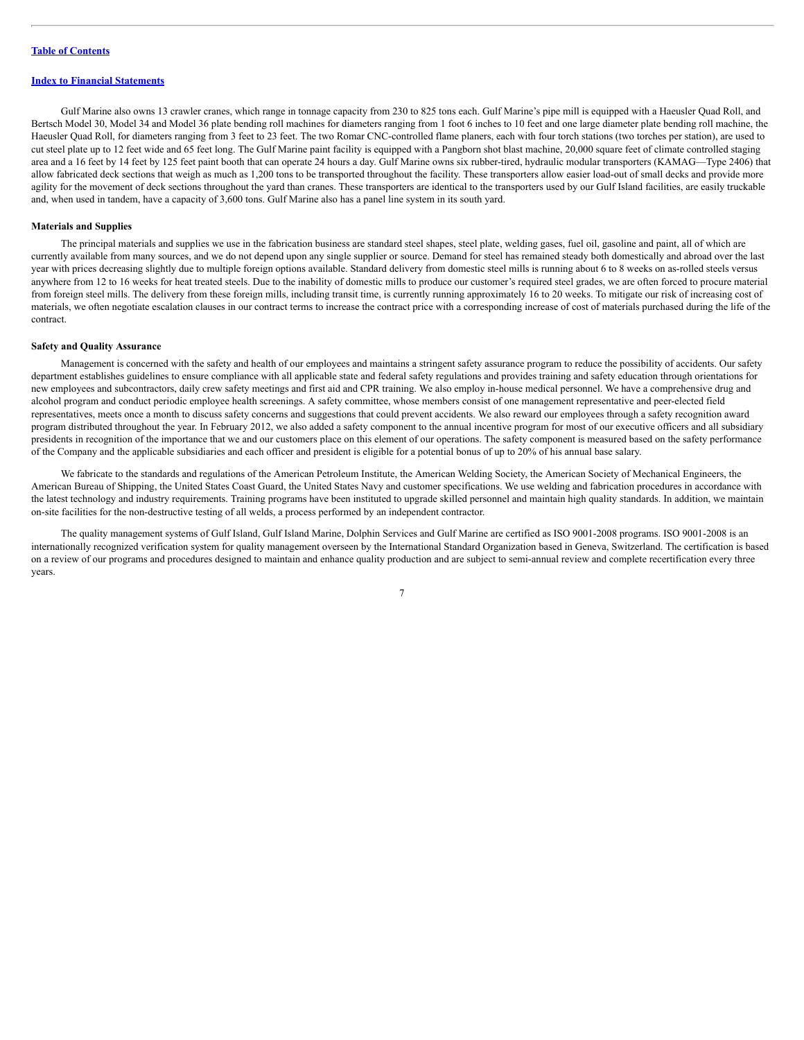Gulf Marine also owns 13 crawler cranes, which range in tonnage capacity from 230 to 825 tons each. Gulf Marine's pipe mill is equipped with a Haeusler Quad Roll, and Bertsch Model 30, Model 34 and Model 36 plate bending roll machines for diameters ranging from 1 foot 6 inches to 10 feet and one large diameter plate bending roll machine, the Haeusler Quad Roll, for diameters ranging from 3 feet to 23 feet. The two Romar CNC-controlled flame planers, each with four torch stations (two torches per station), are used to cut steel plate up to 12 feet wide and 65 feet long. The Gulf Marine paint facility is equipped with a Pangborn shot blast machine, 20,000 square feet of climate controlled staging area and a 16 feet by 14 feet by 125 feet paint booth that can operate 24 hours a day. Gulf Marine owns six rubber-tired, hydraulic modular transporters (KAMAG—Type 2406) that allow fabricated deck sections that weigh as much as 1,200 tons to be transported throughout the facility. These transporters allow easier load-out of small decks and provide more agility for the movement of deck sections throughout the yard than cranes. These transporters are identical to the transporters used by our Gulf Island facilities, are easily truckable and, when used in tandem, have a capacity of 3,600 tons. Gulf Marine also has a panel line system in its south yard.

#### **Materials and Supplies**

The principal materials and supplies we use in the fabrication business are standard steel shapes, steel plate, welding gases, fuel oil, gasoline and paint, all of which are currently available from many sources, and we do not depend upon any single supplier or source. Demand for steel has remained steady both domestically and abroad over the last year with prices decreasing slightly due to multiple foreign options available. Standard delivery from domestic steel mills is running about 6 to 8 weeks on as-rolled steels versus anywhere from 12 to 16 weeks for heat treated steels. Due to the inability of domestic mills to produce our customer's required steel grades, we are often forced to procure material from foreign steel mills. The delivery from these foreign mills, including transit time, is currently running approximately 16 to 20 weeks. To mitigate our risk of increasing cost of materials, we often negotiate escalation clauses in our contract terms to increase the contract price with a corresponding increase of cost of materials purchased during the life of the contract.

#### **Safety and Quality Assurance**

Management is concerned with the safety and health of our employees and maintains a stringent safety assurance program to reduce the possibility of accidents. Our safety department establishes guidelines to ensure compliance with all applicable state and federal safety regulations and provides training and safety education through orientations for new employees and subcontractors, daily crew safety meetings and first aid and CPR training. We also employ in-house medical personnel. We have a comprehensive drug and alcohol program and conduct periodic employee health screenings. A safety committee, whose members consist of one management representative and peer-elected field representatives, meets once a month to discuss safety concerns and suggestions that could prevent accidents. We also reward our employees through a safety recognition award program distributed throughout the year. In February 2012, we also added a safety component to the annual incentive program for most of our executive officers and all subsidiary presidents in recognition of the importance that we and our customers place on this element of our operations. The safety component is measured based on the safety performance of the Company and the applicable subsidiaries and each officer and president is eligible for a potential bonus of up to 20% of his annual base salary.

We fabricate to the standards and regulations of the American Petroleum Institute, the American Welding Society, the American Society of Mechanical Engineers, the American Bureau of Shipping, the United States Coast Guard, the United States Navy and customer specifications. We use welding and fabrication procedures in accordance with the latest technology and industry requirements. Training programs have been instituted to upgrade skilled personnel and maintain high quality standards. In addition, we maintain on-site facilities for the non-destructive testing of all welds, a process performed by an independent contractor.

The quality management systems of Gulf Island, Gulf Island Marine, Dolphin Services and Gulf Marine are certified as ISO 9001-2008 programs. ISO 9001-2008 is an internationally recognized verification system for quality management overseen by the International Standard Organization based in Geneva, Switzerland. The certification is based on a review of our programs and procedures designed to maintain and enhance quality production and are subject to semi-annual review and complete recertification every three years.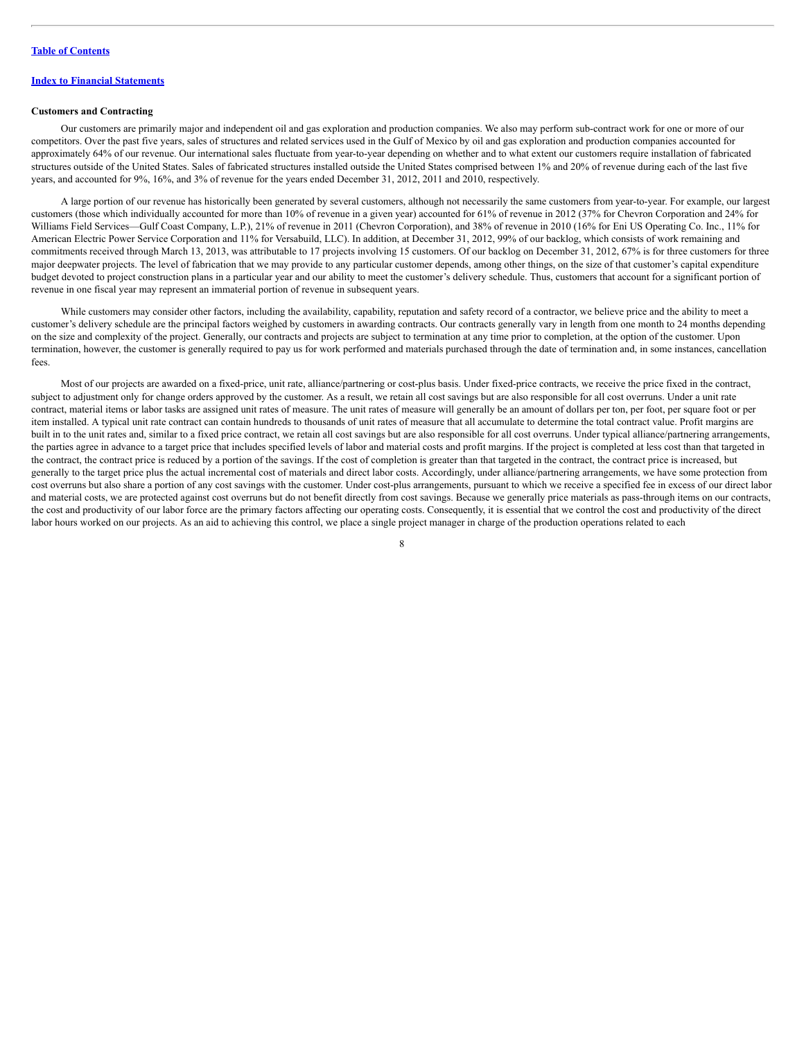#### **Customers and Contracting**

Our customers are primarily major and independent oil and gas exploration and production companies. We also may perform sub-contract work for one or more of our competitors. Over the past five years, sales of structures and related services used in the Gulf of Mexico by oil and gas exploration and production companies accounted for approximately 64% of our revenue. Our international sales fluctuate from year-to-year depending on whether and to what extent our customers require installation of fabricated structures outside of the United States. Sales of fabricated structures installed outside the United States comprised between 1% and 20% of revenue during each of the last five years, and accounted for 9%, 16%, and 3% of revenue for the years ended December 31, 2012, 2011 and 2010, respectively.

A large portion of our revenue has historically been generated by several customers, although not necessarily the same customers from year-to-year. For example, our largest customers (those which individually accounted for more than 10% of revenue in a given year) accounted for 61% of revenue in 2012 (37% for Chevron Corporation and 24% for Williams Field Services—Gulf Coast Company, L.P.), 21% of revenue in 2011 (Chevron Corporation), and 38% of revenue in 2010 (16% for Eni US Operating Co. Inc., 11% for American Electric Power Service Corporation and 11% for Versabuild, LLC). In addition, at December 31, 2012, 99% of our backlog, which consists of work remaining and commitments received through March 13, 2013, was attributable to 17 projects involving 15 customers. Of our backlog on December 31, 2012, 67% is for three customers for three major deepwater projects. The level of fabrication that we may provide to any particular customer depends, among other things, on the size of that customer's capital expenditure budget devoted to project construction plans in a particular year and our ability to meet the customer's delivery schedule. Thus, customers that account for a significant portion of revenue in one fiscal year may represent an immaterial portion of revenue in subsequent years.

While customers may consider other factors, including the availability, capability, reputation and safety record of a contractor, we believe price and the ability to meet a customer's delivery schedule are the principal factors weighed by customers in awarding contracts. Our contracts generally vary in length from one month to 24 months depending on the size and complexity of the project. Generally, our contracts and projects are subject to termination at any time prior to completion, at the option of the customer. Upon termination, however, the customer is generally required to pay us for work performed and materials purchased through the date of termination and, in some instances, cancellation fees.

Most of our projects are awarded on a fixed-price, unit rate, alliance/partnering or cost-plus basis. Under fixed-price contracts, we receive the price fixed in the contract, subject to adjustment only for change orders approved by the customer. As a result, we retain all cost savings but are also responsible for all cost overruns. Under a unit rate contract, material items or labor tasks are assigned unit rates of measure. The unit rates of measure will generally be an amount of dollars per ton, per foot, per square foot or per item installed. A typical unit rate contract can contain hundreds to thousands of unit rates of measure that all accumulate to determine the total contract value. Profit margins are built in to the unit rates and, similar to a fixed price contract, we retain all cost savings but are also responsible for all cost overruns. Under typical alliance/partnering arrangements, the parties agree in advance to a target price that includes specified levels of labor and material costs and profit margins. If the project is completed at less cost than that targeted in the contract, the contract price is reduced by a portion of the savings. If the cost of completion is greater than that targeted in the contract, the contract price is increased, but generally to the target price plus the actual incremental cost of materials and direct labor costs. Accordingly, under alliance/partnering arrangements, we have some protection from cost overruns but also share a portion of any cost savings with the customer. Under cost-plus arrangements, pursuant to which we receive a specified fee in excess of our direct labor and material costs, we are protected against cost overruns but do not benefit directly from cost savings. Because we generally price materials as pass-through items on our contracts, the cost and productivity of our labor force are the primary factors affecting our operating costs. Consequently, it is essential that we control the cost and productivity of the direct labor hours worked on our projects. As an aid to achieving this control, we place a single project manager in charge of the production operations related to each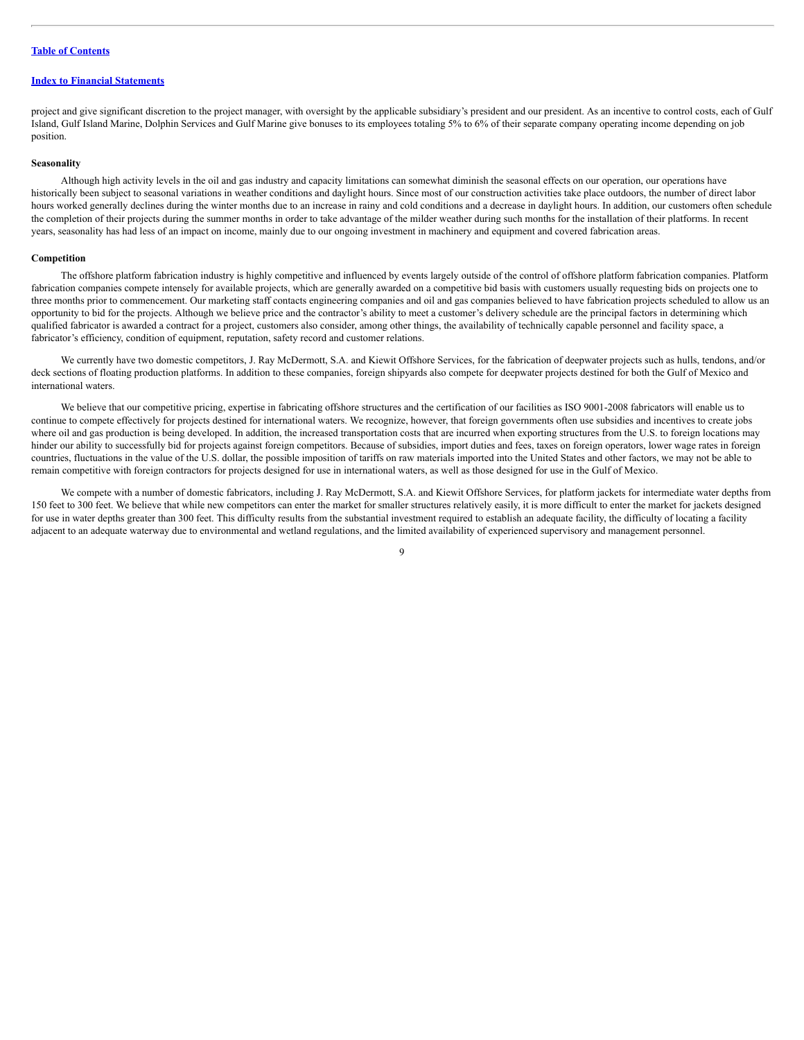### **Table of [Contents](#page-1-0)**

### **Index to Financial [Statements](#page-37-0)**

project and give significant discretion to the project manager, with oversight by the applicable subsidiary's president and our president. As an incentive to control costs, each of Gulf Island, Gulf Island Marine, Dolphin Services and Gulf Marine give bonuses to its employees totaling 5% to 6% of their separate company operating income depending on job position.

#### **Seasonality**

Although high activity levels in the oil and gas industry and capacity limitations can somewhat diminish the seasonal effects on our operation, our operations have historically been subject to seasonal variations in weather conditions and daylight hours. Since most of our construction activities take place outdoors, the number of direct labor hours worked generally declines during the winter months due to an increase in rainy and cold conditions and a decrease in daylight hours. In addition, our customers often schedule the completion of their projects during the summer months in order to take advantage of the milder weather during such months for the installation of their platforms. In recent years, seasonality has had less of an impact on income, mainly due to our ongoing investment in machinery and equipment and covered fabrication areas.

### **Competition**

The offshore platform fabrication industry is highly competitive and influenced by events largely outside of the control of offshore platform fabrication companies. Platform fabrication companies compete intensely for available projects, which are generally awarded on a competitive bid basis with customers usually requesting bids on projects one to three months prior to commencement. Our marketing staff contacts engineering companies and oil and gas companies believed to have fabrication projects scheduled to allow us an opportunity to bid for the projects. Although we believe price and the contractor's ability to meet a customer's delivery schedule are the principal factors in determining which qualified fabricator is awarded a contract for a project, customers also consider, among other things, the availability of technically capable personnel and facility space, a fabricator's efficiency, condition of equipment, reputation, safety record and customer relations.

We currently have two domestic competitors, J. Ray McDermott, S.A. and Kiewit Offshore Services, for the fabrication of deepwater projects such as hulls, tendons, and/or deck sections of floating production platforms. In addition to these companies, foreign shipyards also compete for deepwater projects destined for both the Gulf of Mexico and international waters.

We believe that our competitive pricing, expertise in fabricating offshore structures and the certification of our facilities as ISO 9001-2008 fabricators will enable us to continue to compete effectively for projects destined for international waters. We recognize, however, that foreign governments often use subsidies and incentives to create jobs where oil and gas production is being developed. In addition, the increased transportation costs that are incurred when exporting structures from the U.S. to foreign locations may hinder our ability to successfully bid for projects against foreign competitors. Because of subsidies, import duties and fees, taxes on foreign operators, lower wage rates in foreign countries, fluctuations in the value of the U.S. dollar, the possible imposition of tariffs on raw materials imported into the United States and other factors, we may not be able to remain competitive with foreign contractors for projects designed for use in international waters, as well as those designed for use in the Gulf of Mexico.

We compete with a number of domestic fabricators, including J. Ray McDermott, S.A. and Kiewit Offshore Services, for platform jackets for intermediate water depths from 150 feet to 300 feet. We believe that while new competitors can enter the market for smaller structures relatively easily, it is more difficult to enter the market for jackets designed for use in water depths greater than 300 feet. This difficulty results from the substantial investment required to establish an adequate facility, the difficulty of locating a facility adjacent to an adequate waterway due to environmental and wetland regulations, and the limited availability of experienced supervisory and management personnel.

 $\overline{Q}$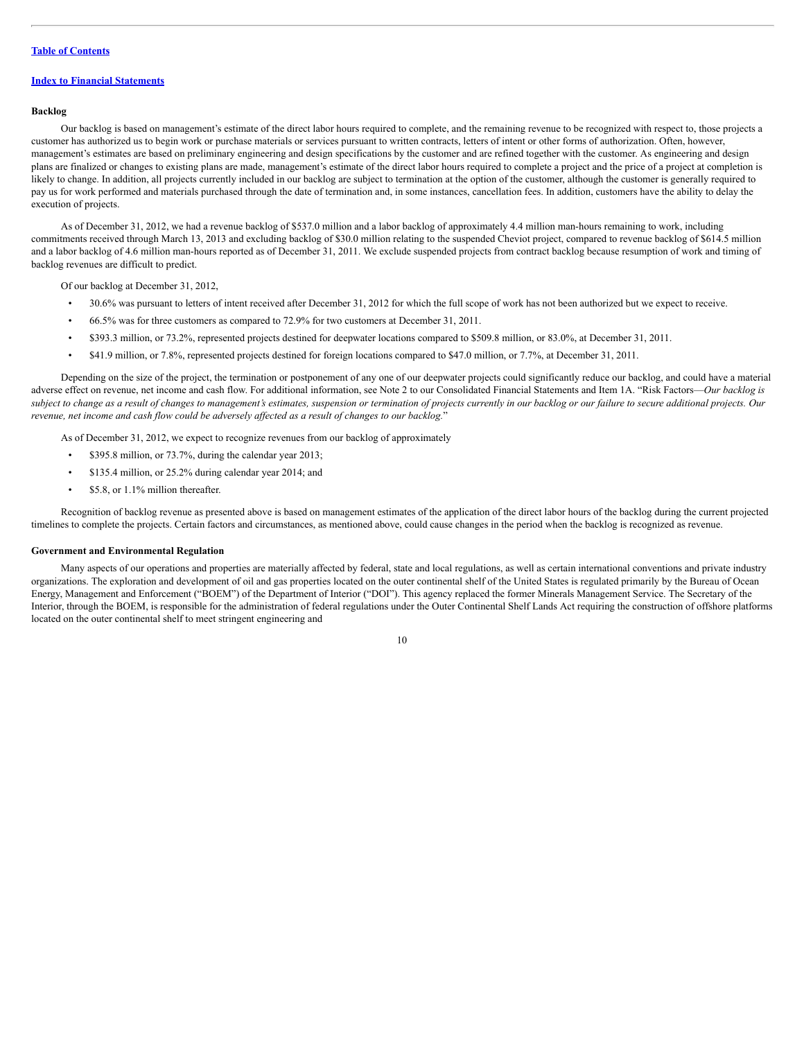#### **Backlog**

Our backlog is based on management's estimate of the direct labor hours required to complete, and the remaining revenue to be recognized with respect to, those projects a customer has authorized us to begin work or purchase materials or services pursuant to written contracts, letters of intent or other forms of authorization. Often, however, management's estimates are based on preliminary engineering and design specifications by the customer and are refined together with the customer. As engineering and design plans are finalized or changes to existing plans are made, management's estimate of the direct labor hours required to complete a project and the price of a project at completion is likely to change. In addition, all projects currently included in our backlog are subject to termination at the option of the customer, although the customer is generally required to pay us for work performed and materials purchased through the date of termination and, in some instances, cancellation fees. In addition, customers have the ability to delay the execution of projects.

As of December 31, 2012, we had a revenue backlog of \$537.0 million and a labor backlog of approximately 4.4 million man-hours remaining to work, including commitments received through March 13, 2013 and excluding backlog of \$30.0 million relating to the suspended Cheviot project, compared to revenue backlog of \$614.5 million and a labor backlog of 4.6 million man-hours reported as of December 31, 2011. We exclude suspended projects from contract backlog because resumption of work and timing of backlog revenues are difficult to predict.

Of our backlog at December 31, 2012,

- 30.6% was pursuant to letters of intent received after December 31, 2012 for which the full scope of work has not been authorized but we expect to receive.
- 66.5% was for three customers as compared to 72.9% for two customers at December 31, 2011.
- \$393.3 million, or 73.2%, represented projects destined for deepwater locations compared to \$509.8 million, or 83.0%, at December 31, 2011.
- \$41.9 million, or 7.8%, represented projects destined for foreign locations compared to \$47.0 million, or 7.7%, at December 31, 2011.

Depending on the size of the project, the termination or postponement of any one of our deepwater projects could significantly reduce our backlog, and could have a material adverse effect on revenue, net income and cash flow. For additional information, see Note 2 to our Consolidated Financial Statements and Item 1A. "Risk Factors—*Our backlog is subject to change as a result of changes to management's estimates, suspension or termination of projects currently in our backlog or our failure to secure additional projects. Our revenue, net income and cash flow could be adversely affected as a result of changes to our backlog.*"

As of December 31, 2012, we expect to recognize revenues from our backlog of approximately

- \$395.8 million, or 73.7%, during the calendar year 2013;
- \$135.4 million, or 25.2% during calendar year 2014; and
- \$5.8, or 1.1% million thereafter.

Recognition of backlog revenue as presented above is based on management estimates of the application of the direct labor hours of the backlog during the current projected timelines to complete the projects. Certain factors and circumstances, as mentioned above, could cause changes in the period when the backlog is recognized as revenue.

#### **Government and Environmental Regulation**

Many aspects of our operations and properties are materially affected by federal, state and local regulations, as well as certain international conventions and private industry organizations. The exploration and development of oil and gas properties located on the outer continental shelf of the United States is regulated primarily by the Bureau of Ocean Energy, Management and Enforcement ("BOEM") of the Department of Interior ("DOI"). This agency replaced the former Minerals Management Service. The Secretary of the Interior, through the BOEM, is responsible for the administration of federal regulations under the Outer Continental Shelf Lands Act requiring the construction of offshore platforms located on the outer continental shelf to meet stringent engineering and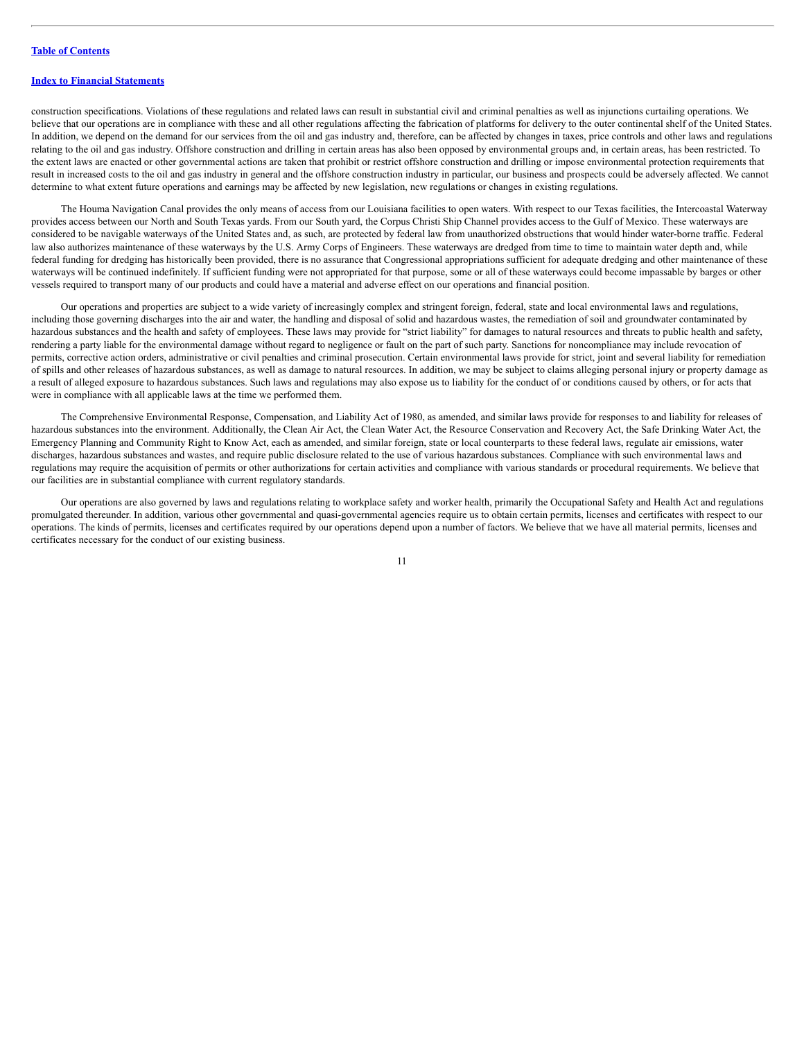construction specifications. Violations of these regulations and related laws can result in substantial civil and criminal penalties as well as injunctions curtailing operations. We believe that our operations are in compliance with these and all other regulations affecting the fabrication of platforms for delivery to the outer continental shelf of the United States. In addition, we depend on the demand for our services from the oil and gas industry and, therefore, can be affected by changes in taxes, price controls and other laws and regulations relating to the oil and gas industry. Offshore construction and drilling in certain areas has also been opposed by environmental groups and, in certain areas, has been restricted. To the extent laws are enacted or other governmental actions are taken that prohibit or restrict offshore construction and drilling or impose environmental protection requirements that result in increased costs to the oil and gas industry in general and the offshore construction industry in particular, our business and prospects could be adversely affected. We cannot determine to what extent future operations and earnings may be affected by new legislation, new regulations or changes in existing regulations.

The Houma Navigation Canal provides the only means of access from our Louisiana facilities to open waters. With respect to our Texas facilities, the Intercoastal Waterway provides access between our North and South Texas yards. From our South yard, the Corpus Christi Ship Channel provides access to the Gulf of Mexico. These waterways are considered to be navigable waterways of the United States and, as such, are protected by federal law from unauthorized obstructions that would hinder water-borne traffic. Federal law also authorizes maintenance of these waterways by the U.S. Army Corps of Engineers. These waterways are dredged from time to time to maintain water depth and, while federal funding for dredging has historically been provided, there is no assurance that Congressional appropriations sufficient for adequate dredging and other maintenance of these waterways will be continued indefinitely. If sufficient funding were not appropriated for that purpose, some or all of these waterways could become impassable by barges or other vessels required to transport many of our products and could have a material and adverse effect on our operations and financial position.

Our operations and properties are subject to a wide variety of increasingly complex and stringent foreign, federal, state and local environmental laws and regulations, including those governing discharges into the air and water, the handling and disposal of solid and hazardous wastes, the remediation of soil and groundwater contaminated by hazardous substances and the health and safety of employees. These laws may provide for "strict liability" for damages to natural resources and threats to public health and safety, rendering a party liable for the environmental damage without regard to negligence or fault on the part of such party. Sanctions for noncompliance may include revocation of permits, corrective action orders, administrative or civil penalties and criminal prosecution. Certain environmental laws provide for strict, joint and several liability for remediation of spills and other releases of hazardous substances, as well as damage to natural resources. In addition, we may be subject to claims alleging personal injury or property damage as a result of alleged exposure to hazardous substances. Such laws and regulations may also expose us to liability for the conduct of or conditions caused by others, or for acts that were in compliance with all applicable laws at the time we performed them.

The Comprehensive Environmental Response, Compensation, and Liability Act of 1980, as amended, and similar laws provide for responses to and liability for releases of hazardous substances into the environment. Additionally, the Clean Air Act, the Clean Water Act, the Resource Conservation and Recovery Act, the Safe Drinking Water Act, the Emergency Planning and Community Right to Know Act, each as amended, and similar foreign, state or local counterparts to these federal laws, regulate air emissions, water discharges, hazardous substances and wastes, and require public disclosure related to the use of various hazardous substances. Compliance with such environmental laws and regulations may require the acquisition of permits or other authorizations for certain activities and compliance with various standards or procedural requirements. We believe that our facilities are in substantial compliance with current regulatory standards.

Our operations are also governed by laws and regulations relating to workplace safety and worker health, primarily the Occupational Safety and Health Act and regulations promulgated thereunder. In addition, various other governmental and quasi-governmental agencies require us to obtain certain permits, licenses and certificates with respect to our operations. The kinds of permits, licenses and certificates required by our operations depend upon a number of factors. We believe that we have all material permits, licenses and certificates necessary for the conduct of our existing business.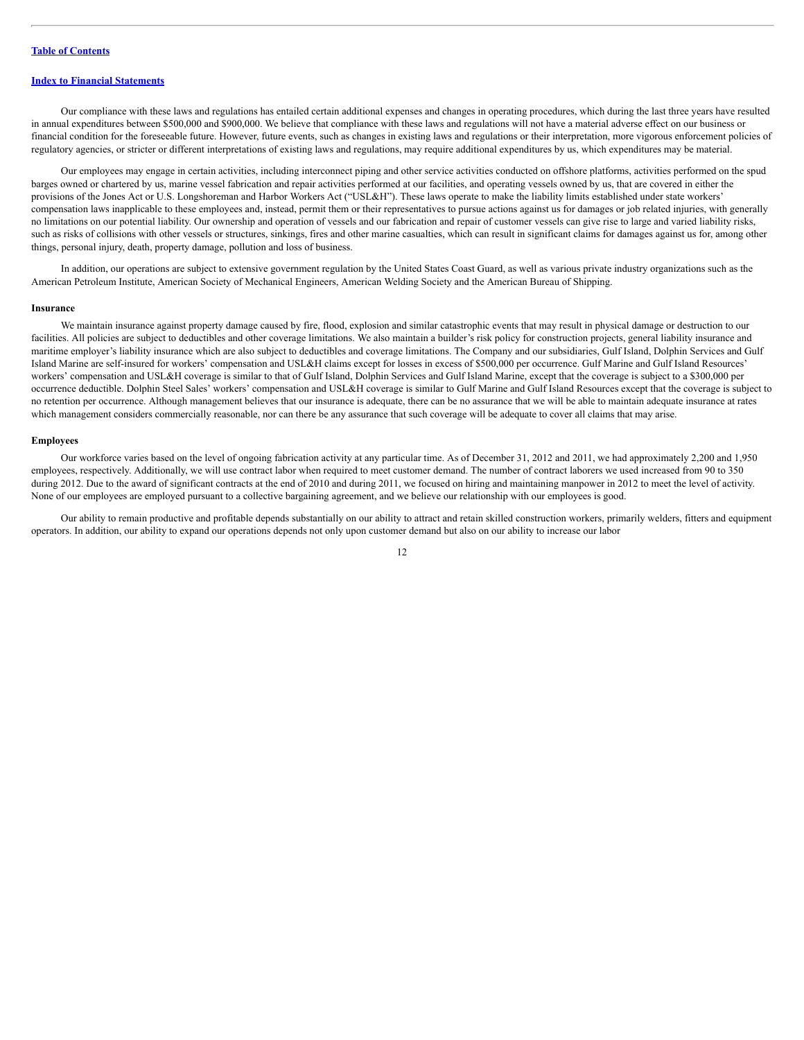Our compliance with these laws and regulations has entailed certain additional expenses and changes in operating procedures, which during the last three years have resulted in annual expenditures between \$500,000 and \$900,000. We believe that compliance with these laws and regulations will not have a material adverse effect on our business or financial condition for the foreseeable future. However, future events, such as changes in existing laws and regulations or their interpretation, more vigorous enforcement policies of regulatory agencies, or stricter or different interpretations of existing laws and regulations, may require additional expenditures by us, which expenditures may be material.

Our employees may engage in certain activities, including interconnect piping and other service activities conducted on offshore platforms, activities performed on the spud barges owned or chartered by us, marine vessel fabrication and repair activities performed at our facilities, and operating vessels owned by us, that are covered in either the provisions of the Jones Act or U.S. Longshoreman and Harbor Workers Act ("USL&H"). These laws operate to make the liability limits established under state workers' compensation laws inapplicable to these employees and, instead, permit them or their representatives to pursue actions against us for damages or job related injuries, with generally no limitations on our potential liability. Our ownership and operation of vessels and our fabrication and repair of customer vessels can give rise to large and varied liability risks, such as risks of collisions with other vessels or structures, sinkings, fires and other marine casualties, which can result in significant claims for damages against us for, among other things, personal injury, death, property damage, pollution and loss of business.

In addition, our operations are subject to extensive government regulation by the United States Coast Guard, as well as various private industry organizations such as the American Petroleum Institute, American Society of Mechanical Engineers, American Welding Society and the American Bureau of Shipping.

#### **Insurance**

We maintain insurance against property damage caused by fire, flood, explosion and similar catastrophic events that may result in physical damage or destruction to our facilities. All policies are subject to deductibles and other coverage limitations. We also maintain a builder's risk policy for construction projects, general liability insurance and maritime employer's liability insurance which are also subject to deductibles and coverage limitations. The Company and our subsidiaries, Gulf Island, Dolphin Services and Gulf Island Marine are self-insured for workers' compensation and USL&H claims except for losses in excess of \$500,000 per occurrence. Gulf Marine and Gulf Island Resources' workers' compensation and USL&H coverage is similar to that of Gulf Island, Dolphin Services and Gulf Island Marine, except that the coverage is subject to a \$300,000 per occurrence deductible. Dolphin Steel Sales' workers' compensation and USL&H coverage is similar to Gulf Marine and Gulf Island Resources except that the coverage is subject to no retention per occurrence. Although management believes that our insurance is adequate, there can be no assurance that we will be able to maintain adequate insurance at rates which management considers commercially reasonable, nor can there be any assurance that such coverage will be adequate to cover all claims that may arise.

#### **Employees**

Our workforce varies based on the level of ongoing fabrication activity at any particular time. As of December 31, 2012 and 2011, we had approximately 2,200 and 1,950 employees, respectively. Additionally, we will use contract labor when required to meet customer demand. The number of contract laborers we used increased from 90 to 350 during 2012. Due to the award of significant contracts at the end of 2010 and during 2011, we focused on hiring and maintaining manpower in 2012 to meet the level of activity. None of our employees are employed pursuant to a collective bargaining agreement, and we believe our relationship with our employees is good.

Our ability to remain productive and profitable depends substantially on our ability to attract and retain skilled construction workers, primarily welders, fitters and equipment operators. In addition, our ability to expand our operations depends not only upon customer demand but also on our ability to increase our labor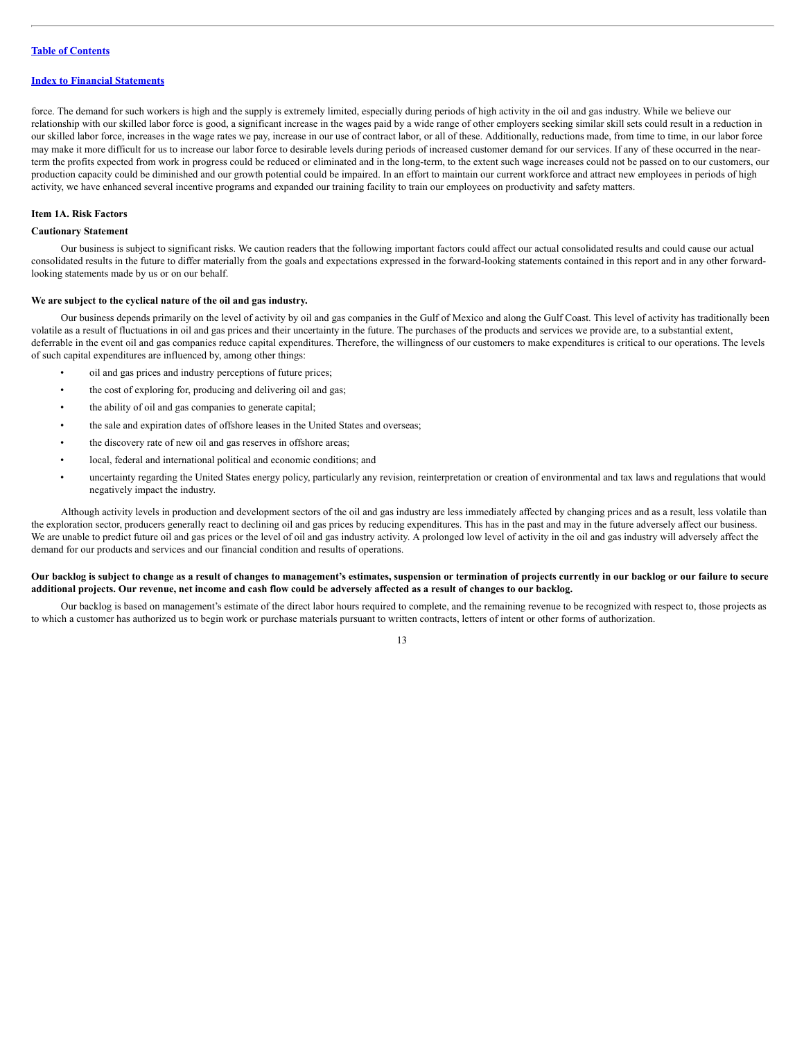force. The demand for such workers is high and the supply is extremely limited, especially during periods of high activity in the oil and gas industry. While we believe our relationship with our skilled labor force is good, a significant increase in the wages paid by a wide range of other employers seeking similar skill sets could result in a reduction in our skilled labor force, increases in the wage rates we pay, increase in our use of contract labor, or all of these. Additionally, reductions made, from time to time, in our labor force may make it more difficult for us to increase our labor force to desirable levels during periods of increased customer demand for our services. If any of these occurred in the nearterm the profits expected from work in progress could be reduced or eliminated and in the long-term, to the extent such wage increases could not be passed on to our customers, our production capacity could be diminished and our growth potential could be impaired. In an effort to maintain our current workforce and attract new employees in periods of high activity, we have enhanced several incentive programs and expanded our training facility to train our employees on productivity and safety matters.

### <span id="page-14-0"></span>**Item 1A. Risk Factors**

### **Cautionary Statement**

Our business is subject to significant risks. We caution readers that the following important factors could affect our actual consolidated results and could cause our actual consolidated results in the future to differ materially from the goals and expectations expressed in the forward-looking statements contained in this report and in any other forwardlooking statements made by us or on our behalf.

### **We are subject to the cyclical nature of the oil and gas industry.**

Our business depends primarily on the level of activity by oil and gas companies in the Gulf of Mexico and along the Gulf Coast. This level of activity has traditionally been volatile as a result of fluctuations in oil and gas prices and their uncertainty in the future. The purchases of the products and services we provide are, to a substantial extent, deferrable in the event oil and gas companies reduce capital expenditures. Therefore, the willingness of our customers to make expenditures is critical to our operations. The levels of such capital expenditures are influenced by, among other things:

- oil and gas prices and industry perceptions of future prices;
- the cost of exploring for, producing and delivering oil and gas;
- the ability of oil and gas companies to generate capital;
- the sale and expiration dates of offshore leases in the United States and overseas;
- the discovery rate of new oil and gas reserves in offshore areas;
- local, federal and international political and economic conditions; and
- uncertainty regarding the United States energy policy, particularly any revision, reinterpretation or creation of environmental and tax laws and regulations that would negatively impact the industry.

Although activity levels in production and development sectors of the oil and gas industry are less immediately affected by changing prices and as a result, less volatile than the exploration sector, producers generally react to declining oil and gas prices by reducing expenditures. This has in the past and may in the future adversely affect our business. We are unable to predict future oil and gas prices or the level of oil and gas industry activity. A prolonged low level of activity in the oil and gas industry will adversely affect the demand for our products and services and our financial condition and results of operations.

### **Our backlog is subject to change as a result of changes to management's estimates, suspension or termination of projects currently in our backlog or our failure to secure additional projects. Our revenue, net income and cash flow could be adversely affected as a result of changes to our backlog.**

Our backlog is based on management's estimate of the direct labor hours required to complete, and the remaining revenue to be recognized with respect to, those projects as to which a customer has authorized us to begin work or purchase materials pursuant to written contracts, letters of intent or other forms of authorization.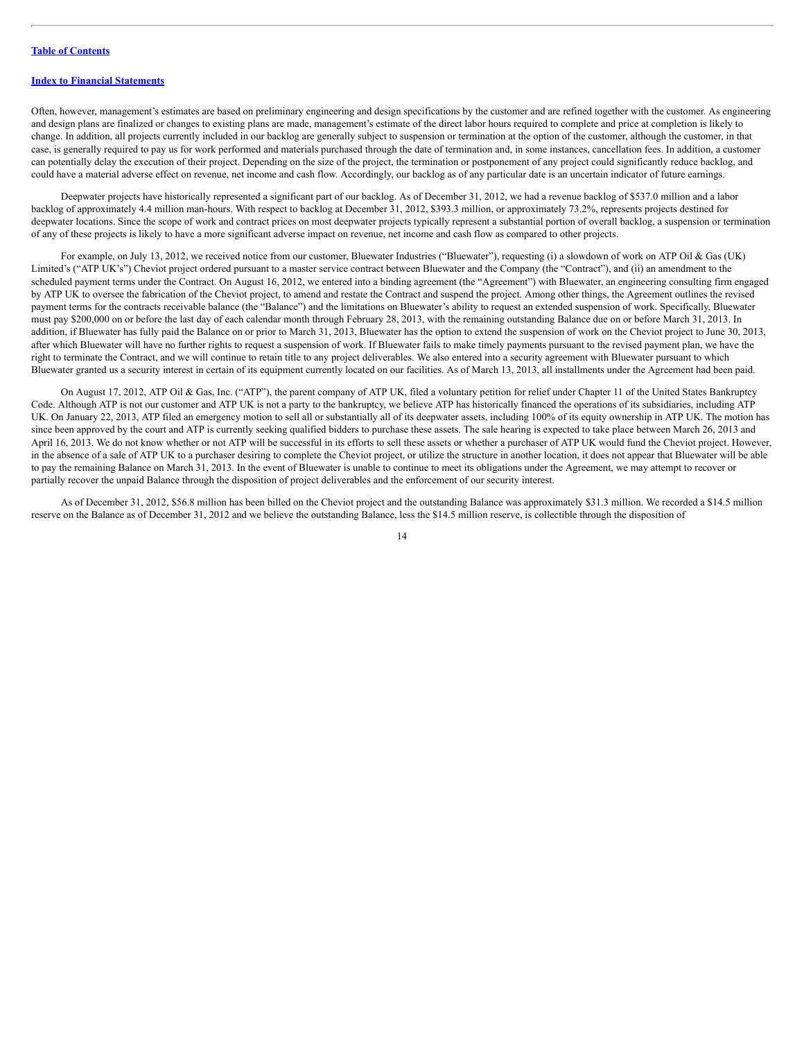Often, however, management's estimates are based on preliminary engineering and design specifications by the customer and are refined together with the customer. As engineering and design plans are finalized or changes to existing plans are made, management's estimate of the direct labor hours required to complete and price at completion is likely to change. In addition, all projects currently included in our backlog are generally subject to suspension or termination at the option of the customer, although the customer, in that case, is generally required to pay us for work performed and materials purchased through the date of termination and, in some instances, cancellation fees. In addition, a customer can potentially delay the execution of their project. Depending on the size of the project, the termination or postponement of any project could significantly reduce backlog, and could have a material adverse effect on revenue, net income and cash flow. Accordingly, our backlog as of any particular date is an uncertain indicator of future earnings.

Deepwater projects have historically represented a significant part of our backlog. As of December 31, 2012, we had a revenue backlog of \$537.0 million and a labor backlog of approximately 4.4 million man-hours. With respect to backlog at December 31, 2012, \$393.3 million, or approximately 73.2%, represents projects destined for deepwater locations. Since the scope of work and contract prices on most deepwater projects typically represent a substantial portion of overall backlog, a suspension or termination of any of these projects is likely to have a more significant adverse impact on revenue, net income and cash flow as compared to other projects.

For example, on July 13, 2012, we received notice from our customer, Bluewater Industries ("Bluewater"), requesting (i) a slowdown of work on ATP Oil & Gas (UK) Limited's ("ATP UK's") Cheviot project ordered pursuant to a master service contract between Bluewater and the Company (the "Contract"), and (ii) an amendment to the scheduled payment terms under the Contract. On August 16, 2012, we entered into a binding agreement (the "Agreement") with Bluewater, an engineering consulting firm engaged by ATP UK to oversee the fabrication of the Cheviot project, to amend and restate the Contract and suspend the project. Among other things, the Agreement outlines the revised payment terms for the contracts receivable balance (the "Balance") and the limitations on Bluewater's ability to request an extended suspension of work. Specifically, Bluewater must pay \$200,000 on or before the last day of each calendar month through February 28, 2013, with the remaining outstanding Balance due on or before March 31, 2013. In addition, if Bluewater has fully paid the Balance on or prior to March 31, 2013, Bluewater has the option to extend the suspension of work on the Cheviot project to June 30, 2013, after which Bluewater will have no further rights to request a suspension of work. If Bluewater fails to make timely payments pursuant to the revised payment plan, we have the right to terminate the Contract, and we will continue to retain title to any project deliverables. We also entered into a security agreement with Bluewater pursuant to which Bluewater granted us a security interest in certain of its equipment currently located on our facilities. As of March 13, 2013, all installments under the Agreement had been paid.

On August 17, 2012, ATP Oil & Gas, Inc. ("ATP"), the parent company of ATP UK, filed a voluntary petition for relief under Chapter 11 of the United States Bankruptcy Code. Although ATP is not our customer and ATP UK is not a party to the bankruptcy, we believe ATP has historically financed the operations of its subsidiaries, including ATP UK. On January 22, 2013, ATP filed an emergency motion to sell all or substantially all of its deepwater assets, including 100% of its equity ownership in ATP UK. The motion has since been approved by the court and ATP is currently seeking qualified bidders to purchase these assets. The sale hearing is expected to take place between March 26, 2013 and April 16, 2013. We do not know whether or not ATP will be successful in its efforts to sell these assets or whether a purchaser of ATP UK would fund the Cheviot project. However, in the absence of a sale of ATP UK to a purchaser desiring to complete the Cheviot project, or utilize the structure in another location, it does not appear that Bluewater will be able to pay the remaining Balance on March 31, 2013. In the event of Bluewater is unable to continue to meet its obligations under the Agreement, we may attempt to recover or partially recover the unpaid Balance through the disposition of project deliverables and the enforcement of our security interest.

As of December 31, 2012, \$56.8 million has been billed on the Cheviot project and the outstanding Balance was approximately \$31.3 million. We recorded a \$14.5 million reserve on the Balance as of December 31, 2012 and we believe the outstanding Balance, less the \$14.5 million reserve, is collectible through the disposition of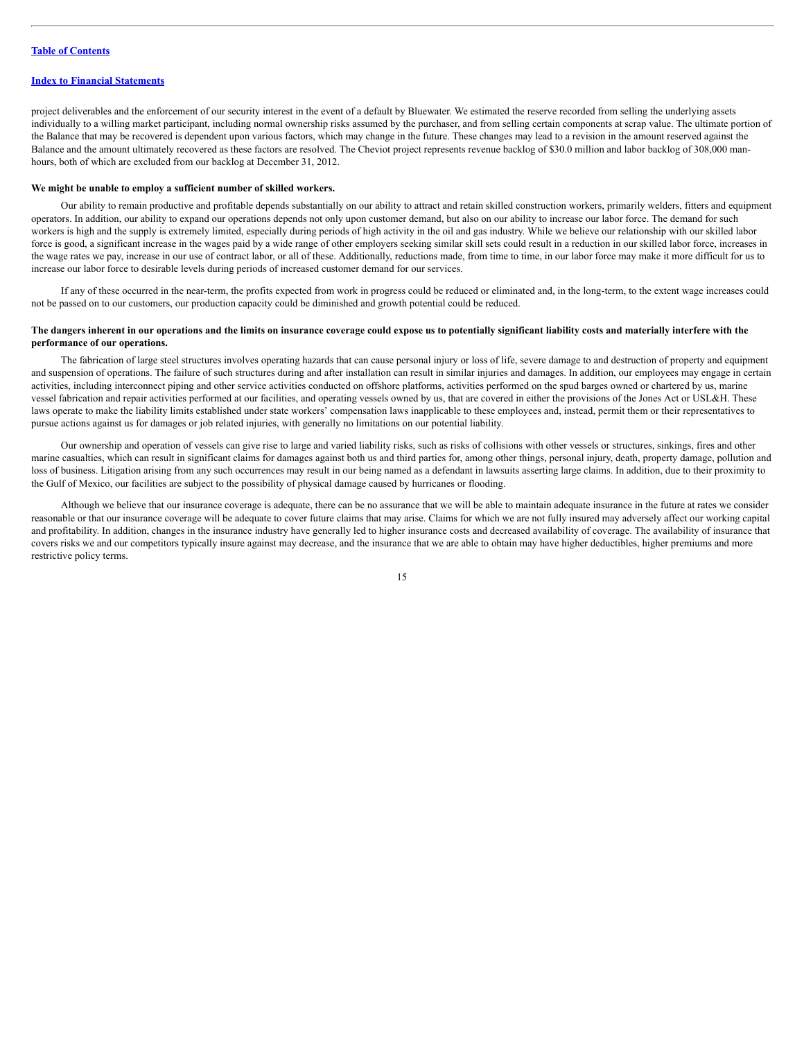project deliverables and the enforcement of our security interest in the event of a default by Bluewater. We estimated the reserve recorded from selling the underlying assets individually to a willing market participant, including normal ownership risks assumed by the purchaser, and from selling certain components at scrap value. The ultimate portion of the Balance that may be recovered is dependent upon various factors, which may change in the future. These changes may lead to a revision in the amount reserved against the Balance and the amount ultimately recovered as these factors are resolved. The Cheviot project represents revenue backlog of \$30.0 million and labor backlog of 308,000 manhours, both of which are excluded from our backlog at December 31, 2012.

### **We might be unable to employ a sufficient number of skilled workers.**

Our ability to remain productive and profitable depends substantially on our ability to attract and retain skilled construction workers, primarily welders, fitters and equipment operators. In addition, our ability to expand our operations depends not only upon customer demand, but also on our ability to increase our labor force. The demand for such workers is high and the supply is extremely limited, especially during periods of high activity in the oil and gas industry. While we believe our relationship with our skilled labor force is good, a significant increase in the wages paid by a wide range of other employers seeking similar skill sets could result in a reduction in our skilled labor force, increases in the wage rates we pay, increase in our use of contract labor, or all of these. Additionally, reductions made, from time to time, in our labor force may make it more difficult for us to increase our labor force to desirable levels during periods of increased customer demand for our services.

If any of these occurred in the near-term, the profits expected from work in progress could be reduced or eliminated and, in the long-term, to the extent wage increases could not be passed on to our customers, our production capacity could be diminished and growth potential could be reduced.

### **The dangers inherent in our operations and the limits on insurance coverage could expose us to potentially significant liability costs and materially interfere with the performance of our operations.**

The fabrication of large steel structures involves operating hazards that can cause personal injury or loss of life, severe damage to and destruction of property and equipment and suspension of operations. The failure of such structures during and after installation can result in similar injuries and damages. In addition, our employees may engage in certain activities, including interconnect piping and other service activities conducted on offshore platforms, activities performed on the spud barges owned or chartered by us, marine vessel fabrication and repair activities performed at our facilities, and operating vessels owned by us, that are covered in either the provisions of the Jones Act or USL&H. These laws operate to make the liability limits established under state workers' compensation laws inapplicable to these employees and, instead, permit them or their representatives to pursue actions against us for damages or job related injuries, with generally no limitations on our potential liability.

Our ownership and operation of vessels can give rise to large and varied liability risks, such as risks of collisions with other vessels or structures, sinkings, fires and other marine casualties, which can result in significant claims for damages against both us and third parties for, among other things, personal injury, death, property damage, pollution and loss of business. Litigation arising from any such occurrences may result in our being named as a defendant in lawsuits asserting large claims. In addition, due to their proximity to the Gulf of Mexico, our facilities are subject to the possibility of physical damage caused by hurricanes or flooding.

Although we believe that our insurance coverage is adequate, there can be no assurance that we will be able to maintain adequate insurance in the future at rates we consider reasonable or that our insurance coverage will be adequate to cover future claims that may arise. Claims for which we are not fully insured may adversely affect our working capital and profitability. In addition, changes in the insurance industry have generally led to higher insurance costs and decreased availability of coverage. The availability of insurance that covers risks we and our competitors typically insure against may decrease, and the insurance that we are able to obtain may have higher deductibles, higher premiums and more restrictive policy terms.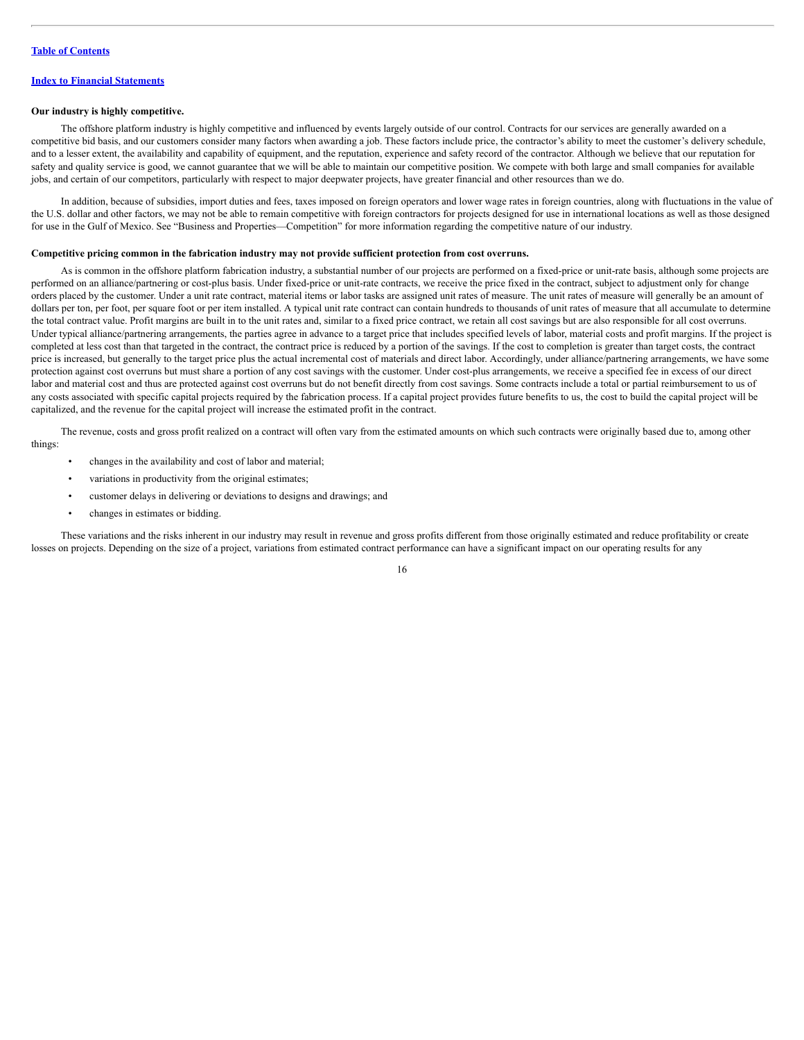#### **Our industry is highly competitive.**

The offshore platform industry is highly competitive and influenced by events largely outside of our control. Contracts for our services are generally awarded on a competitive bid basis, and our customers consider many factors when awarding a job. These factors include price, the contractor's ability to meet the customer's delivery schedule, and to a lesser extent, the availability and capability of equipment, and the reputation, experience and safety record of the contractor. Although we believe that our reputation for safety and quality service is good, we cannot guarantee that we will be able to maintain our competitive position. We compete with both large and small companies for available jobs, and certain of our competitors, particularly with respect to major deepwater projects, have greater financial and other resources than we do.

In addition, because of subsidies, import duties and fees, taxes imposed on foreign operators and lower wage rates in foreign countries, along with fluctuations in the value of the U.S. dollar and other factors, we may not be able to remain competitive with foreign contractors for projects designed for use in international locations as well as those designed for use in the Gulf of Mexico. See "Business and Properties—Competition" for more information regarding the competitive nature of our industry.

#### **Competitive pricing common in the fabrication industry may not provide sufficient protection from cost overruns.**

As is common in the offshore platform fabrication industry, a substantial number of our projects are performed on a fixed-price or unit-rate basis, although some projects are performed on an alliance/partnering or cost-plus basis. Under fixed-price or unit-rate contracts, we receive the price fixed in the contract, subject to adjustment only for change orders placed by the customer. Under a unit rate contract, material items or labor tasks are assigned unit rates of measure. The unit rates of measure will generally be an amount of dollars per ton, per foot, per square foot or per item installed. A typical unit rate contract can contain hundreds to thousands of unit rates of measure that all accumulate to determine the total contract value. Profit margins are built in to the unit rates and, similar to a fixed price contract, we retain all cost savings but are also responsible for all cost overruns. Under typical alliance/partnering arrangements, the parties agree in advance to a target price that includes specified levels of labor, material costs and profit margins. If the project is completed at less cost than that targeted in the contract, the contract price is reduced by a portion of the savings. If the cost to completion is greater than target costs, the contract price is increased, but generally to the target price plus the actual incremental cost of materials and direct labor. Accordingly, under alliance/partnering arrangements, we have some protection against cost overruns but must share a portion of any cost savings with the customer. Under cost-plus arrangements, we receive a specified fee in excess of our direct labor and material cost and thus are protected against cost overruns but do not benefit directly from cost savings. Some contracts include a total or partial reimbursement to us of any costs associated with specific capital projects required by the fabrication process. If a capital project provides future benefits to us, the cost to build the capital project will be capitalized, and the revenue for the capital project will increase the estimated profit in the contract.

The revenue, costs and gross profit realized on a contract will often vary from the estimated amounts on which such contracts were originally based due to, among other things:

- changes in the availability and cost of labor and material;
- variations in productivity from the original estimates;
- customer delays in delivering or deviations to designs and drawings; and
- changes in estimates or bidding.

These variations and the risks inherent in our industry may result in revenue and gross profits different from those originally estimated and reduce profitability or create losses on projects. Depending on the size of a project, variations from estimated contract performance can have a significant impact on our operating results for any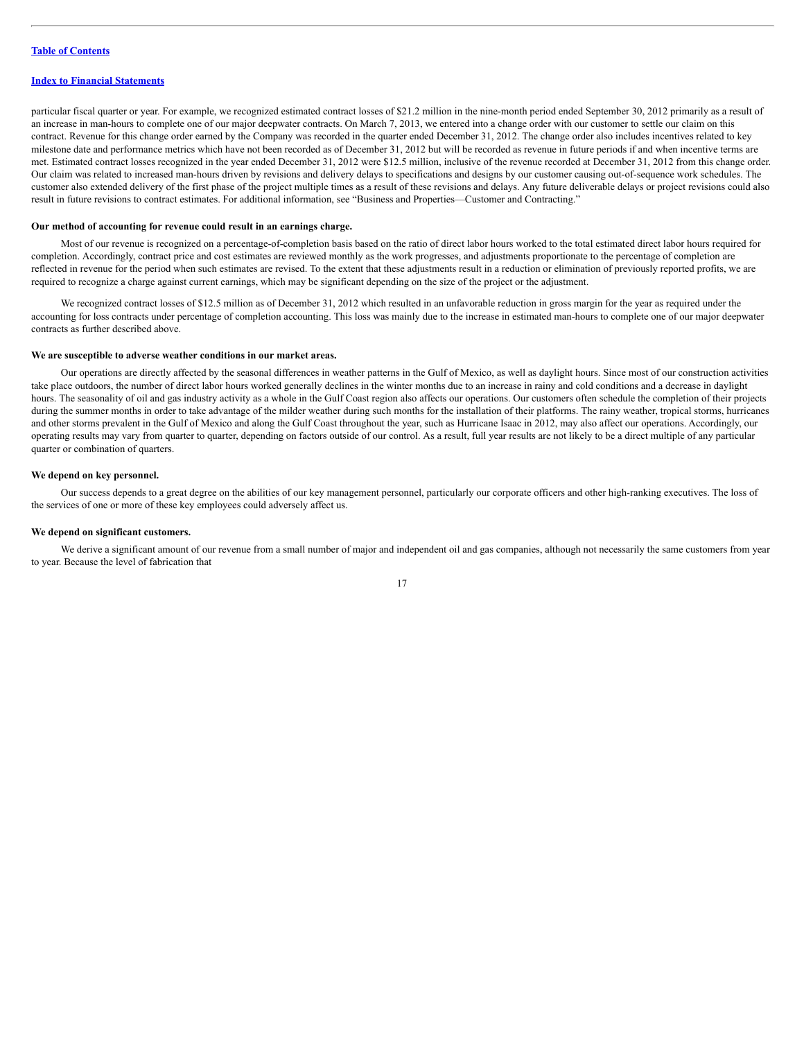particular fiscal quarter or year. For example, we recognized estimated contract losses of \$21.2 million in the nine-month period ended September 30, 2012 primarily as a result of an increase in man-hours to complete one of our major deepwater contracts. On March 7, 2013, we entered into a change order with our customer to settle our claim on this contract. Revenue for this change order earned by the Company was recorded in the quarter ended December 31, 2012. The change order also includes incentives related to key milestone date and performance metrics which have not been recorded as of December 31, 2012 but will be recorded as revenue in future periods if and when incentive terms are met. Estimated contract losses recognized in the year ended December 31, 2012 were \$12.5 million, inclusive of the revenue recorded at December 31, 2012 from this change order. Our claim was related to increased man-hours driven by revisions and delivery delays to specifications and designs by our customer causing out-of-sequence work schedules. The customer also extended delivery of the first phase of the project multiple times as a result of these revisions and delays. Any future deliverable delays or project revisions could also result in future revisions to contract estimates. For additional information, see "Business and Properties—Customer and Contracting."

#### **Our method of accounting for revenue could result in an earnings charge.**

Most of our revenue is recognized on a percentage-of-completion basis based on the ratio of direct labor hours worked to the total estimated direct labor hours required for completion. Accordingly, contract price and cost estimates are reviewed monthly as the work progresses, and adjustments proportionate to the percentage of completion are reflected in revenue for the period when such estimates are revised. To the extent that these adjustments result in a reduction or elimination of previously reported profits, we are required to recognize a charge against current earnings, which may be significant depending on the size of the project or the adjustment.

We recognized contract losses of \$12.5 million as of December 31, 2012 which resulted in an unfavorable reduction in gross margin for the year as required under the accounting for loss contracts under percentage of completion accounting. This loss was mainly due to the increase in estimated man-hours to complete one of our major deepwater contracts as further described above.

#### **We are susceptible to adverse weather conditions in our market areas.**

Our operations are directly affected by the seasonal differences in weather patterns in the Gulf of Mexico, as well as daylight hours. Since most of our construction activities take place outdoors, the number of direct labor hours worked generally declines in the winter months due to an increase in rainy and cold conditions and a decrease in daylight hours. The seasonality of oil and gas industry activity as a whole in the Gulf Coast region also affects our operations. Our customers often schedule the completion of their projects during the summer months in order to take advantage of the milder weather during such months for the installation of their platforms. The rainy weather, tropical storms, hurricanes and other storms prevalent in the Gulf of Mexico and along the Gulf Coast throughout the year, such as Hurricane Isaac in 2012, may also affect our operations. Accordingly, our operating results may vary from quarter to quarter, depending on factors outside of our control. As a result, full year results are not likely to be a direct multiple of any particular quarter or combination of quarters.

### **We depend on key personnel.**

Our success depends to a great degree on the abilities of our key management personnel, particularly our corporate officers and other high-ranking executives. The loss of the services of one or more of these key employees could adversely affect us.

### **We depend on significant customers.**

We derive a significant amount of our revenue from a small number of major and independent oil and gas companies, although not necessarily the same customers from year to year. Because the level of fabrication that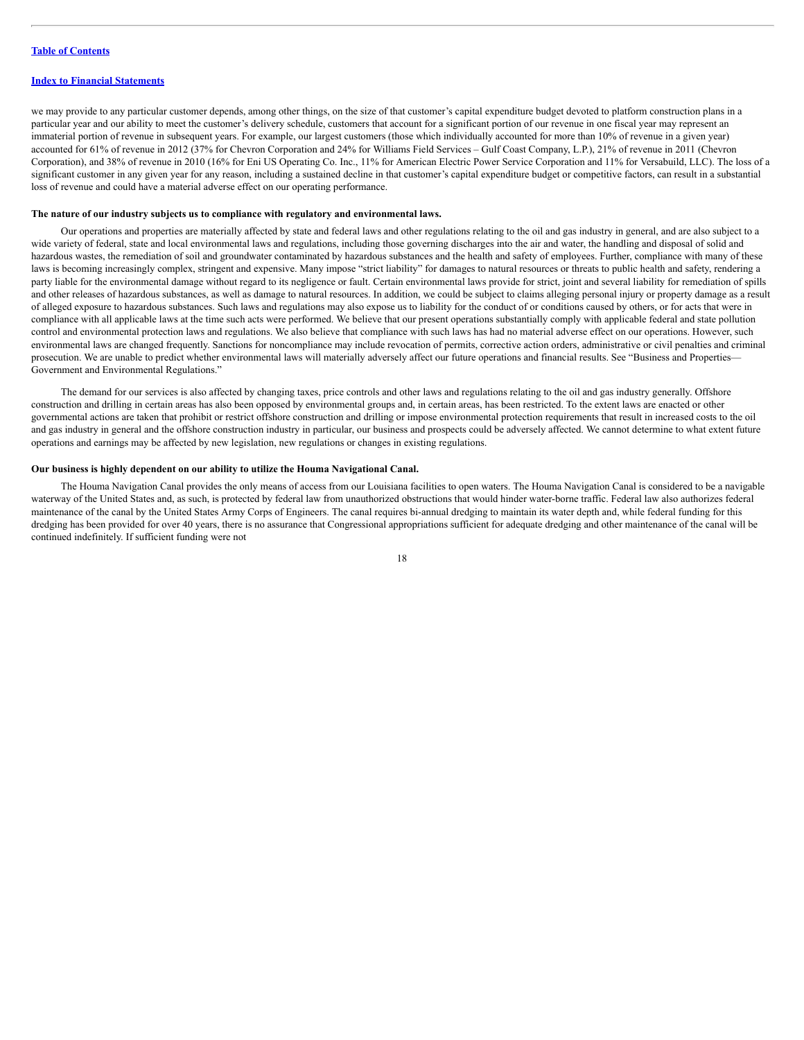we may provide to any particular customer depends, among other things, on the size of that customer's capital expenditure budget devoted to platform construction plans in a particular year and our ability to meet the customer's delivery schedule, customers that account for a significant portion of our revenue in one fiscal year may represent an immaterial portion of revenue in subsequent years. For example, our largest customers (those which individually accounted for more than 10% of revenue in a given year) accounted for 61% of revenue in 2012 (37% for Chevron Corporation and 24% for Williams Field Services – Gulf Coast Company, L.P.), 21% of revenue in 2011 (Chevron Corporation), and 38% of revenue in 2010 (16% for Eni US Operating Co. Inc., 11% for American Electric Power Service Corporation and 11% for Versabuild, LLC). The loss of a significant customer in any given year for any reason, including a sustained decline in that customer's capital expenditure budget or competitive factors, can result in a substantial loss of revenue and could have a material adverse effect on our operating performance.

### **The nature of our industry subjects us to compliance with regulatory and environmental laws.**

Our operations and properties are materially affected by state and federal laws and other regulations relating to the oil and gas industry in general, and are also subject to a wide variety of federal, state and local environmental laws and regulations, including those governing discharges into the air and water, the handling and disposal of solid and hazardous wastes, the remediation of soil and groundwater contaminated by hazardous substances and the health and safety of employees. Further, compliance with many of these laws is becoming increasingly complex, stringent and expensive. Many impose "strict liability" for damages to natural resources or threats to public health and safety, rendering a party liable for the environmental damage without regard to its negligence or fault. Certain environmental laws provide for strict, joint and several liability for remediation of spills and other releases of hazardous substances, as well as damage to natural resources. In addition, we could be subject to claims alleging personal injury or property damage as a result of alleged exposure to hazardous substances. Such laws and regulations may also expose us to liability for the conduct of or conditions caused by others, or for acts that were in compliance with all applicable laws at the time such acts were performed. We believe that our present operations substantially comply with applicable federal and state pollution control and environmental protection laws and regulations. We also believe that compliance with such laws has had no material adverse effect on our operations. However, such environmental laws are changed frequently. Sanctions for noncompliance may include revocation of permits, corrective action orders, administrative or civil penalties and criminal prosecution. We are unable to predict whether environmental laws will materially adversely affect our future operations and financial results. See "Business and Properties— Government and Environmental Regulations."

The demand for our services is also affected by changing taxes, price controls and other laws and regulations relating to the oil and gas industry generally. Offshore construction and drilling in certain areas has also been opposed by environmental groups and, in certain areas, has been restricted. To the extent laws are enacted or other governmental actions are taken that prohibit or restrict offshore construction and drilling or impose environmental protection requirements that result in increased costs to the oil and gas industry in general and the offshore construction industry in particular, our business and prospects could be adversely affected. We cannot determine to what extent future operations and earnings may be affected by new legislation, new regulations or changes in existing regulations.

### **Our business is highly dependent on our ability to utilize the Houma Navigational Canal.**

The Houma Navigation Canal provides the only means of access from our Louisiana facilities to open waters. The Houma Navigation Canal is considered to be a navigable waterway of the United States and, as such, is protected by federal law from unauthorized obstructions that would hinder water-borne traffic. Federal law also authorizes federal maintenance of the canal by the United States Army Corps of Engineers. The canal requires bi-annual dredging to maintain its water depth and, while federal funding for this dredging has been provided for over 40 years, there is no assurance that Congressional appropriations sufficient for adequate dredging and other maintenance of the canal will be continued indefinitely. If sufficient funding were not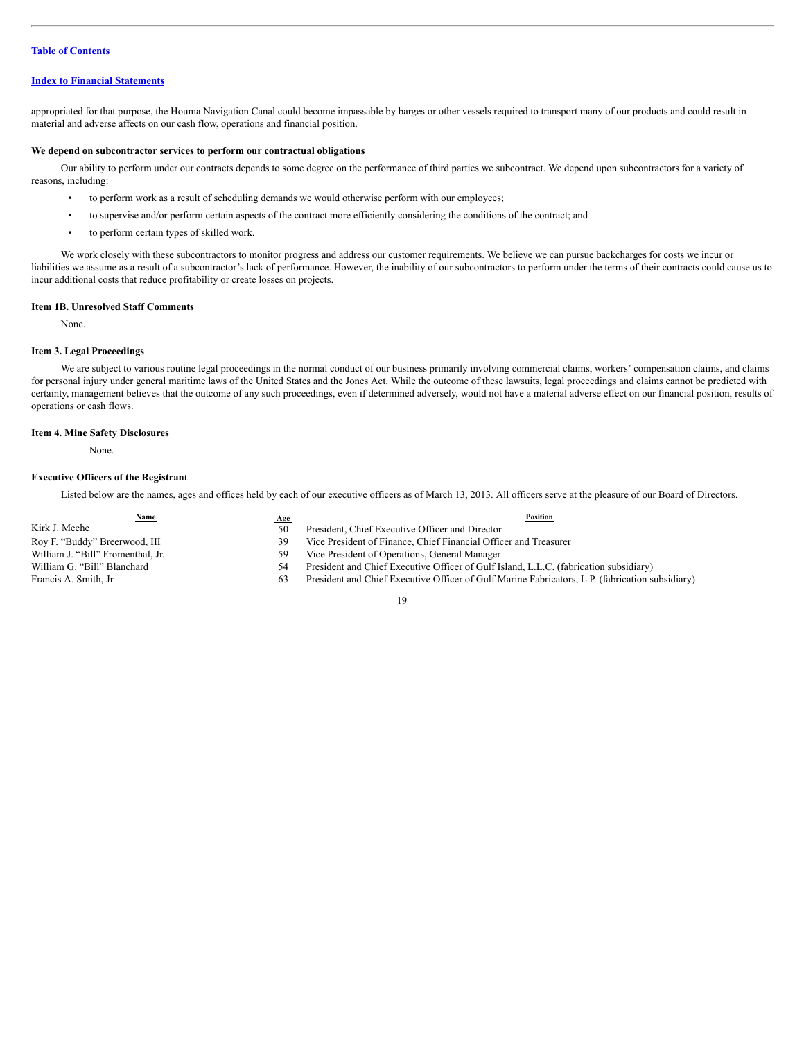appropriated for that purpose, the Houma Navigation Canal could become impassable by barges or other vessels required to transport many of our products and could result in material and adverse affects on our cash flow, operations and financial position.

#### **We depend on subcontractor services to perform our contractual obligations**

Our ability to perform under our contracts depends to some degree on the performance of third parties we subcontract. We depend upon subcontractors for a variety of reasons, including:

- to perform work as a result of scheduling demands we would otherwise perform with our employees;
- to supervise and/or perform certain aspects of the contract more efficiently considering the conditions of the contract; and
- to perform certain types of skilled work.

We work closely with these subcontractors to monitor progress and address our customer requirements. We believe we can pursue backcharges for costs we incur or liabilities we assume as a result of a subcontractor's lack of performance. However, the inability of our subcontractors to perform under the terms of their contracts could cause us to incur additional costs that reduce profitability or create losses on projects.

#### <span id="page-20-0"></span>**Item 1B. Unresolved Staff Comments**

None.

#### <span id="page-20-1"></span>**Item 3. Legal Proceedings**

We are subject to various routine legal proceedings in the normal conduct of our business primarily involving commercial claims, workers' compensation claims, and claims for personal injury under general maritime laws of the United States and the Jones Act. While the outcome of these lawsuits, legal proceedings and claims cannot be predicted with certainty, management believes that the outcome of any such proceedings, even if determined adversely, would not have a material adverse effect on our financial position, results of operations or cash flows.

#### <span id="page-20-2"></span>**Item 4. Mine Safety Disclosures**

None.

#### <span id="page-20-3"></span>**Executive Officers of the Registrant**

Listed below are the names, ages and offices held by each of our executive officers as of March 13, 2013. All officers serve at the pleasure of our Board of Directors.

| Kirk J. Meche                     |
|-----------------------------------|
| Roy F. "Buddy" Breerwood, III     |
| William J. "Bill" Fromenthal, Jr. |
| William G. "Bill" Blanchard       |
| Francis A. Smith, Jr.             |

- **Name Age Position** Age<br>50 President, Chief Executive Officer and Director<br>39 Vice President of Finance, Chief Financial Offic
	- 39 Vice President of Finance, Chief Financial Officer and Treasurer<br>59 Vice President of Operations, General Manager
		- Vice President of Operations, General Manager
	- 54 President and Chief Executive Officer of Gulf Island, L.L.C. (fabrication subsidiary)
	- 63 President and Chief Executive Officer of Gulf Marine Fabricators, L.P. (fabrication subsidiary)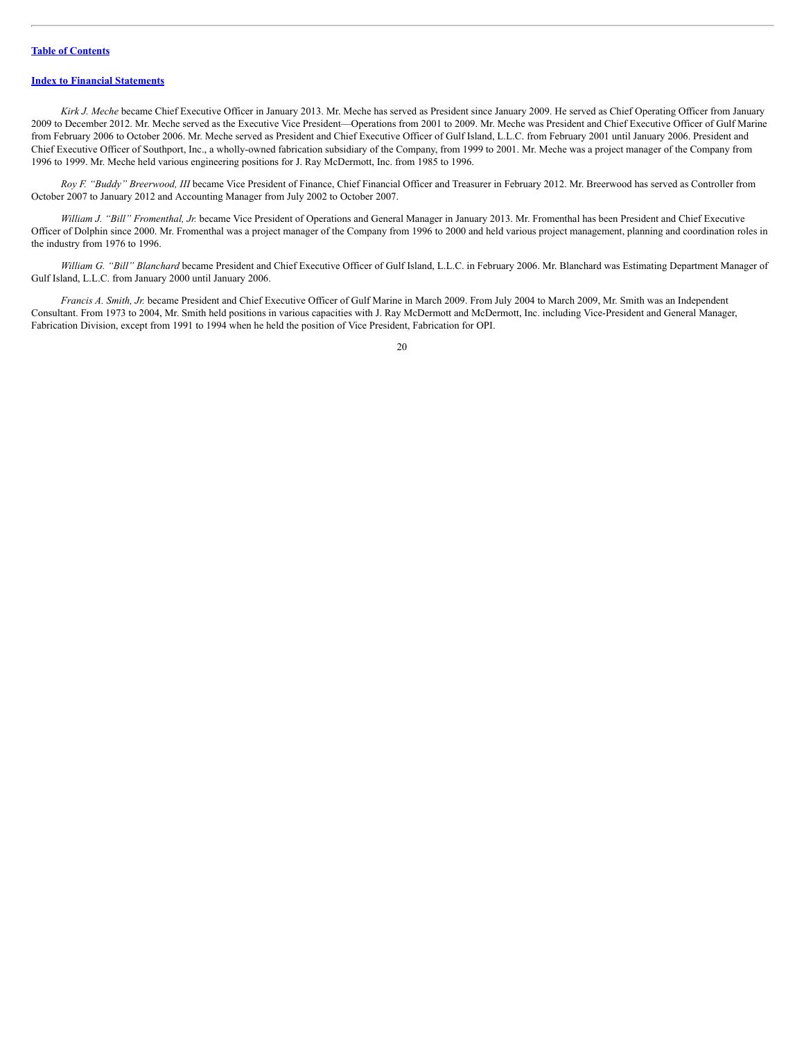*Kirk J. Meche* became Chief Executive Officer in January 2013. Mr. Meche has served as President since January 2009. He served as Chief Operating Officer from January 2009 to December 2012. Mr. Meche served as the Executive Vice President—Operations from 2001 to 2009. Mr. Meche was President and Chief Executive Officer of Gulf Marine from February 2006 to October 2006. Mr. Meche served as President and Chief Executive Officer of Gulf Island, L.L.C. from February 2001 until January 2006. President and Chief Executive Officer of Southport, Inc., a wholly-owned fabrication subsidiary of the Company, from 1999 to 2001. Mr. Meche was a project manager of the Company from 1996 to 1999. Mr. Meche held various engineering positions for J. Ray McDermott, Inc. from 1985 to 1996.

*Roy F. "Buddy" Breerwood, III* became Vice President of Finance, Chief Financial Officer and Treasurer in February 2012. Mr. Breerwood has served as Controller from October 2007 to January 2012 and Accounting Manager from July 2002 to October 2007.

William J. "Bill" Fromenthal, Jr. became Vice President of Operations and General Manager in January 2013. Mr. Fromenthal has been President and Chief Executive Officer of Dolphin since 2000. Mr. Fromenthal was a project manager of the Company from 1996 to 2000 and held various project management, planning and coordination roles in the industry from 1976 to 1996.

William G. "Bill" Blanchard became President and Chief Executive Officer of Gulf Island, L.L.C. in February 2006. Mr. Blanchard was Estimating Department Manager of Gulf Island, L.L.C. from January 2000 until January 2006.

*Francis A. Smith, Jr.* became President and Chief Executive Officer of Gulf Marine in March 2009. From July 2004 to March 2009, Mr. Smith was an Independent Consultant. From 1973 to 2004, Mr. Smith held positions in various capacities with J. Ray McDermott and McDermott, Inc. including Vice-President and General Manager, Fabrication Division, except from 1991 to 1994 when he held the position of Vice President, Fabrication for OPI.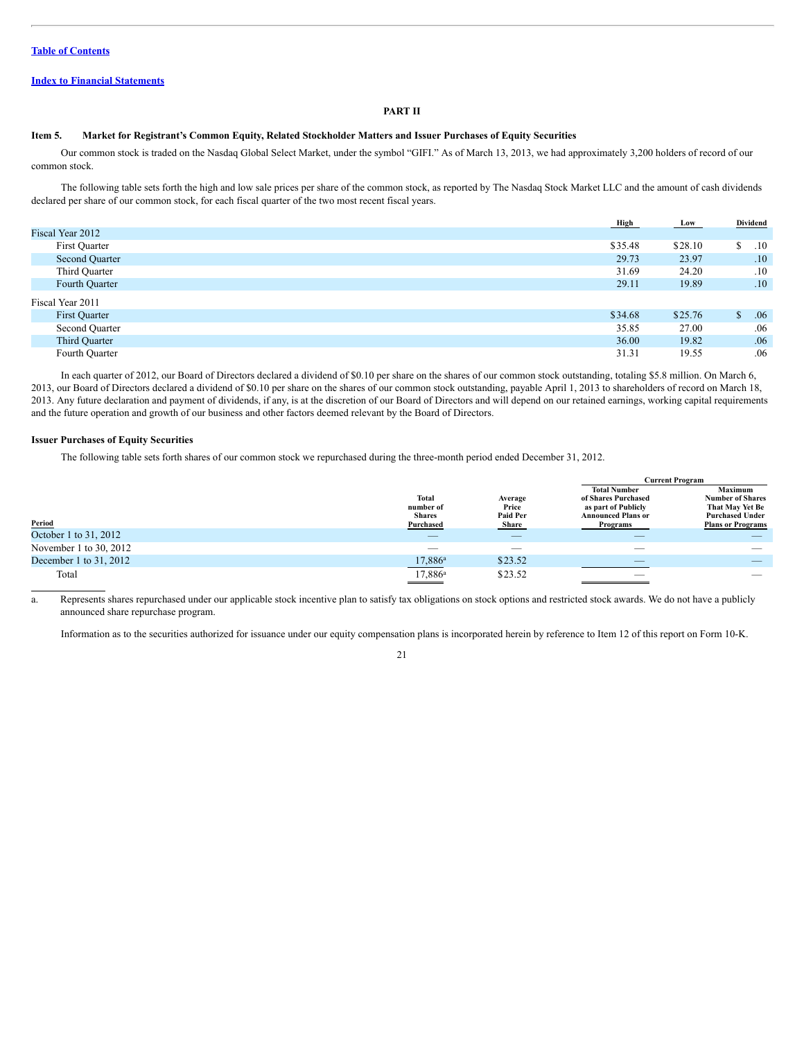### **PART II**

### <span id="page-22-0"></span>**Item 5. Market for Registrant's Common Equity, Related Stockholder Matters and Issuer Purchases of Equity Securities**

Our common stock is traded on the Nasdaq Global Select Market, under the symbol "GIFI." As of March 13, 2013, we had approximately 3,200 holders of record of our common stock.

The following table sets forth the high and low sale prices per share of the common stock, as reported by The Nasdaq Stock Market LLC and the amount of cash dividends declared per share of our common stock, for each fiscal quarter of the two most recent fiscal years.

|                  | High    | Low     | <b>Dividend</b> |
|------------------|---------|---------|-----------------|
| Fiscal Year 2012 |         |         |                 |
| First Quarter    | \$35.48 | \$28.10 | \$<br>.10       |
| Second Quarter   | 29.73   | 23.97   | .10             |
| Third Quarter    | 31.69   | 24.20   | .10             |
| Fourth Quarter   | 29.11   | 19.89   | .10             |
| Fiscal Year 2011 |         |         |                 |
| First Ouarter    | \$34.68 | \$25.76 | \$<br>.06       |
| Second Quarter   | 35.85   | 27.00   | .06             |
| Third Quarter    | 36.00   | 19.82   | .06             |
| Fourth Quarter   | 31.31   | 19.55   | .06             |

In each quarter of 2012, our Board of Directors declared a dividend of \$0.10 per share on the shares of our common stock outstanding, totaling \$5.8 million. On March 6, 2013, our Board of Directors declared a dividend of \$0.10 per share on the shares of our common stock outstanding, payable April 1, 2013 to shareholders of record on March 18, 2013. Any future declaration and payment of dividends, if any, is at the discretion of our Board of Directors and will depend on our retained earnings, working capital requirements and the future operation and growth of our business and other factors deemed relevant by the Board of Directors.

### **Issuer Purchases of Equity Securities**

The following table sets forth shares of our common stock we repurchased during the three-month period ended December 31, 2012.

|                        |                                                         |                                                     | Current Program                                                                                            |                                                                                                                    |
|------------------------|---------------------------------------------------------|-----------------------------------------------------|------------------------------------------------------------------------------------------------------------|--------------------------------------------------------------------------------------------------------------------|
| Period                 | <b>Total</b><br>number of<br><b>Shares</b><br>Purchased | Average<br>Price<br><b>Paid Per</b><br><b>Share</b> | <b>Total Number</b><br>of Shares Purchased<br>as part of Publicly<br><b>Announced Plans or</b><br>Programs | <b>Maximum</b><br><b>Number of Shares</b><br>That May Yet Be<br><b>Purchased Under</b><br><b>Plans or Programs</b> |
| October 1 to 31, 2012  |                                                         |                                                     | _                                                                                                          |                                                                                                                    |
| November 1 to 30, 2012 |                                                         |                                                     | $\overline{\phantom{a}}$                                                                                   |                                                                                                                    |
| December 1 to 31, 2012 | $17,886^a$                                              | \$23.52                                             |                                                                                                            |                                                                                                                    |
| Total                  | $17,886^{\rm a}$                                        | \$23.52                                             |                                                                                                            |                                                                                                                    |

a. Represents shares repurchased under our applicable stock incentive plan to satisfy tax obligations on stock options and restricted stock awards. We do not have a publicly announced share repurchase program.

Information as to the securities authorized for issuance under our equity compensation plans is incorporated herein by reference to Item 12 of this report on Form 10-K.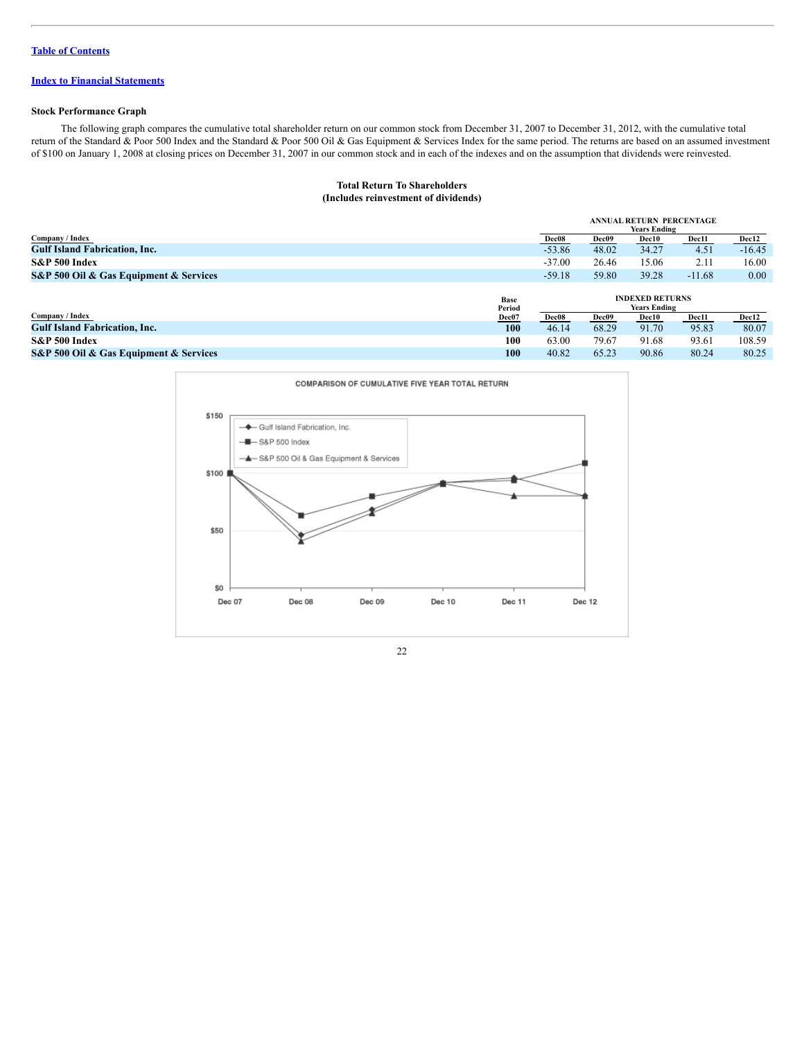### **Stock Performance Graph**

The following graph compares the cumulative total shareholder return on our common stock from December 31, 2007 to December 31, 2012, with the cumulative total return of the Standard & Poor 500 Index and the Standard & Poor 500 Oil & Gas Equipment & Services Index for the same period. The returns are based on an assumed investment of \$100 on January 1, 2008 at closing prices on December 31, 2007 in our common stock and in each of the indexes and on the assumption that dividends were reinvested.

### **Total Return To Shareholders (Includes reinvestment of dividends)**

|                                                           |                       | <b>ANNUAL RETURN PERCENTAGE</b><br><b>Years Ending</b> |       |       |          |          |
|-----------------------------------------------------------|-----------------------|--------------------------------------------------------|-------|-------|----------|----------|
| Company / Index                                           |                       | Dec <sub>08</sub>                                      | Dec09 | Dec10 | Dec11    | Dec12    |
| <b>Gulf Island Fabrication, Inc.</b>                      |                       | $-53.86$                                               | 48.02 | 34.27 | 4.51     | $-16.45$ |
| S&P 500 Index                                             |                       | $-37.00$                                               | 26.46 | 15.06 | 2.11     | 16.00    |
| S&P 500 Oil & Gas Equipment & Services                    |                       | $-59.18$                                               | 59.80 | 39.28 | $-11.68$ | 0.00     |
|                                                           | <b>Base</b><br>Period | <b>INDEXED RETURNS</b><br><b>Years Ending</b>          |       |       |          |          |
| Company / Index                                           | Dec <sub>07</sub>     | Dec08                                                  | Dec09 | Dec10 | Dec11    | Dec12    |
| <b>Gulf Island Fabrication, Inc.</b>                      | 100                   | 46.14                                                  | 68.29 | 91.70 | 95.83    | 80.07    |
| S&P 500 Index                                             | 100                   | 63.00                                                  | 79.67 | 91.68 | 93.61    | 108.59   |
| <b>S&amp;P 500 Oil &amp; Gas Equipment &amp; Services</b> | 100                   | 40.82                                                  | 65.23 | 90.86 | 80.24    | 80.25    |

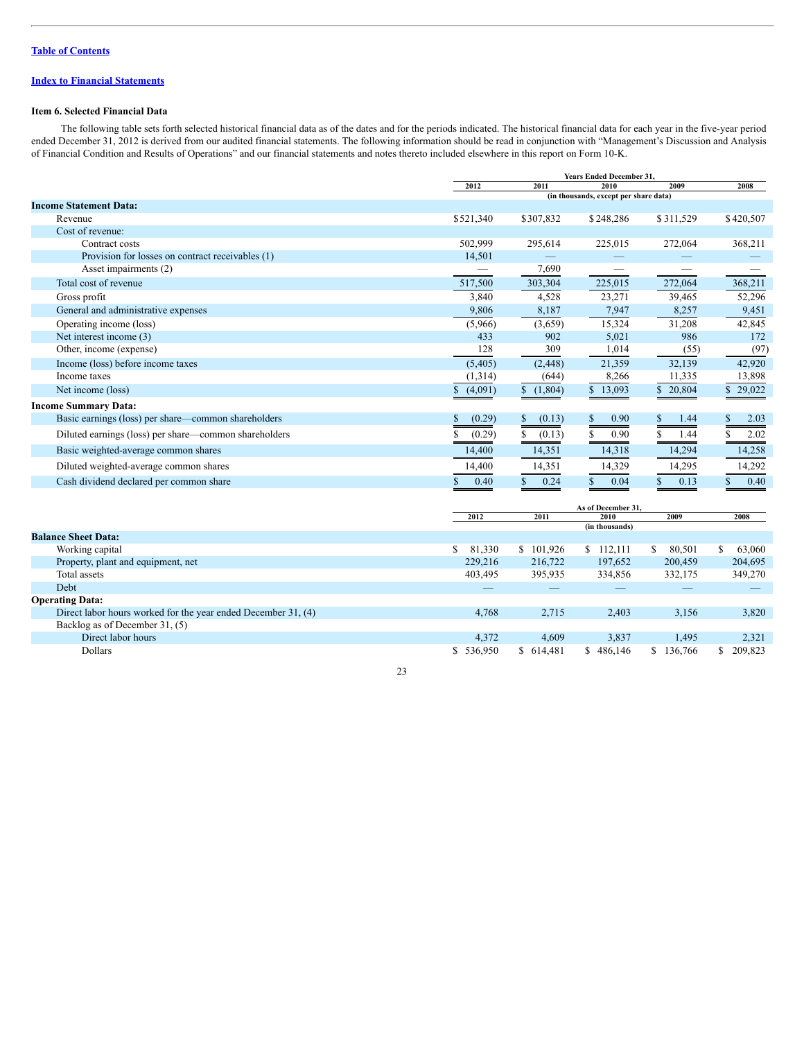### <span id="page-24-0"></span>**Item 6. Selected Financial Data**

The following table sets forth selected historical financial data as of the dates and for the periods indicated. The historical financial data for each year in the five-year period ended December 31, 2012 is derived from our audited financial statements. The following information should be read in conjunction with "Management's Discussion and Analysis of Financial Condition and Results of Operations" and our financial statements and notes thereto included elsewhere in this report on Form 10-K.

|                                                       | <b>Years Ended December 31,</b> |           |                                       |           |           |
|-------------------------------------------------------|---------------------------------|-----------|---------------------------------------|-----------|-----------|
|                                                       | 2012                            | 2011      | 2010                                  | 2009      | 2008      |
|                                                       |                                 |           | (in thousands, except per share data) |           |           |
| <b>Income Statement Data:</b>                         |                                 |           |                                       |           |           |
| Revenue                                               | \$521,340                       | \$307,832 | \$248,286                             | \$311,529 | \$420,507 |
| Cost of revenue:                                      |                                 |           |                                       |           |           |
| Contract costs                                        | 502,999                         | 295,614   | 225,015                               | 272,064   | 368,211   |
| Provision for losses on contract receivables (1)      | 14,501                          |           |                                       |           |           |
| Asset impairments (2)                                 |                                 | 7,690     |                                       |           |           |
| Total cost of revenue                                 | 517,500                         | 303,304   | 225,015                               | 272,064   | 368,211   |
| Gross profit                                          | 3,840                           | 4,528     | 23,271                                | 39,465    | 52,296    |
| General and administrative expenses                   | 9,806                           | 8,187     | 7,947                                 | 8,257     | 9,451     |
| Operating income (loss)                               | (5,966)                         | (3,659)   | 15,324                                | 31,208    | 42,845    |
| Net interest income (3)                               | 433                             | 902       | 5,021                                 | 986       | 172       |
| Other, income (expense)                               | 128                             | 309       | 1,014                                 | (55)      | (97)      |
| Income (loss) before income taxes                     | (5,405)                         | (2, 448)  | 21,359                                | 32,139    | 42,920    |
| Income taxes                                          | (1,314)                         | (644)     | 8,266                                 | 11,335    | 13,898    |
| Net income (loss)                                     | (4,091)                         | (1,804)   | \$13,093                              | 20,804    | \$29,022  |
| <b>Income Summary Data:</b>                           |                                 |           |                                       |           |           |
| Basic earnings (loss) per share—common shareholders   | (0.29)<br>S.                    | (0.13)    | \$<br>0.90                            | 1.44      | 2.03      |
| Diluted earnings (loss) per share—common shareholders | (0.29)                          | (0.13)    | 0.90                                  | 1.44      | 2.02      |
| Basic weighted-average common shares                  | 14,400                          | 14,351    | 14,318                                | 14,294    | 14,258    |
| Diluted weighted-average common shares                | 14,400                          | 14,351    | 14,329                                | 14,295    | 14,292    |
| Cash dividend declared per common share               | 0.40                            | 0.24      | 0.04                                  | 0.13      | 0.40      |

|                                                               |              |            | As of December 31. |               |            |
|---------------------------------------------------------------|--------------|------------|--------------------|---------------|------------|
|                                                               | 2012         | 2011       | 2010               | 2009          | 2008       |
|                                                               |              |            | (in thousands)     |               |            |
| <b>Balance Sheet Data:</b>                                    |              |            |                    |               |            |
| Working capital                                               | 81,330<br>S. | \$101,926  | \$112,111          | 80,501<br>S.  | 63,060     |
| Property, plant and equipment, net                            | 229,216      | 216,722    | 197,652            | 200,459       | 204,695    |
| Total assets                                                  | 403,495      | 395,935    | 334,856            | 332,175       | 349,270    |
| Debt                                                          |              |            |                    |               |            |
| <b>Operating Data:</b>                                        |              |            |                    |               |            |
| Direct labor hours worked for the year ended December 31, (4) | 4,768        | 2.715      | 2,403              | 3,156         | 3,820      |
| Backlog as of December 31, (5)                                |              |            |                    |               |            |
| Direct labor hours                                            | 4,372        | 4,609      | 3,837              | 1,495         | 2,321      |
| Dollars                                                       | \$536,950    | \$ 614,481 | \$486,146          | 136,766<br>S. | \$ 209,823 |

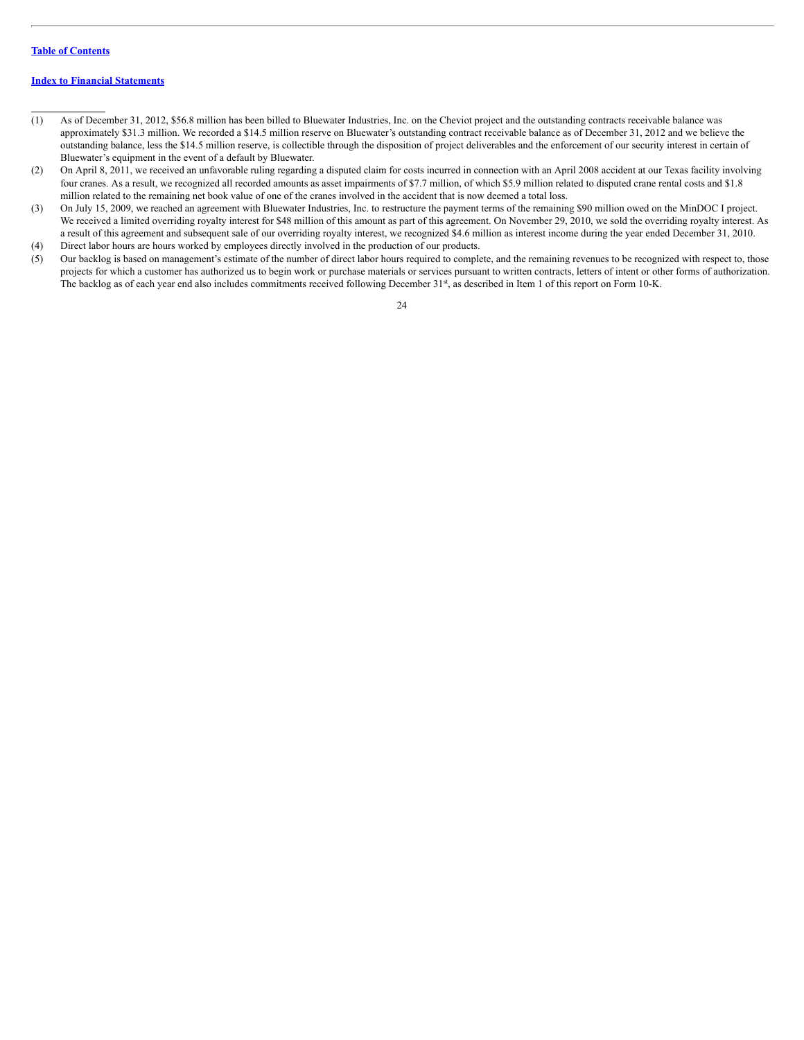- (1) As of December 31, 2012, \$56.8 million has been billed to Bluewater Industries, Inc. on the Cheviot project and the outstanding contracts receivable balance was approximately \$31.3 million. We recorded a \$14.5 million reserve on Bluewater's outstanding contract receivable balance as of December 31, 2012 and we believe the outstanding balance, less the \$14.5 million reserve, is collectible through the disposition of project deliverables and the enforcement of our security interest in certain of Bluewater's equipment in the event of a default by Bluewater.
- (2) On April 8, 2011, we received an unfavorable ruling regarding a disputed claim for costs incurred in connection with an April 2008 accident at our Texas facility involving four cranes. As a result, we recognized all recorded amounts as asset impairments of \$7.7 million, of which \$5.9 million related to disputed crane rental costs and \$1.8 million related to the remaining net book value of one of the cranes involved in the accident that is now deemed a total loss.
- (3) On July 15, 2009, we reached an agreement with Bluewater Industries, Inc. to restructure the payment terms of the remaining \$90 million owed on the MinDOC I project. We received a limited overriding royalty interest for \$48 million of this amount as part of this agreement. On November 29, 2010, we sold the overriding royalty interest. As a result of this agreement and subsequent sale of our overriding royalty interest, we recognized \$4.6 million as interest income during the year ended December 31, 2010.
- (4) Direct labor hours are hours worked by employees directly involved in the production of our products.
- (5) Our backlog is based on management's estimate of the number of direct labor hours required to complete, and the remaining revenues to be recognized with respect to, those projects for which a customer has authorized us to begin work or purchase materials or services pursuant to written contracts, letters of intent or other forms of authorization. The backlog as of each year end also includes commitments received following December 31<sup>st</sup>, as described in Item 1 of this report on Form 10-K.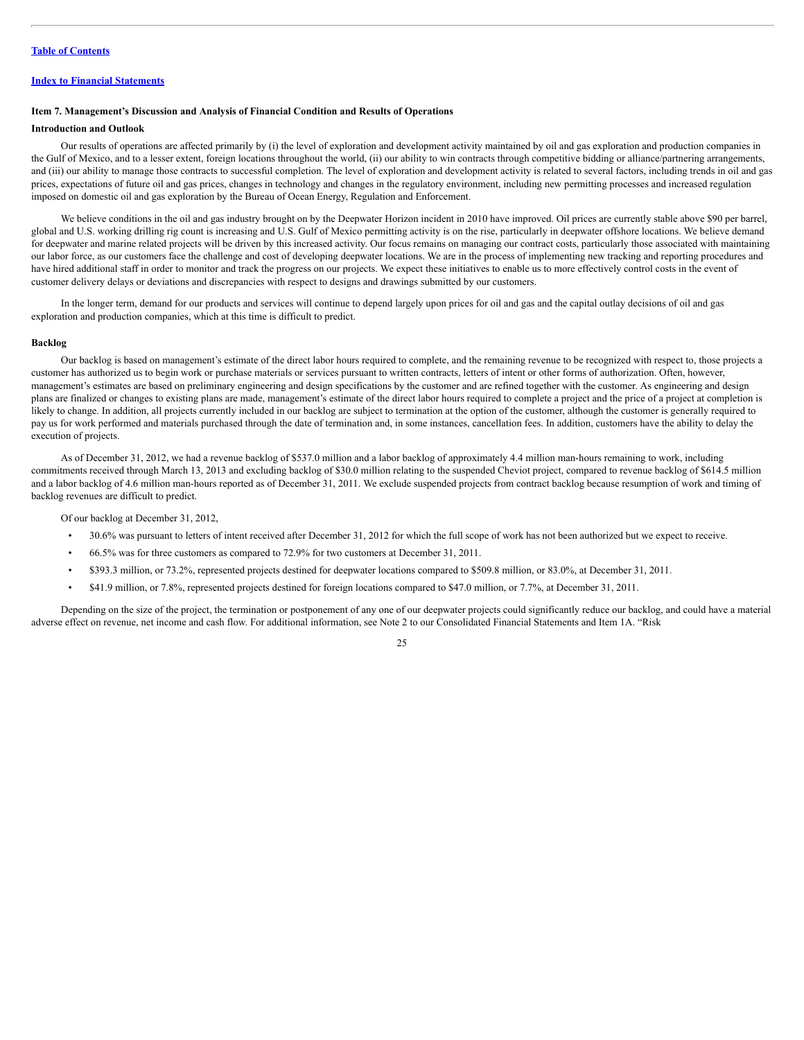### <span id="page-26-0"></span>**Item 7. Management's Discussion and Analysis of Financial Condition and Results of Operations**

### **Introduction and Outlook**

Our results of operations are affected primarily by (i) the level of exploration and development activity maintained by oil and gas exploration and production companies in the Gulf of Mexico, and to a lesser extent, foreign locations throughout the world, (ii) our ability to win contracts through competitive bidding or alliance/partnering arrangements, and (iii) our ability to manage those contracts to successful completion. The level of exploration and development activity is related to several factors, including trends in oil and gas prices, expectations of future oil and gas prices, changes in technology and changes in the regulatory environment, including new permitting processes and increased regulation imposed on domestic oil and gas exploration by the Bureau of Ocean Energy, Regulation and Enforcement.

We believe conditions in the oil and gas industry brought on by the Deepwater Horizon incident in 2010 have improved. Oil prices are currently stable above \$90 per barrel, global and U.S. working drilling rig count is increasing and U.S. Gulf of Mexico permitting activity is on the rise, particularly in deepwater offshore locations. We believe demand for deepwater and marine related projects will be driven by this increased activity. Our focus remains on managing our contract costs, particularly those associated with maintaining our labor force, as our customers face the challenge and cost of developing deepwater locations. We are in the process of implementing new tracking and reporting procedures and have hired additional staff in order to monitor and track the progress on our projects. We expect these initiatives to enable us to more effectively control costs in the event of customer delivery delays or deviations and discrepancies with respect to designs and drawings submitted by our customers.

In the longer term, demand for our products and services will continue to depend largely upon prices for oil and gas and the capital outlay decisions of oil and gas exploration and production companies, which at this time is difficult to predict.

### **Backlog**

Our backlog is based on management's estimate of the direct labor hours required to complete, and the remaining revenue to be recognized with respect to, those projects a customer has authorized us to begin work or purchase materials or services pursuant to written contracts, letters of intent or other forms of authorization. Often, however, management's estimates are based on preliminary engineering and design specifications by the customer and are refined together with the customer. As engineering and design plans are finalized or changes to existing plans are made, management's estimate of the direct labor hours required to complete a project and the price of a project at completion is likely to change. In addition, all projects currently included in our backlog are subject to termination at the option of the customer, although the customer is generally required to pay us for work performed and materials purchased through the date of termination and, in some instances, cancellation fees. In addition, customers have the ability to delay the execution of projects.

As of December 31, 2012, we had a revenue backlog of \$537.0 million and a labor backlog of approximately 4.4 million man-hours remaining to work, including commitments received through March 13, 2013 and excluding backlog of \$30.0 million relating to the suspended Cheviot project, compared to revenue backlog of \$614.5 million and a labor backlog of 4.6 million man-hours reported as of December 31, 2011. We exclude suspended projects from contract backlog because resumption of work and timing of backlog revenues are difficult to predict.

Of our backlog at December 31, 2012,

- 30.6% was pursuant to letters of intent received after December 31, 2012 for which the full scope of work has not been authorized but we expect to receive.
- 66.5% was for three customers as compared to 72.9% for two customers at December 31, 2011.
- \$393.3 million, or 73.2%, represented projects destined for deepwater locations compared to \$509.8 million, or 83.0%, at December 31, 2011.
- \$41.9 million, or 7.8%, represented projects destined for foreign locations compared to \$47.0 million, or 7.7%, at December 31, 2011.

Depending on the size of the project, the termination or postponement of any one of our deepwater projects could significantly reduce our backlog, and could have a material adverse effect on revenue, net income and cash flow. For additional information, see Note 2 to our Consolidated Financial Statements and Item 1A. "Risk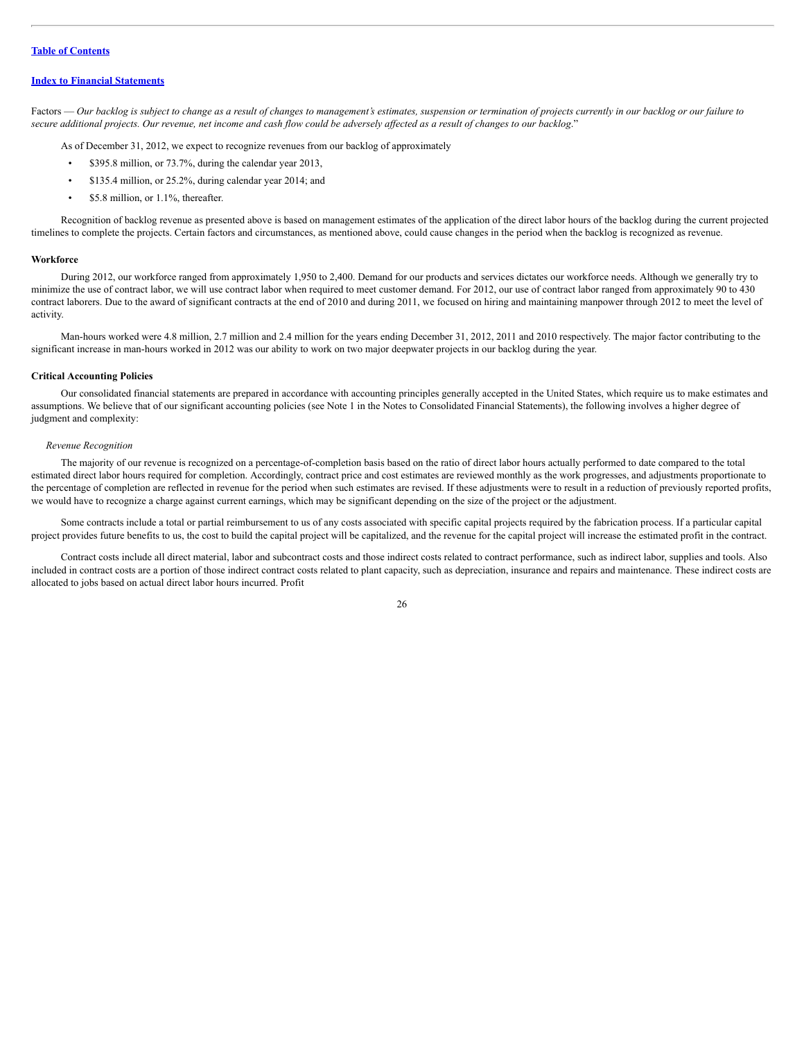### **Table of [Contents](#page-1-0)**

### **Index to Financial [Statements](#page-37-0)**

Factors — *Our backlog is subject to change as a result of changes to management's estimates, suspension or termination of projects currently in our backlog or our failure to secure additional projects. Our revenue, net income and cash flow could be adversely affected as a result of changes to our backlog*."

As of December 31, 2012, we expect to recognize revenues from our backlog of approximately

- \$395.8 million, or 73.7%, during the calendar year 2013,
- \$135.4 million, or 25.2%, during calendar year 2014; and
- \$5.8 million, or 1.1%, thereafter.

Recognition of backlog revenue as presented above is based on management estimates of the application of the direct labor hours of the backlog during the current projected timelines to complete the projects. Certain factors and circumstances, as mentioned above, could cause changes in the period when the backlog is recognized as revenue.

#### **Workforce**

During 2012, our workforce ranged from approximately 1,950 to 2,400. Demand for our products and services dictates our workforce needs. Although we generally try to minimize the use of contract labor, we will use contract labor when required to meet customer demand. For 2012, our use of contract labor ranged from approximately 90 to 430 contract laborers. Due to the award of significant contracts at the end of 2010 and during 2011, we focused on hiring and maintaining manpower through 2012 to meet the level of activity.

Man-hours worked were 4.8 million, 2.7 million and 2.4 million for the years ending December 31, 2012, 2011 and 2010 respectively. The major factor contributing to the significant increase in man-hours worked in 2012 was our ability to work on two major deepwater projects in our backlog during the year.

### **Critical Accounting Policies**

Our consolidated financial statements are prepared in accordance with accounting principles generally accepted in the United States, which require us to make estimates and assumptions. We believe that of our significant accounting policies (see Note 1 in the Notes to Consolidated Financial Statements), the following involves a higher degree of judgment and complexity:

#### *Revenue Recognition*

The majority of our revenue is recognized on a percentage-of-completion basis based on the ratio of direct labor hours actually performed to date compared to the total estimated direct labor hours required for completion. Accordingly, contract price and cost estimates are reviewed monthly as the work progresses, and adjustments proportionate to the percentage of completion are reflected in revenue for the period when such estimates are revised. If these adjustments were to result in a reduction of previously reported profits, we would have to recognize a charge against current earnings, which may be significant depending on the size of the project or the adjustment.

Some contracts include a total or partial reimbursement to us of any costs associated with specific capital projects required by the fabrication process. If a particular capital project provides future benefits to us, the cost to build the capital project will be capitalized, and the revenue for the capital project will increase the estimated profit in the contract.

Contract costs include all direct material, labor and subcontract costs and those indirect costs related to contract performance, such as indirect labor, supplies and tools. Also included in contract costs are a portion of those indirect contract costs related to plant capacity, such as depreciation, insurance and repairs and maintenance. These indirect costs are allocated to jobs based on actual direct labor hours incurred. Profit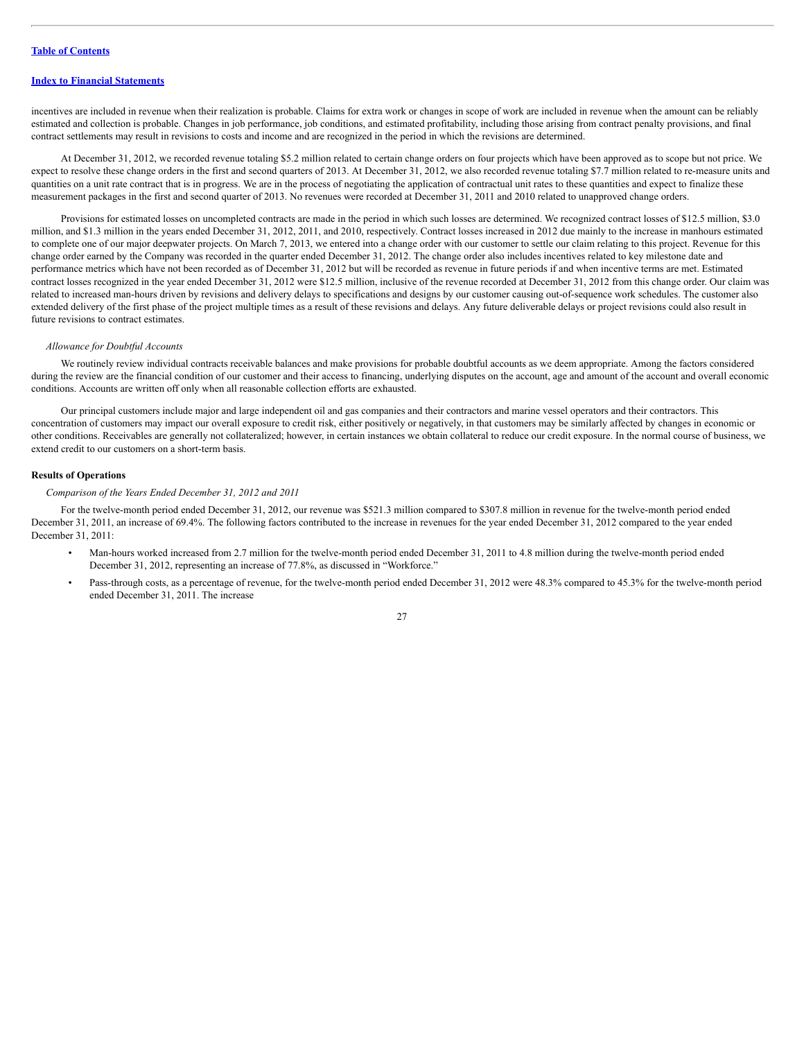incentives are included in revenue when their realization is probable. Claims for extra work or changes in scope of work are included in revenue when the amount can be reliably estimated and collection is probable. Changes in job performance, job conditions, and estimated profitability, including those arising from contract penalty provisions, and final contract settlements may result in revisions to costs and income and are recognized in the period in which the revisions are determined.

At December 31, 2012, we recorded revenue totaling \$5.2 million related to certain change orders on four projects which have been approved as to scope but not price. We expect to resolve these change orders in the first and second quarters of 2013. At December 31, 2012, we also recorded revenue totaling \$7.7 million related to re-measure units and quantities on a unit rate contract that is in progress. We are in the process of negotiating the application of contractual unit rates to these quantities and expect to finalize these measurement packages in the first and second quarter of 2013. No revenues were recorded at December 31, 2011 and 2010 related to unapproved change orders.

Provisions for estimated losses on uncompleted contracts are made in the period in which such losses are determined. We recognized contract losses of \$12.5 million, \$3.0 million, and \$1.3 million in the years ended December 31, 2012, 2011, and 2010, respectively. Contract losses increased in 2012 due mainly to the increase in manhours estimated to complete one of our major deepwater projects. On March 7, 2013, we entered into a change order with our customer to settle our claim relating to this project. Revenue for this change order earned by the Company was recorded in the quarter ended December 31, 2012. The change order also includes incentives related to key milestone date and performance metrics which have not been recorded as of December 31, 2012 but will be recorded as revenue in future periods if and when incentive terms are met. Estimated contract losses recognized in the year ended December 31, 2012 were \$12.5 million, inclusive of the revenue recorded at December 31, 2012 from this change order. Our claim was related to increased man-hours driven by revisions and delivery delays to specifications and designs by our customer causing out-of-sequence work schedules. The customer also extended delivery of the first phase of the project multiple times as a result of these revisions and delays. Any future deliverable delays or project revisions could also result in future revisions to contract estimates.

### *Allowance for Doubtful Accounts*

We routinely review individual contracts receivable balances and make provisions for probable doubtful accounts as we deem appropriate. Among the factors considered during the review are the financial condition of our customer and their access to financing, underlying disputes on the account, age and amount of the account and overall economic conditions. Accounts are written off only when all reasonable collection efforts are exhausted.

Our principal customers include major and large independent oil and gas companies and their contractors and marine vessel operators and their contractors. This concentration of customers may impact our overall exposure to credit risk, either positively or negatively, in that customers may be similarly affected by changes in economic or other conditions. Receivables are generally not collateralized; however, in certain instances we obtain collateral to reduce our credit exposure. In the normal course of business, we extend credit to our customers on a short-term basis.

### **Results of Operations**

#### *Comparison of the Years Ended December 31, 2012 and 2011*

For the twelve-month period ended December 31, 2012, our revenue was \$521.3 million compared to \$307.8 million in revenue for the twelve-month period ended December 31, 2011, an increase of 69.4%. The following factors contributed to the increase in revenues for the year ended December 31, 2012 compared to the year ended December 31, 2011:

- Man-hours worked increased from 2.7 million for the twelve-month period ended December 31, 2011 to 4.8 million during the twelve-month period ended December 31, 2012, representing an increase of 77.8%, as discussed in "Workforce."
- Pass-through costs, as a percentage of revenue, for the twelve-month period ended December 31, 2012 were 48.3% compared to 45.3% for the twelve-month period ended December 31, 2011. The increase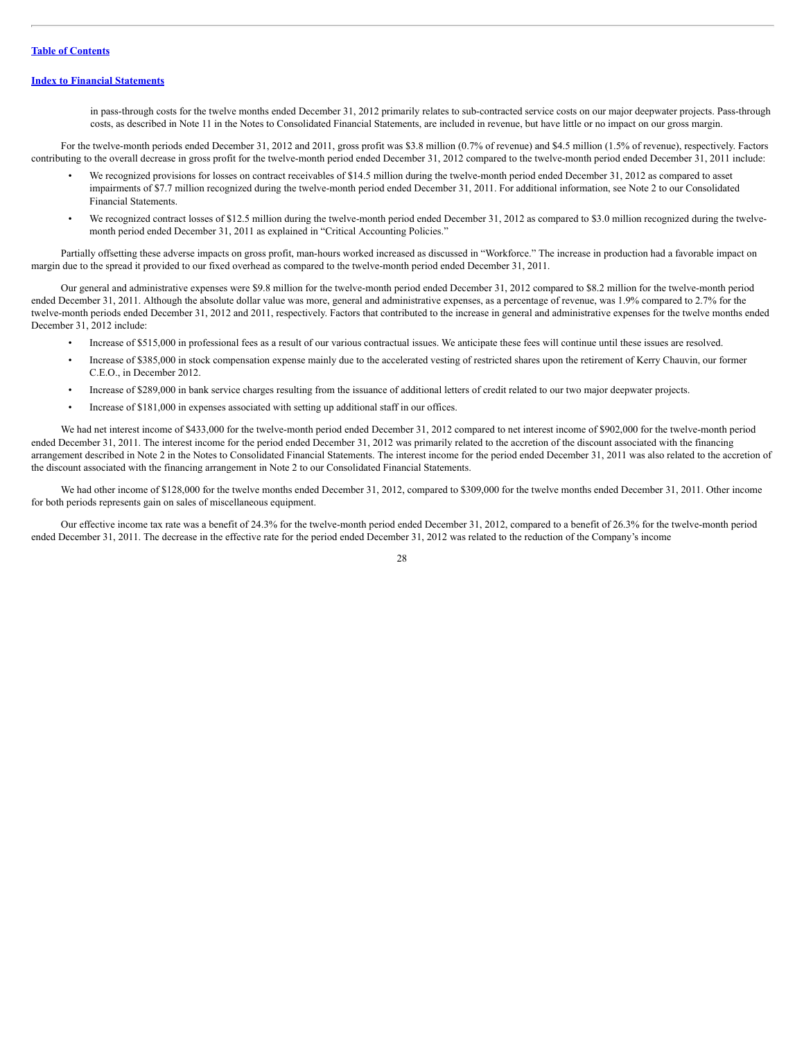in pass-through costs for the twelve months ended December 31, 2012 primarily relates to sub-contracted service costs on our major deepwater projects. Pass-through costs, as described in Note 11 in the Notes to Consolidated Financial Statements, are included in revenue, but have little or no impact on our gross margin.

For the twelve-month periods ended December 31, 2012 and 2011, gross profit was \$3.8 million (0.7% of revenue) and \$4.5 million (1.5% of revenue), respectively. Factors contributing to the overall decrease in gross profit for the twelve-month period ended December 31, 2012 compared to the twelve-month period ended December 31, 2011 include:

- We recognized provisions for losses on contract receivables of \$14.5 million during the twelve-month period ended December 31, 2012 as compared to asset impairments of \$7.7 million recognized during the twelve-month period ended December 31, 2011. For additional information, see Note 2 to our Consolidated Financial Statements.
- We recognized contract losses of \$12.5 million during the twelve-month period ended December 31, 2012 as compared to \$3.0 million recognized during the twelvemonth period ended December 31, 2011 as explained in "Critical Accounting Policies."

Partially offsetting these adverse impacts on gross profit, man-hours worked increased as discussed in "Workforce." The increase in production had a favorable impact on margin due to the spread it provided to our fixed overhead as compared to the twelve-month period ended December 31, 2011.

Our general and administrative expenses were \$9.8 million for the twelve-month period ended December 31, 2012 compared to \$8.2 million for the twelve-month period ended December 31, 2011. Although the absolute dollar value was more, general and administrative expenses, as a percentage of revenue, was 1.9% compared to 2.7% for the twelve-month periods ended December 31, 2012 and 2011, respectively. Factors that contributed to the increase in general and administrative expenses for the twelve months ended December 31, 2012 include:

- Increase of \$515,000 in professional fees as a result of our various contractual issues. We anticipate these fees will continue until these issues are resolved.
- Increase of \$385,000 in stock compensation expense mainly due to the accelerated vesting of restricted shares upon the retirement of Kerry Chauvin, our former C.E.O., in December 2012.
- Increase of \$289,000 in bank service charges resulting from the issuance of additional letters of credit related to our two major deepwater projects.
- Increase of \$181,000 in expenses associated with setting up additional staff in our offices.

We had net interest income of \$433,000 for the twelve-month period ended December 31, 2012 compared to net interest income of \$902,000 for the twelve-month period ended December 31, 2011. The interest income for the period ended December 31, 2012 was primarily related to the accretion of the discount associated with the financing arrangement described in Note 2 in the Notes to Consolidated Financial Statements. The interest income for the period ended December 31, 2011 was also related to the accretion of the discount associated with the financing arrangement in Note 2 to our Consolidated Financial Statements.

We had other income of \$128,000 for the twelve months ended December 31, 2012, compared to \$309,000 for the twelve months ended December 31, 2011. Other income for both periods represents gain on sales of miscellaneous equipment.

Our effective income tax rate was a benefit of 24.3% for the twelve-month period ended December 31, 2012, compared to a benefit of 26.3% for the twelve-month period ended December 31, 2011. The decrease in the effective rate for the period ended December 31, 2012 was related to the reduction of the Company's income

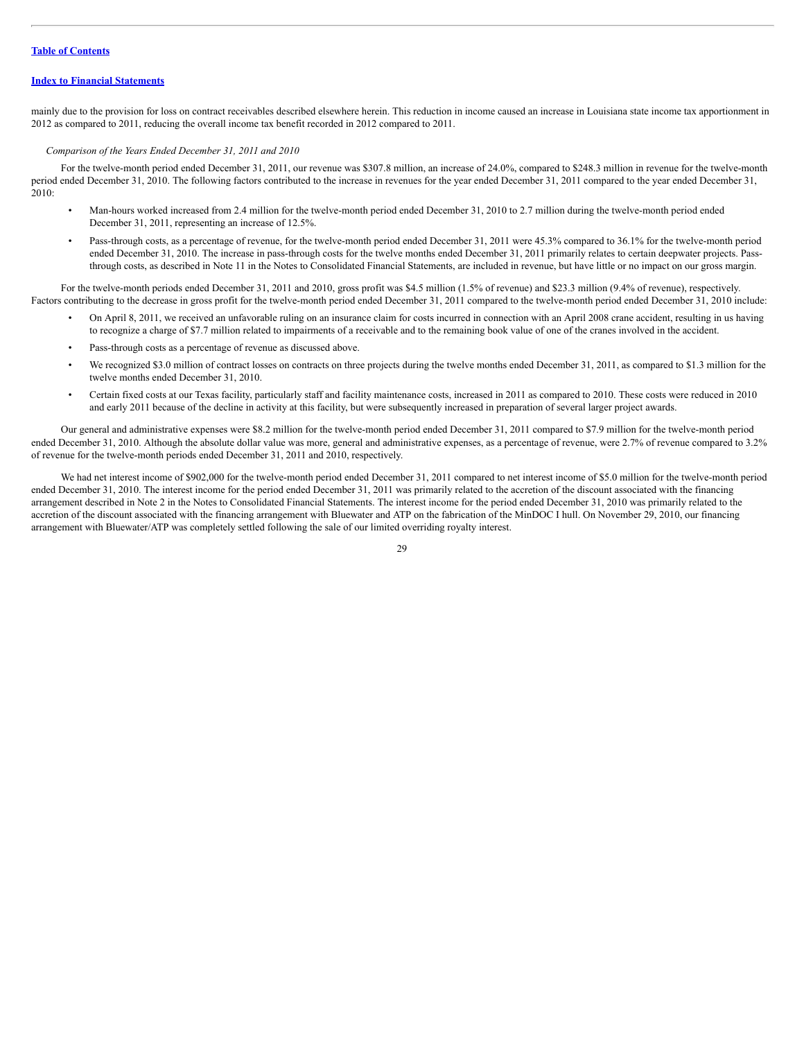### **Table of [Contents](#page-1-0)**

### **Index to Financial [Statements](#page-37-0)**

mainly due to the provision for loss on contract receivables described elsewhere herein. This reduction in income caused an increase in Louisiana state income tax apportionment in 2012 as compared to 2011, reducing the overall income tax benefit recorded in 2012 compared to 2011.

*Comparison of the Years Ended December 31, 2011 and 2010*

For the twelve-month period ended December 31, 2011, our revenue was \$307.8 million, an increase of 24.0%, compared to \$248.3 million in revenue for the twelve-month period ended December 31, 2010. The following factors contributed to the increase in revenues for the year ended December 31, 2011 compared to the year ended December 31, 2010:

- Man-hours worked increased from 2.4 million for the twelve-month period ended December 31, 2010 to 2.7 million during the twelve-month period ended December 31, 2011, representing an increase of 12.5%.
- Pass-through costs, as a percentage of revenue, for the twelve-month period ended December 31, 2011 were 45.3% compared to 36.1% for the twelve-month period ended December 31, 2010. The increase in pass-through costs for the twelve months ended December 31, 2011 primarily relates to certain deepwater projects. Passthrough costs, as described in Note 11 in the Notes to Consolidated Financial Statements, are included in revenue, but have little or no impact on our gross margin.

For the twelve-month periods ended December 31, 2011 and 2010, gross profit was \$4.5 million (1.5% of revenue) and \$23.3 million (9.4% of revenue), respectively. Factors contributing to the decrease in gross profit for the twelve-month period ended December 31, 2011 compared to the twelve-month period ended December 31, 2010 include:

- On April 8, 2011, we received an unfavorable ruling on an insurance claim for costs incurred in connection with an April 2008 crane accident, resulting in us having to recognize a charge of \$7.7 million related to impairments of a receivable and to the remaining book value of one of the cranes involved in the accident.
- Pass-through costs as a percentage of revenue as discussed above.
- We recognized \$3.0 million of contract losses on contracts on three projects during the twelve months ended December 31, 2011, as compared to \$1.3 million for the twelve months ended December 31, 2010.
- Certain fixed costs at our Texas facility, particularly staff and facility maintenance costs, increased in 2011 as compared to 2010. These costs were reduced in 2010 and early 2011 because of the decline in activity at this facility, but were subsequently increased in preparation of several larger project awards.

Our general and administrative expenses were \$8.2 million for the twelve-month period ended December 31, 2011 compared to \$7.9 million for the twelve-month period ended December 31, 2010. Although the absolute dollar value was more, general and administrative expenses, as a percentage of revenue, were 2.7% of revenue compared to 3.2% of revenue for the twelve-month periods ended December 31, 2011 and 2010, respectively.

We had net interest income of \$902,000 for the twelve-month period ended December 31, 2011 compared to net interest income of \$5.0 million for the twelve-month period ended December 31, 2010. The interest income for the period ended December 31, 2011 was primarily related to the accretion of the discount associated with the financing arrangement described in Note 2 in the Notes to Consolidated Financial Statements. The interest income for the period ended December 31, 2010 was primarily related to the accretion of the discount associated with the financing arrangement with Bluewater and ATP on the fabrication of the MinDOC I hull. On November 29, 2010, our financing arrangement with Bluewater/ATP was completely settled following the sale of our limited overriding royalty interest.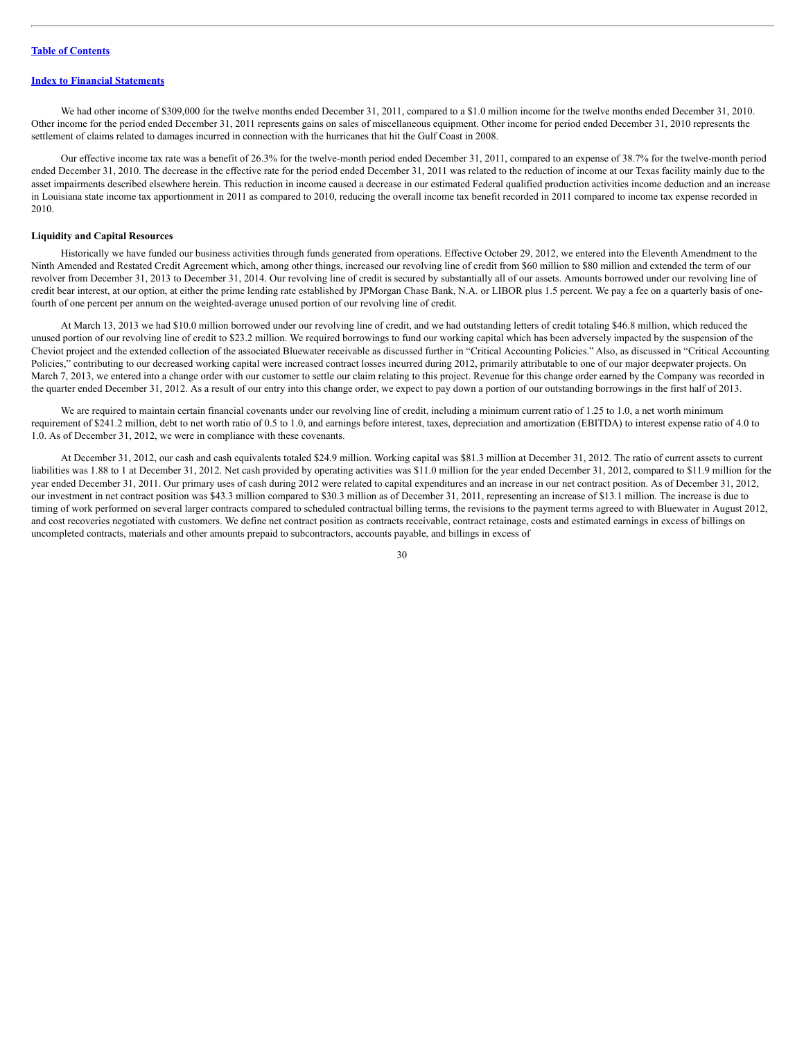We had other income of \$309,000 for the twelve months ended December 31, 2011, compared to a \$1.0 million income for the twelve months ended December 31, 2010. Other income for the period ended December 31, 2011 represents gains on sales of miscellaneous equipment. Other income for period ended December 31, 2010 represents the settlement of claims related to damages incurred in connection with the hurricanes that hit the Gulf Coast in 2008.

Our effective income tax rate was a benefit of 26.3% for the twelve-month period ended December 31, 2011, compared to an expense of 38.7% for the twelve-month period ended December 31, 2010. The decrease in the effective rate for the period ended December 31, 2011 was related to the reduction of income at our Texas facility mainly due to the asset impairments described elsewhere herein. This reduction in income caused a decrease in our estimated Federal qualified production activities income deduction and an increase in Louisiana state income tax apportionment in 2011 as compared to 2010, reducing the overall income tax benefit recorded in 2011 compared to income tax expense recorded in 2010.

### **Liquidity and Capital Resources**

Historically we have funded our business activities through funds generated from operations. Effective October 29, 2012, we entered into the Eleventh Amendment to the Ninth Amended and Restated Credit Agreement which, among other things, increased our revolving line of credit from \$60 million to \$80 million and extended the term of our revolver from December 31, 2013 to December 31, 2014. Our revolving line of credit is secured by substantially all of our assets. Amounts borrowed under our revolving line of credit bear interest, at our option, at either the prime lending rate established by JPMorgan Chase Bank, N.A. or LIBOR plus 1.5 percent. We pay a fee on a quarterly basis of onefourth of one percent per annum on the weighted-average unused portion of our revolving line of credit.

At March 13, 2013 we had \$10.0 million borrowed under our revolving line of credit, and we had outstanding letters of credit totaling \$46.8 million, which reduced the unused portion of our revolving line of credit to \$23.2 million. We required borrowings to fund our working capital which has been adversely impacted by the suspension of the Cheviot project and the extended collection of the associated Bluewater receivable as discussed further in "Critical Accounting Policies." Also, as discussed in "Critical Accounting Policies," contributing to our decreased working capital were increased contract losses incurred during 2012, primarily attributable to one of our major deepwater projects. On March 7, 2013, we entered into a change order with our customer to settle our claim relating to this project. Revenue for this change order earned by the Company was recorded in the quarter ended December 31, 2012. As a result of our entry into this change order, we expect to pay down a portion of our outstanding borrowings in the first half of 2013.

We are required to maintain certain financial covenants under our revolving line of credit, including a minimum current ratio of 1.25 to 1.0, a net worth minimum requirement of \$241.2 million, debt to net worth ratio of 0.5 to 1.0, and earnings before interest, taxes, depreciation and amortization (EBITDA) to interest expense ratio of 4.0 to 1.0. As of December 31, 2012, we were in compliance with these covenants.

At December 31, 2012, our cash and cash equivalents totaled \$24.9 million. Working capital was \$81.3 million at December 31, 2012. The ratio of current assets to current liabilities was 1.88 to 1 at December 31, 2012. Net cash provided by operating activities was \$11.0 million for the year ended December 31, 2012, compared to \$11.9 million for the year ended December 31, 2011. Our primary uses of cash during 2012 were related to capital expenditures and an increase in our net contract position. As of December 31, 2012, our investment in net contract position was \$43.3 million compared to \$30.3 million as of December 31, 2011, representing an increase of \$13.1 million. The increase is due to timing of work performed on several larger contracts compared to scheduled contractual billing terms, the revisions to the payment terms agreed to with Bluewater in August 2012, and cost recoveries negotiated with customers. We define net contract position as contracts receivable, contract retainage, costs and estimated earnings in excess of billings on uncompleted contracts, materials and other amounts prepaid to subcontractors, accounts payable, and billings in excess of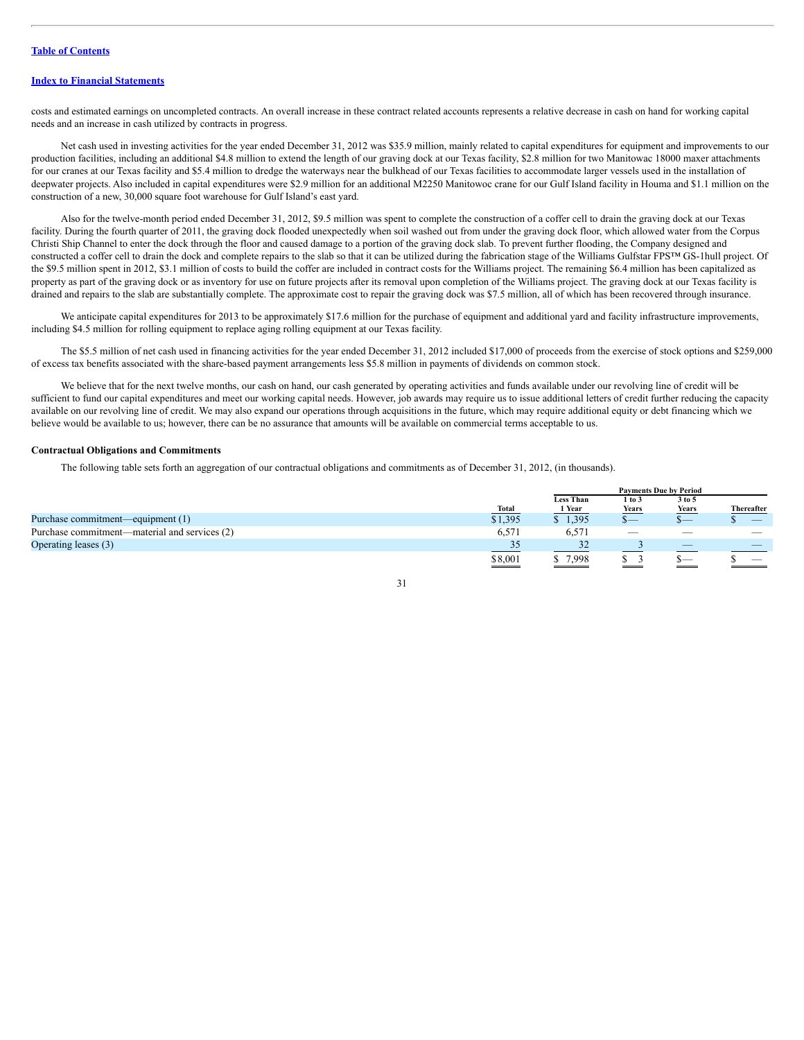costs and estimated earnings on uncompleted contracts. An overall increase in these contract related accounts represents a relative decrease in cash on hand for working capital needs and an increase in cash utilized by contracts in progress.

Net cash used in investing activities for the year ended December 31, 2012 was \$35.9 million, mainly related to capital expenditures for equipment and improvements to our production facilities, including an additional \$4.8 million to extend the length of our graving dock at our Texas facility, \$2.8 million for two Manitowac 18000 maxer attachments for our cranes at our Texas facility and \$5.4 million to dredge the waterways near the bulkhead of our Texas facilities to accommodate larger vessels used in the installation of deepwater projects. Also included in capital expenditures were \$2.9 million for an additional M2250 Manitowoc crane for our Gulf Island facility in Houma and \$1.1 million on the construction of a new, 30,000 square foot warehouse for Gulf Island's east yard.

Also for the twelve-month period ended December 31, 2012, \$9.5 million was spent to complete the construction of a coffer cell to drain the graving dock at our Texas facility. During the fourth quarter of 2011, the graving dock flooded unexpectedly when soil washed out from under the graving dock floor, which allowed water from the Corpus Christi Ship Channel to enter the dock through the floor and caused damage to a portion of the graving dock slab. To prevent further flooding, the Company designed and constructed a coffer cell to drain the dock and complete repairs to the slab so that it can be utilized during the fabrication stage of the Williams Gulfstar FPS™ GS-1hull project. Of the \$9.5 million spent in 2012, \$3.1 million of costs to build the coffer are included in contract costs for the Williams project. The remaining \$6.4 million has been capitalized as property as part of the graving dock or as inventory for use on future projects after its removal upon completion of the Williams project. The graving dock at our Texas facility is drained and repairs to the slab are substantially complete. The approximate cost to repair the graving dock was \$7.5 million, all of which has been recovered through insurance.

We anticipate capital expenditures for 2013 to be approximately \$17.6 million for the purchase of equipment and additional yard and facility infrastructure improvements, including \$4.5 million for rolling equipment to replace aging rolling equipment at our Texas facility.

The \$5.5 million of net cash used in financing activities for the year ended December 31, 2012 included \$17,000 of proceeds from the exercise of stock options and \$259,000 of excess tax benefits associated with the share-based payment arrangements less \$5.8 million in payments of dividends on common stock.

We believe that for the next twelve months, our cash on hand, our cash generated by operating activities and funds available under our revolving line of credit will be sufficient to fund our capital expenditures and meet our working capital needs. However, job awards may require us to issue additional letters of credit further reducing the capacity available on our revolving line of credit. We may also expand our operations through acquisitions in the future, which may require additional equity or debt financing which we believe would be available to us; however, there can be no assurance that amounts will be available on commercial terms acceptable to us.

### **Contractual Obligations and Commitments**

The following table sets forth an aggregation of our contractual obligations and commitments as of December 31, 2012, (in thousands).

|                                               |              | <b>Payments Due by Period</b> |                 |                          |            |
|-----------------------------------------------|--------------|-------------------------------|-----------------|--------------------------|------------|
|                                               | <b>Total</b> | <b>Less Than</b><br>1 Year    | 1 to 3<br>Years | 3 to 5<br>Years          | Thereafter |
| Purchase commitment—equipment (1)             | \$1,395      | \$1,395                       | $\sim$          | $\sim$                   | _          |
| Purchase commitment—material and services (2) | 6,571        | 6,571                         | __              | $\overline{\phantom{a}}$ |            |
| Operating leases (3)                          | 35           | 32                            |                 |                          |            |
|                                               | \$8,001      | 7,998                         |                 |                          |            |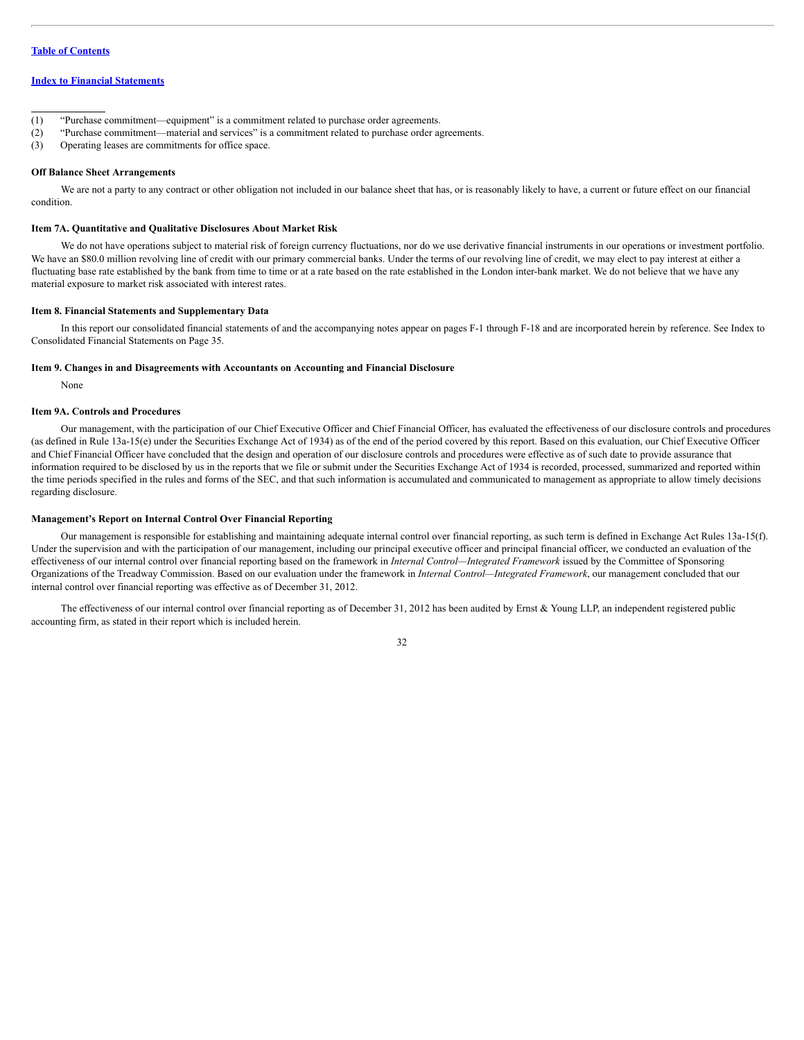- (1) "Purchase commitment—equipment" is a commitment related to purchase order agreements.
- (2) "Purchase commitment—material and services" is a commitment related to purchase order agreements.
- (3) Operating leases are commitments for office space.

#### **Off Balance Sheet Arrangements**

We are not a party to any contract or other obligation not included in our balance sheet that has, or is reasonably likely to have, a current or future effect on our financial condition.

#### <span id="page-33-0"></span>**Item 7A. Quantitative and Qualitative Disclosures About Market Risk**

We do not have operations subject to material risk of foreign currency fluctuations, nor do we use derivative financial instruments in our operations or investment portfolio. We have an \$80.0 million revolving line of credit with our primary commercial banks. Under the terms of our revolving line of credit, we may elect to pay interest at either a fluctuating base rate established by the bank from time to time or at a rate based on the rate established in the London inter-bank market. We do not believe that we have any material exposure to market risk associated with interest rates.

#### <span id="page-33-1"></span>**Item 8. Financial Statements and Supplementary Data**

In this report our consolidated financial statements of and the accompanying notes appear on pages F-1 through F-18 and are incorporated herein by reference. See Index to Consolidated Financial Statements on Page 35.

#### <span id="page-33-2"></span>**Item 9. Changes in and Disagreements with Accountants on Accounting and Financial Disclosure**

None

### <span id="page-33-3"></span>**Item 9A. Controls and Procedures**

Our management, with the participation of our Chief Executive Officer and Chief Financial Officer, has evaluated the effectiveness of our disclosure controls and procedures (as defined in Rule 13a-15(e) under the Securities Exchange Act of 1934) as of the end of the period covered by this report. Based on this evaluation, our Chief Executive Officer and Chief Financial Officer have concluded that the design and operation of our disclosure controls and procedures were effective as of such date to provide assurance that information required to be disclosed by us in the reports that we file or submit under the Securities Exchange Act of 1934 is recorded, processed, summarized and reported within the time periods specified in the rules and forms of the SEC, and that such information is accumulated and communicated to management as appropriate to allow timely decisions regarding disclosure.

#### **Management's Report on Internal Control Over Financial Reporting**

Our management is responsible for establishing and maintaining adequate internal control over financial reporting, as such term is defined in Exchange Act Rules 13a-15(f). Under the supervision and with the participation of our management, including our principal executive officer and principal financial officer, we conducted an evaluation of the effectiveness of our internal control over financial reporting based on the framework in *Internal Control—Integrated Framework* issued by the Committee of Sponsoring Organizations of the Treadway Commission. Based on our evaluation under the framework in *Internal Control—Integrated Framework*, our management concluded that our internal control over financial reporting was effective as of December 31, 2012.

The effectiveness of our internal control over financial reporting as of December 31, 2012 has been audited by Ernst & Young LLP, an independent registered public accounting firm, as stated in their report which is included herein.

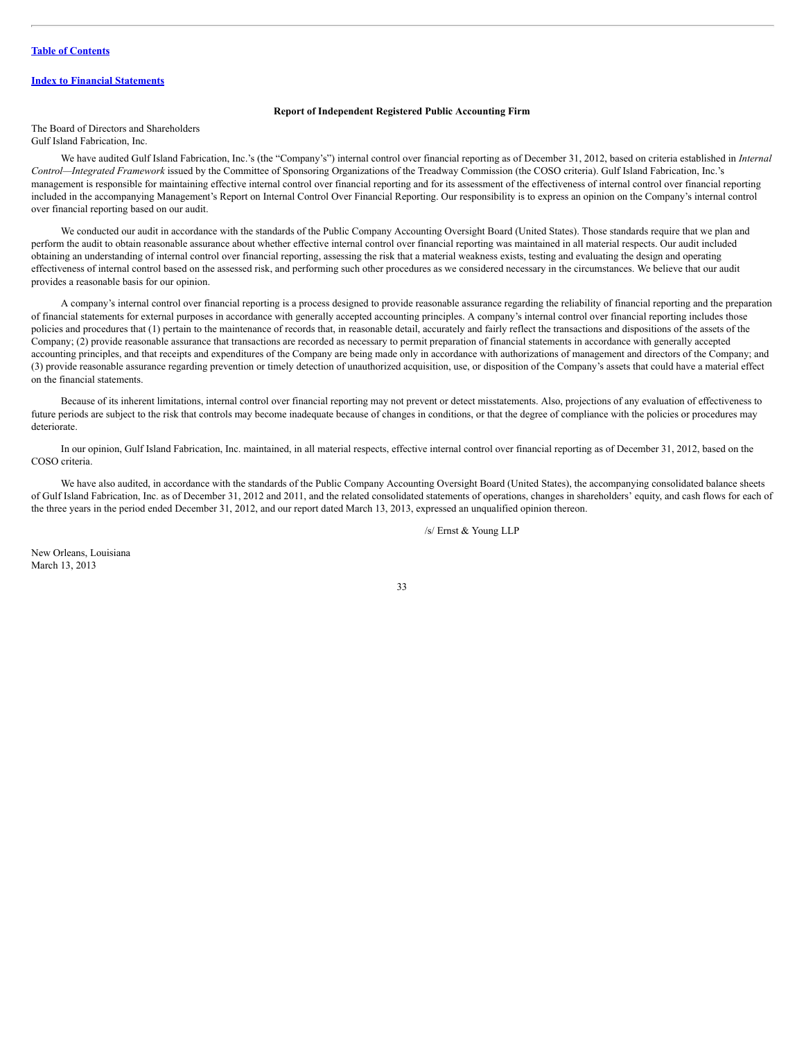#### **Report of Independent Registered Public Accounting Firm**

The Board of Directors and Shareholders Gulf Island Fabrication, Inc.

We have audited Gulf Island Fabrication, Inc.'s (the "Company's") internal control over financial reporting as of December 31, 2012, based on criteria established in *Internal Control—Integrated Framework* issued by the Committee of Sponsoring Organizations of the Treadway Commission (the COSO criteria). Gulf Island Fabrication, Inc.'s management is responsible for maintaining effective internal control over financial reporting and for its assessment of the effectiveness of internal control over financial reporting included in the accompanying Management's Report on Internal Control Over Financial Reporting. Our responsibility is to express an opinion on the Company's internal control over financial reporting based on our audit.

We conducted our audit in accordance with the standards of the Public Company Accounting Oversight Board (United States). Those standards require that we plan and perform the audit to obtain reasonable assurance about whether effective internal control over financial reporting was maintained in all material respects. Our audit included obtaining an understanding of internal control over financial reporting, assessing the risk that a material weakness exists, testing and evaluating the design and operating effectiveness of internal control based on the assessed risk, and performing such other procedures as we considered necessary in the circumstances. We believe that our audit provides a reasonable basis for our opinion.

A company's internal control over financial reporting is a process designed to provide reasonable assurance regarding the reliability of financial reporting and the preparation of financial statements for external purposes in accordance with generally accepted accounting principles. A company's internal control over financial reporting includes those policies and procedures that (1) pertain to the maintenance of records that, in reasonable detail, accurately and fairly reflect the transactions and dispositions of the assets of the Company; (2) provide reasonable assurance that transactions are recorded as necessary to permit preparation of financial statements in accordance with generally accepted accounting principles, and that receipts and expenditures of the Company are being made only in accordance with authorizations of management and directors of the Company; and (3) provide reasonable assurance regarding prevention or timely detection of unauthorized acquisition, use, or disposition of the Company's assets that could have a material effect on the financial statements.

Because of its inherent limitations, internal control over financial reporting may not prevent or detect misstatements. Also, projections of any evaluation of effectiveness to future periods are subject to the risk that controls may become inadequate because of changes in conditions, or that the degree of compliance with the policies or procedures may deteriorate.

In our opinion, Gulf Island Fabrication, Inc. maintained, in all material respects, effective internal control over financial reporting as of December 31, 2012, based on the COSO criteria.

We have also audited, in accordance with the standards of the Public Company Accounting Oversight Board (United States), the accompanying consolidated balance sheets of Gulf Island Fabrication, Inc. as of December 31, 2012 and 2011, and the related consolidated statements of operations, changes in shareholders' equity, and cash flows for each of the three years in the period ended December 31, 2012, and our report dated March 13, 2013, expressed an unqualified opinion thereon.

/s/ Ernst & Young LLP

New Orleans, Louisiana March 13, 2013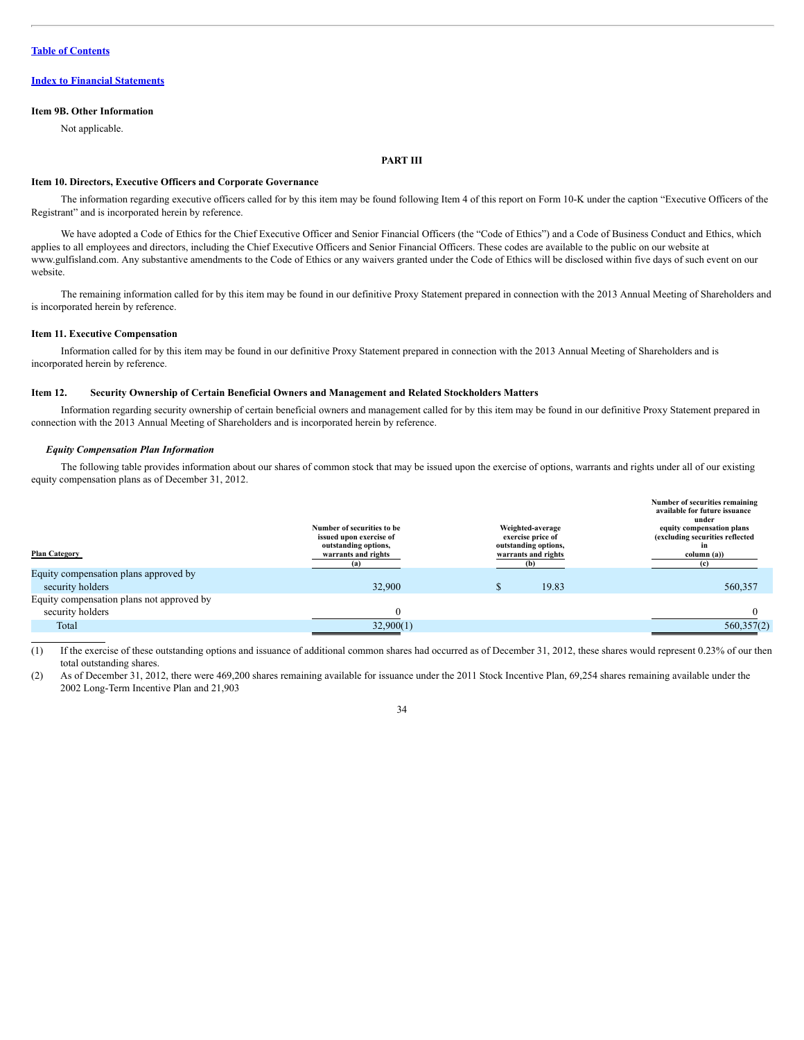### <span id="page-35-0"></span>**Item 9B. Other Information**

Not applicable.

### **PART III**

#### <span id="page-35-1"></span>**Item 10. Directors, Executive Officers and Corporate Governance**

The information regarding executive officers called for by this item may be found following Item 4 of this report on Form 10-K under the caption "Executive Officers of the Registrant" and is incorporated herein by reference.

We have adopted a Code of Ethics for the Chief Executive Officer and Senior Financial Officers (the "Code of Ethics") and a Code of Business Conduct and Ethics, which applies to all employees and directors, including the Chief Executive Officers and Senior Financial Officers. These codes are available to the public on our website at www.gulfisland.com. Any substantive amendments to the Code of Ethics or any waivers granted under the Code of Ethics will be disclosed within five days of such event on our website.

The remaining information called for by this item may be found in our definitive Proxy Statement prepared in connection with the 2013 Annual Meeting of Shareholders and is incorporated herein by reference.

### <span id="page-35-2"></span>**Item 11. Executive Compensation**

Information called for by this item may be found in our definitive Proxy Statement prepared in connection with the 2013 Annual Meeting of Shareholders and is incorporated herein by reference.

#### <span id="page-35-3"></span>**Item 12. Security Ownership of Certain Beneficial Owners and Management and Related Stockholders Matters**

Information regarding security ownership of certain beneficial owners and management called for by this item may be found in our definitive Proxy Statement prepared in connection with the 2013 Annual Meeting of Shareholders and is incorporated herein by reference.

#### *Equity Compensation Plan Information*

The following table provides information about our shares of common stock that may be issued upon the exercise of options, warrants and rights under all of our existing equity compensation plans as of December 31, 2012.

| <b>Plan Category</b>                      | Number of securities to be<br>issued upon exercise of<br>outstanding options,<br>warrants and rights | Weighted-average<br>exercise price of<br>outstanding options,<br>warrants and rights<br>(b) | Number of securities remaining<br>available for future issuance<br>under<br>equity compensation plans<br>(excluding securities reflected<br>column (a)) |
|-------------------------------------------|------------------------------------------------------------------------------------------------------|---------------------------------------------------------------------------------------------|---------------------------------------------------------------------------------------------------------------------------------------------------------|
| Equity compensation plans approved by     |                                                                                                      |                                                                                             |                                                                                                                                                         |
| security holders                          | 32,900                                                                                               | 19.83                                                                                       | 560,357                                                                                                                                                 |
| Equity compensation plans not approved by |                                                                                                      |                                                                                             |                                                                                                                                                         |
| security holders                          |                                                                                                      |                                                                                             |                                                                                                                                                         |
| Total                                     | 32,900(1)                                                                                            |                                                                                             | 560,357(2)                                                                                                                                              |

(1) If the exercise of these outstanding options and issuance of additional common shares had occurred as of December 31, 2012, these shares would represent 0.23% of our then total outstanding shares.

(2) As of December 31, 2012, there were 469,200 shares remaining available for issuance under the 2011 Stock Incentive Plan, 69,254 shares remaining available under the 2002 Long-Term Incentive Plan and 21,903

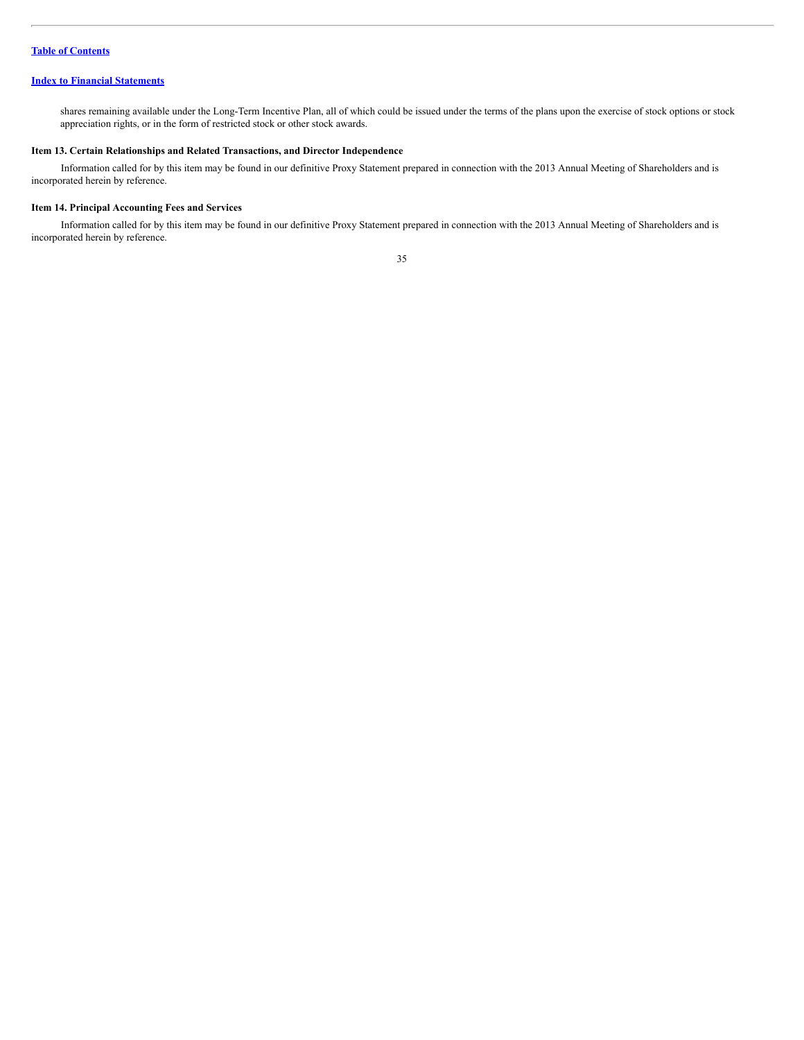shares remaining available under the Long-Term Incentive Plan, all of which could be issued under the terms of the plans upon the exercise of stock options or stock appreciation rights, or in the form of restricted stock or other stock awards.

### <span id="page-36-0"></span>**Item 13. Certain Relationships and Related Transactions, and Director Independence**

Information called for by this item may be found in our definitive Proxy Statement prepared in connection with the 2013 Annual Meeting of Shareholders and is incorporated herein by reference.

### <span id="page-36-1"></span>**Item 14. Principal Accounting Fees and Services**

Information called for by this item may be found in our definitive Proxy Statement prepared in connection with the 2013 Annual Meeting of Shareholders and is incorporated herein by reference.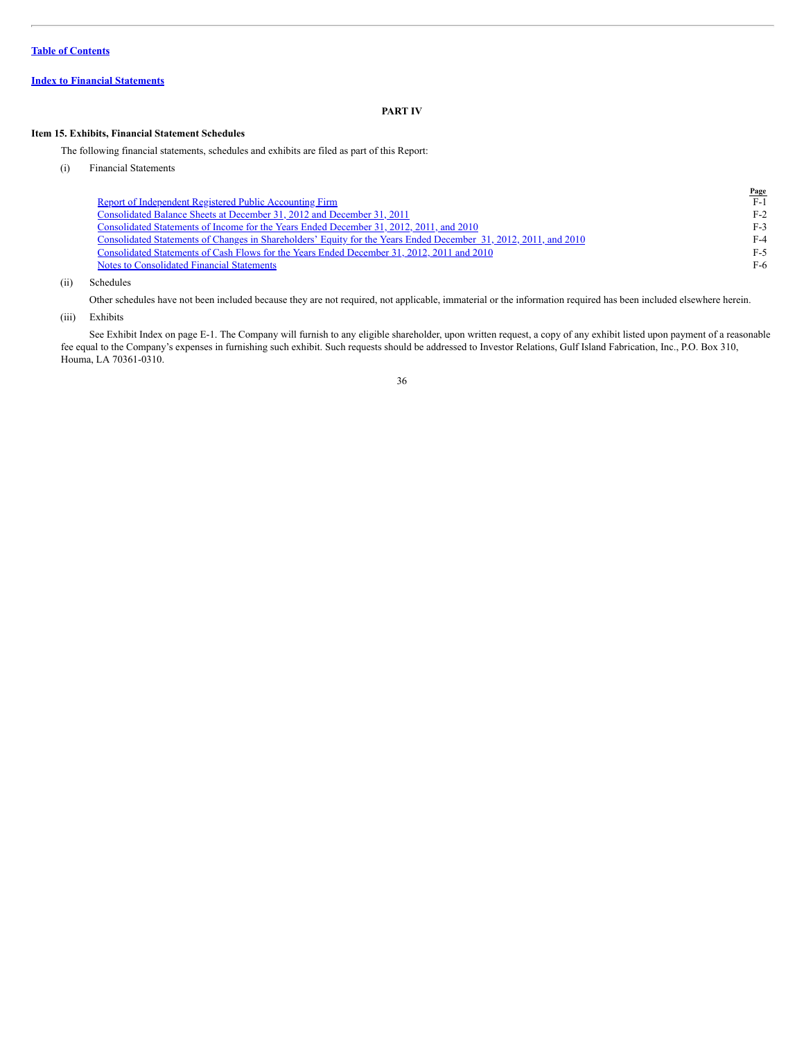### **PART IV**

### <span id="page-37-1"></span>**Item 15. Exhibits, Financial Statement Schedules**

<span id="page-37-0"></span>The following financial statements, schedules and exhibits are filed as part of this Report:

(i) Financial Statements

|                                                                                                                         | Page  |
|-------------------------------------------------------------------------------------------------------------------------|-------|
| Report of Independent Registered Public Accounting Firm                                                                 | F-1   |
| Consolidated Balance Sheets at December 31, 2012 and December 31, 2011                                                  | $F-2$ |
| Consolidated Statements of Income for the Years Ended December 31, 2012, 2011, and 2010                                 | $F-3$ |
| <u>Consolidated Statements of Changes in Shareholders' Equity for the Years Ended December 31, 2012, 2011, and 2010</u> | $F-4$ |
| Consolidated Statements of Cash Flows for the Years Ended December 31, 2012, 2011 and 2010                              | F-5   |
| Notes to Consolidated Financial Statements                                                                              | F-6   |

(ii) Schedules

Other schedules have not been included because they are not required, not applicable, immaterial or the information required has been included elsewhere herein.

(iii) Exhibits

See Exhibit Index on page E-1. The Company will furnish to any eligible shareholder, upon written request, a copy of any exhibit listed upon payment of a reasonable fee equal to the Company's expenses in furnishing such exhibit. Such requests should be addressed to Investor Relations, Gulf Island Fabrication, Inc., P.O. Box 310, Houma, LA 70361-0310.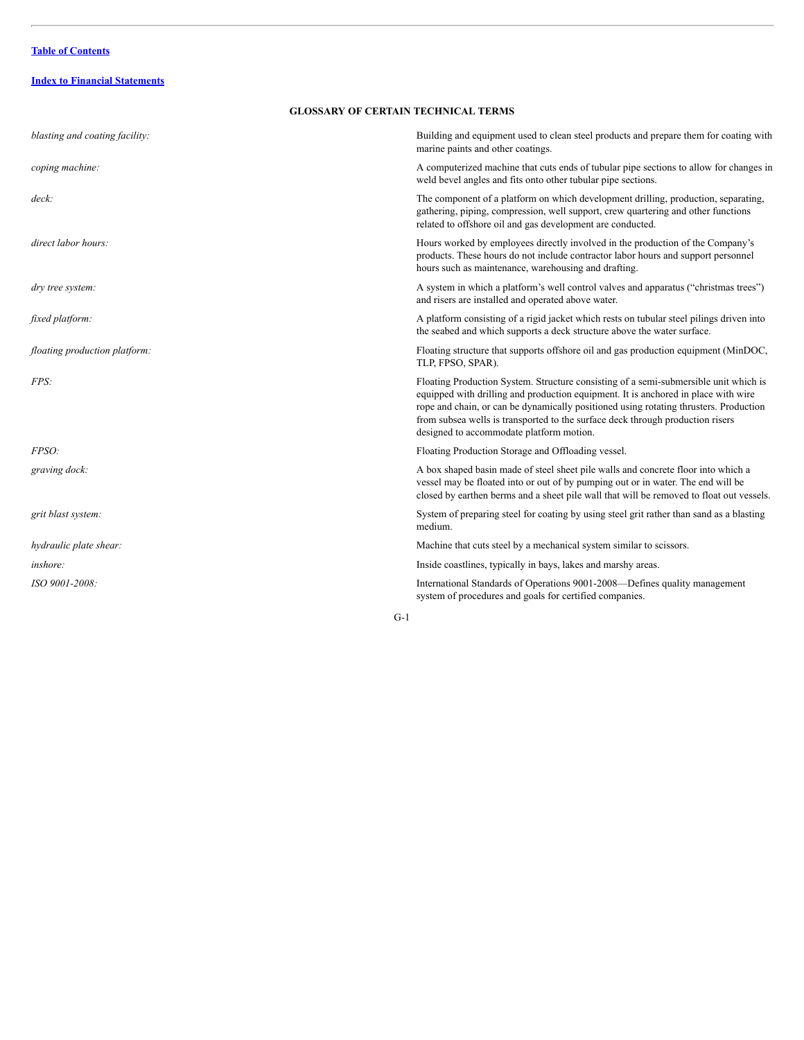### **Table of [Contents](#page-1-0)**

### **Index to Financial [Statements](#page-37-0)**

<span id="page-38-0"></span>

| blasting and coating facility: | Building and equipment used to clean steel products and prepare them for coating with<br>marine paints and other coatings.                                                                                                                                                                                                                                                                        |
|--------------------------------|---------------------------------------------------------------------------------------------------------------------------------------------------------------------------------------------------------------------------------------------------------------------------------------------------------------------------------------------------------------------------------------------------|
| coping machine:                | A computerized machine that cuts ends of tubular pipe sections to allow for changes in<br>weld bevel angles and fits onto other tubular pipe sections.                                                                                                                                                                                                                                            |
| deck:                          | The component of a platform on which development drilling, production, separating,<br>gathering, piping, compression, well support, crew quartering and other functions<br>related to offshore oil and gas development are conducted.                                                                                                                                                             |
| direct labor hours:            | Hours worked by employees directly involved in the production of the Company's<br>products. These hours do not include contractor labor hours and support personnel<br>hours such as maintenance, warehousing and drafting.                                                                                                                                                                       |
| dry tree system:               | A system in which a platform's well control valves and apparatus ("christmas trees")<br>and risers are installed and operated above water.                                                                                                                                                                                                                                                        |
| fixed platform:                | A platform consisting of a rigid jacket which rests on tubular steel pilings driven into<br>the seabed and which supports a deck structure above the water surface.                                                                                                                                                                                                                               |
| floating production platform:  | Floating structure that supports offshore oil and gas production equipment (MinDOC,<br>TLP, FPSO, SPAR).                                                                                                                                                                                                                                                                                          |
| FPS:                           | Floating Production System. Structure consisting of a semi-submersible unit which is<br>equipped with drilling and production equipment. It is anchored in place with wire<br>rope and chain, or can be dynamically positioned using rotating thrusters. Production<br>from subsea wells is transported to the surface deck through production risers<br>designed to accommodate platform motion. |
| FPSO:                          | Floating Production Storage and Offloading vessel.                                                                                                                                                                                                                                                                                                                                                |
| graving dock:                  | A box shaped basin made of steel sheet pile walls and concrete floor into which a<br>vessel may be floated into or out of by pumping out or in water. The end will be<br>closed by earthen berms and a sheet pile wall that will be removed to float out vessels.                                                                                                                                 |
| grit blast system:             | System of preparing steel for coating by using steel grit rather than sand as a blasting<br>medium.                                                                                                                                                                                                                                                                                               |
| hydraulic plate shear:         | Machine that cuts steel by a mechanical system similar to scissors.                                                                                                                                                                                                                                                                                                                               |
| inshore:                       | Inside coastlines, typically in bays, lakes and marshy areas.                                                                                                                                                                                                                                                                                                                                     |
| ISO 9001-2008:                 | International Standards of Operations 9001-2008—Defines quality management<br>system of procedures and goals for certified companies.                                                                                                                                                                                                                                                             |
|                                |                                                                                                                                                                                                                                                                                                                                                                                                   |

G-1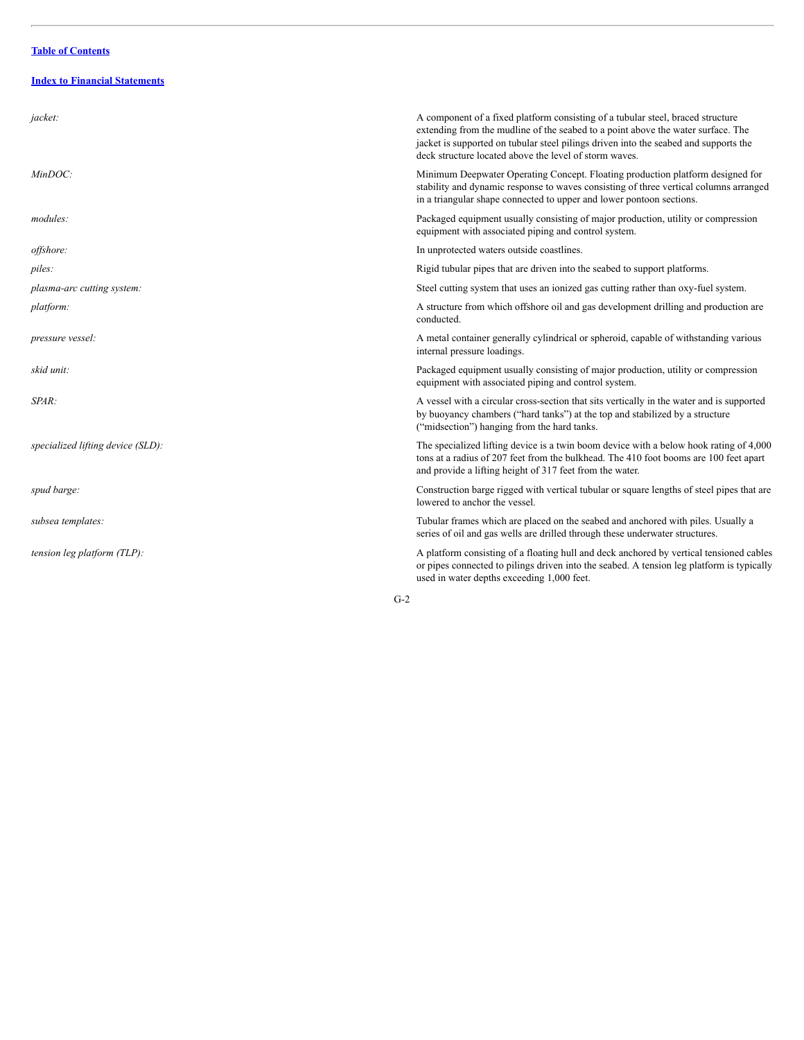### **Table of [Contents](#page-1-0)**

### **Index to Financial [Statements](#page-37-0)**

| jacket:                           | A component of a fixed platform consisting of a tubular steel, braced structure<br>extending from the mudline of the seabed to a point above the water surface. The<br>jacket is supported on tubular steel pilings driven into the seabed and supports the<br>deck structure located above the level of storm waves. |
|-----------------------------------|-----------------------------------------------------------------------------------------------------------------------------------------------------------------------------------------------------------------------------------------------------------------------------------------------------------------------|
| MinDOC:                           | Minimum Deepwater Operating Concept. Floating production platform designed for<br>stability and dynamic response to waves consisting of three vertical columns arranged<br>in a triangular shape connected to upper and lower pontoon sections.                                                                       |
| modules:                          | Packaged equipment usually consisting of major production, utility or compression<br>equipment with associated piping and control system.                                                                                                                                                                             |
| offshore:                         | In unprotected waters outside coastlines.                                                                                                                                                                                                                                                                             |
| piles:                            | Rigid tubular pipes that are driven into the seabed to support platforms.                                                                                                                                                                                                                                             |
| plasma-arc cutting system:        | Steel cutting system that uses an ionized gas cutting rather than oxy-fuel system.                                                                                                                                                                                                                                    |
| platform:                         | A structure from which offshore oil and gas development drilling and production are<br>conducted.                                                                                                                                                                                                                     |
| pressure vessel:                  | A metal container generally cylindrical or spheroid, capable of withstanding various<br>internal pressure loadings.                                                                                                                                                                                                   |
| skid unit:                        | Packaged equipment usually consisting of major production, utility or compression<br>equipment with associated piping and control system.                                                                                                                                                                             |
| SPAR:                             | A vessel with a circular cross-section that sits vertically in the water and is supported<br>by buoyancy chambers ("hard tanks") at the top and stabilized by a structure<br>("midsection") hanging from the hard tanks.                                                                                              |
| specialized lifting device (SLD): | The specialized lifting device is a twin boom device with a below hook rating of 4,000<br>tons at a radius of 207 feet from the bulkhead. The 410 foot booms are 100 feet apart<br>and provide a lifting height of 317 feet from the water.                                                                           |
| spud barge:                       | Construction barge rigged with vertical tubular or square lengths of steel pipes that are<br>lowered to anchor the vessel.                                                                                                                                                                                            |
| subsea templates:                 | Tubular frames which are placed on the seabed and anchored with piles. Usually a<br>series of oil and gas wells are drilled through these underwater structures.                                                                                                                                                      |
| tension leg platform (TLP):       | A platform consisting of a floating hull and deck anchored by vertical tensioned cables<br>or pipes connected to pilings driven into the seabed. A tension leg platform is typically<br>used in water depths exceeding 1,000 feet.                                                                                    |
|                                   |                                                                                                                                                                                                                                                                                                                       |

G-2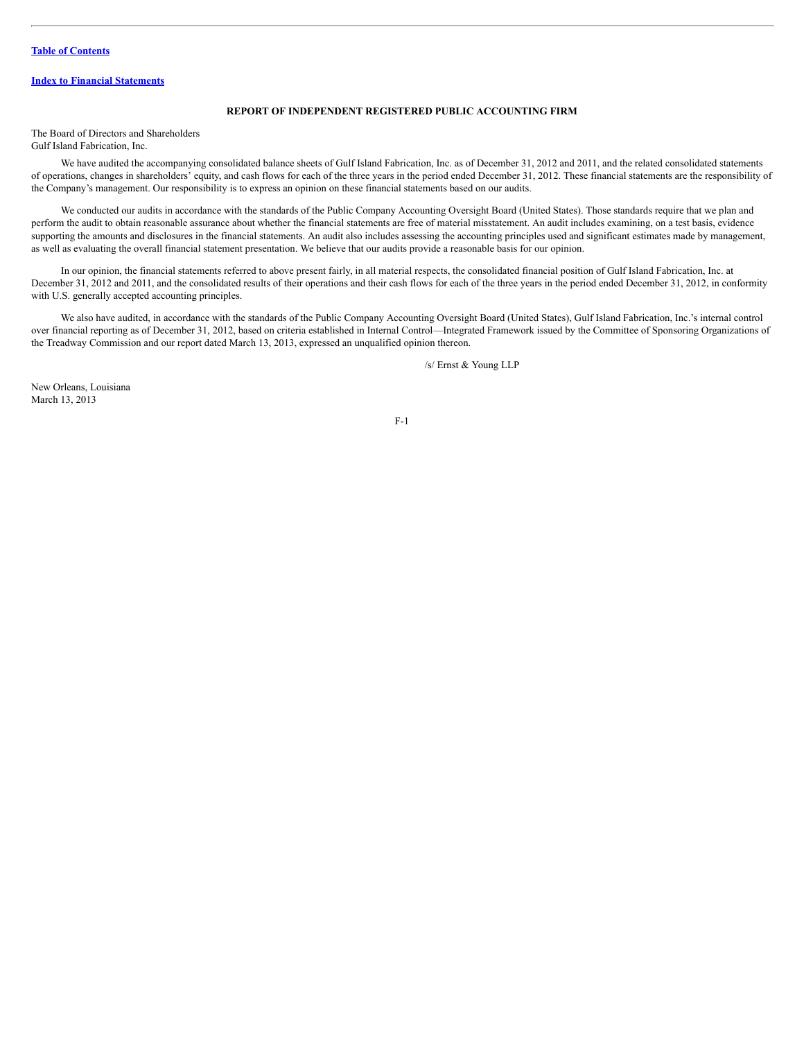### **REPORT OF INDEPENDENT REGISTERED PUBLIC ACCOUNTING FIRM**

<span id="page-40-0"></span>The Board of Directors and Shareholders Gulf Island Fabrication, Inc.

We have audited the accompanying consolidated balance sheets of Gulf Island Fabrication, Inc. as of December 31, 2012 and 2011, and the related consolidated statements of operations, changes in shareholders' equity, and cash flows for each of the three years in the period ended December 31, 2012. These financial statements are the responsibility of the Company's management. Our responsibility is to express an opinion on these financial statements based on our audits.

We conducted our audits in accordance with the standards of the Public Company Accounting Oversight Board (United States). Those standards require that we plan and perform the audit to obtain reasonable assurance about whether the financial statements are free of material misstatement. An audit includes examining, on a test basis, evidence supporting the amounts and disclosures in the financial statements. An audit also includes assessing the accounting principles used and significant estimates made by management, as well as evaluating the overall financial statement presentation. We believe that our audits provide a reasonable basis for our opinion.

In our opinion, the financial statements referred to above present fairly, in all material respects, the consolidated financial position of Gulf Island Fabrication, Inc. at December 31, 2012 and 2011, and the consolidated results of their operations and their cash flows for each of the three years in the period ended December 31, 2012, in conformity with U.S. generally accepted accounting principles.

We also have audited, in accordance with the standards of the Public Company Accounting Oversight Board (United States), Gulf Island Fabrication, Inc.'s internal control over financial reporting as of December 31, 2012, based on criteria established in Internal Control—Integrated Framework issued by the Committee of Sponsoring Organizations of the Treadway Commission and our report dated March 13, 2013, expressed an unqualified opinion thereon.

/s/ Ernst & Young LLP

New Orleans, Louisiana March 13, 2013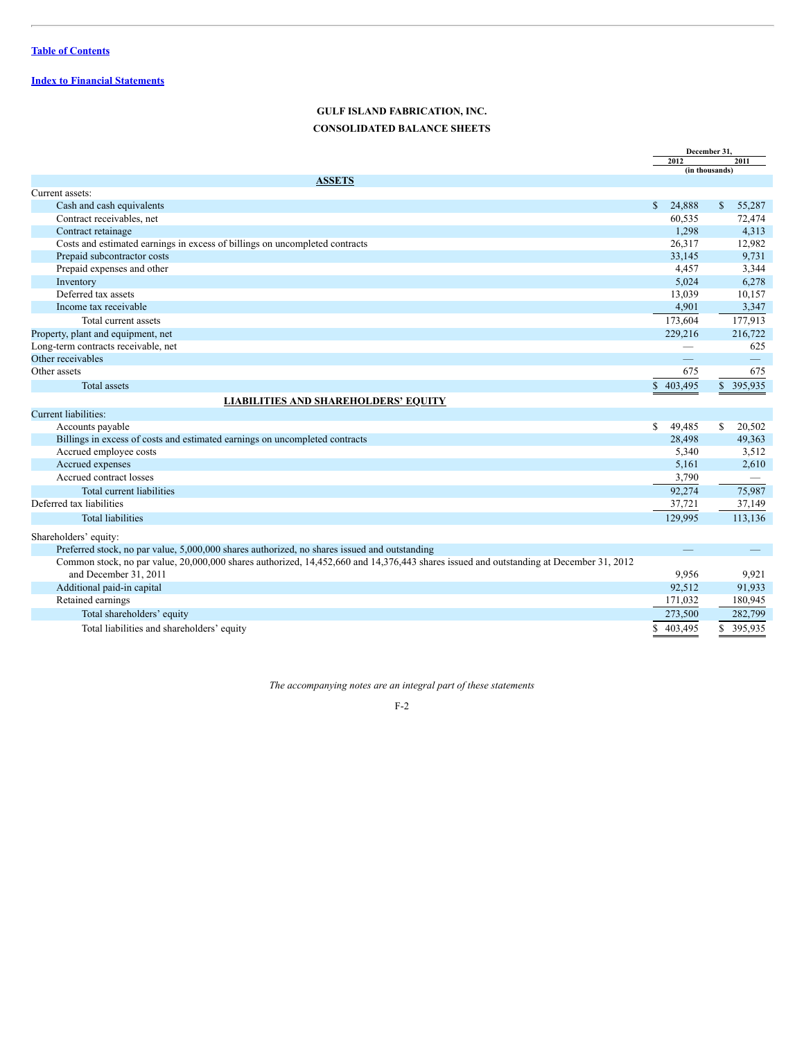### **GULF ISLAND FABRICATION, INC. CONSOLIDATED BALANCE SHEETS**

<span id="page-41-0"></span>

|                                                                                                                                        |              |           | December 31.   |           |  |
|----------------------------------------------------------------------------------------------------------------------------------------|--------------|-----------|----------------|-----------|--|
|                                                                                                                                        |              | 2012      |                | 2011      |  |
| <b>ASSETS</b>                                                                                                                          |              |           | (in thousands) |           |  |
| Current assets:                                                                                                                        |              |           |                |           |  |
| Cash and cash equivalents                                                                                                              | \$           | 24,888    | \$             | 55,287    |  |
| Contract receivables, net                                                                                                              |              | 60,535    |                | 72,474    |  |
| Contract retainage                                                                                                                     |              | 1,298     |                | 4,313     |  |
| Costs and estimated earnings in excess of billings on uncompleted contracts                                                            |              | 26,317    |                | 12,982    |  |
| Prepaid subcontractor costs                                                                                                            |              | 33,145    |                | 9,731     |  |
| Prepaid expenses and other                                                                                                             |              | 4,457     |                | 3,344     |  |
| Inventory                                                                                                                              |              | 5,024     |                | 6,278     |  |
| Deferred tax assets                                                                                                                    |              | 13,039    |                | 10,157    |  |
| Income tax receivable                                                                                                                  |              | 4,901     |                | 3,347     |  |
| Total current assets                                                                                                                   |              | 173,604   |                | 177,913   |  |
| Property, plant and equipment, net                                                                                                     |              | 229,216   |                | 216,722   |  |
| Long-term contracts receivable, net                                                                                                    |              |           |                | 625       |  |
| Other receivables                                                                                                                      |              |           |                | $\equiv$  |  |
| Other assets                                                                                                                           |              | 675       |                | 675       |  |
| Total assets                                                                                                                           | $\mathbb{S}$ | 403,495   | $\mathbb{S}$   | 395,935   |  |
| <b>LIABILITIES AND SHAREHOLDERS' EQUITY</b>                                                                                            |              |           |                |           |  |
| Current liabilities:                                                                                                                   |              |           |                |           |  |
| Accounts payable                                                                                                                       | S.           | 49,485    | \$             | 20,502    |  |
| Billings in excess of costs and estimated earnings on uncompleted contracts                                                            |              | 28,498    |                | 49,363    |  |
| Accrued employee costs                                                                                                                 |              | 5,340     |                | 3,512     |  |
| Accrued expenses                                                                                                                       |              | 5,161     |                | 2,610     |  |
| Accrued contract losses                                                                                                                |              | 3,790     |                |           |  |
| Total current liabilities                                                                                                              |              | 92,274    |                | 75,987    |  |
| Deferred tax liabilities                                                                                                               |              | 37,721    |                | 37,149    |  |
| <b>Total liabilities</b>                                                                                                               |              | 129,995   |                | 113,136   |  |
| Shareholders' equity:                                                                                                                  |              |           |                |           |  |
| Preferred stock, no par value, 5,000,000 shares authorized, no shares issued and outstanding                                           |              |           |                |           |  |
| Common stock, no par value, 20,000,000 shares authorized, 14,452,660 and 14,376,443 shares issued and outstanding at December 31, 2012 |              |           |                |           |  |
| and December 31, 2011                                                                                                                  |              | 9,956     |                | 9,921     |  |
| Additional paid-in capital                                                                                                             |              | 92,512    |                | 91,933    |  |
| Retained earnings                                                                                                                      |              | 171,032   |                | 180,945   |  |
| Total shareholders' equity                                                                                                             |              | 273,500   |                | 282,799   |  |
| Total liabilities and shareholders' equity                                                                                             |              | \$403,495 |                | \$395,935 |  |

*The accompanying notes are an integral part of these statements*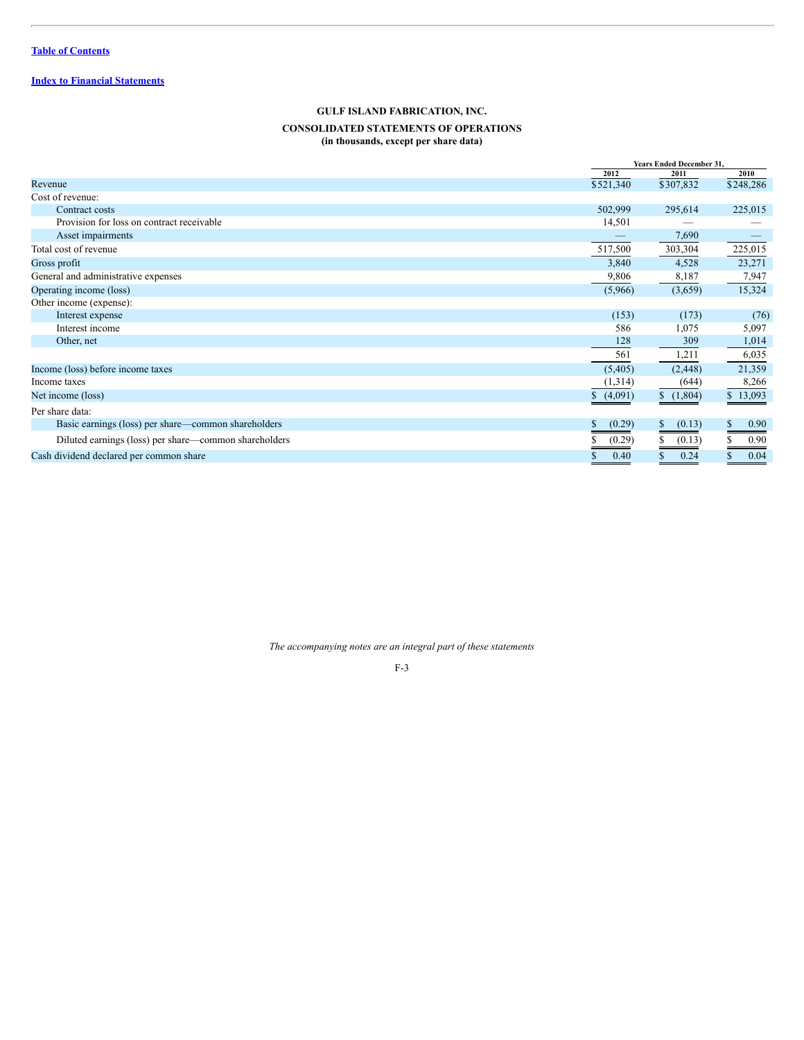# **GULF ISLAND FABRICATION, INC.**

### **CONSOLIDATED STATEMENTS OF OPERATIONS (in thousands, except per share data)**

<span id="page-42-0"></span>

|                                                       |              | <b>Years Ended December 31,</b> |            |  |
|-------------------------------------------------------|--------------|---------------------------------|------------|--|
|                                                       | 2012         | 2011                            | 2010       |  |
| Revenue                                               | \$521,340    | \$307,832                       | \$248,286  |  |
| Cost of revenue:                                      |              |                                 |            |  |
| Contract costs                                        | 502,999      | 295,614                         | 225,015    |  |
| Provision for loss on contract receivable             | 14,501       |                                 |            |  |
| Asset impairments                                     |              | 7,690                           |            |  |
| Total cost of revenue                                 | 517,500      | 303,304                         | 225,015    |  |
| Gross profit                                          | 3,840        | 4,528                           | 23,271     |  |
| General and administrative expenses                   | 9,806        | 8,187                           | 7,947      |  |
| Operating income (loss)                               | (5,966)      | (3,659)                         | 15,324     |  |
| Other income (expense):                               |              |                                 |            |  |
| Interest expense                                      | (153)        | (173)                           | (76)       |  |
| Interest income                                       | 586          | 1,075                           | 5,097      |  |
| Other, net                                            | 128          | 309                             | 1,014      |  |
|                                                       | 561          | 1,211                           | 6,035      |  |
| Income (loss) before income taxes                     | (5,405)      | (2, 448)                        | 21,359     |  |
| Income taxes                                          | (1,314)      | (644)                           | 8,266      |  |
| Net income (loss)                                     | (4,091)      | (1,804)                         | \$13,093   |  |
| Per share data:                                       |              |                                 |            |  |
| Basic earnings (loss) per share—common shareholders   | \$<br>(0.29) | \$<br>(0.13)                    | 0.90<br>\$ |  |
| Diluted earnings (loss) per share—common shareholders | (0.29)       | (0.13)                          | 0.90       |  |
| Cash dividend declared per common share               | 0.40         | 0.24                            | 0.04       |  |

*The accompanying notes are an integral part of these statements*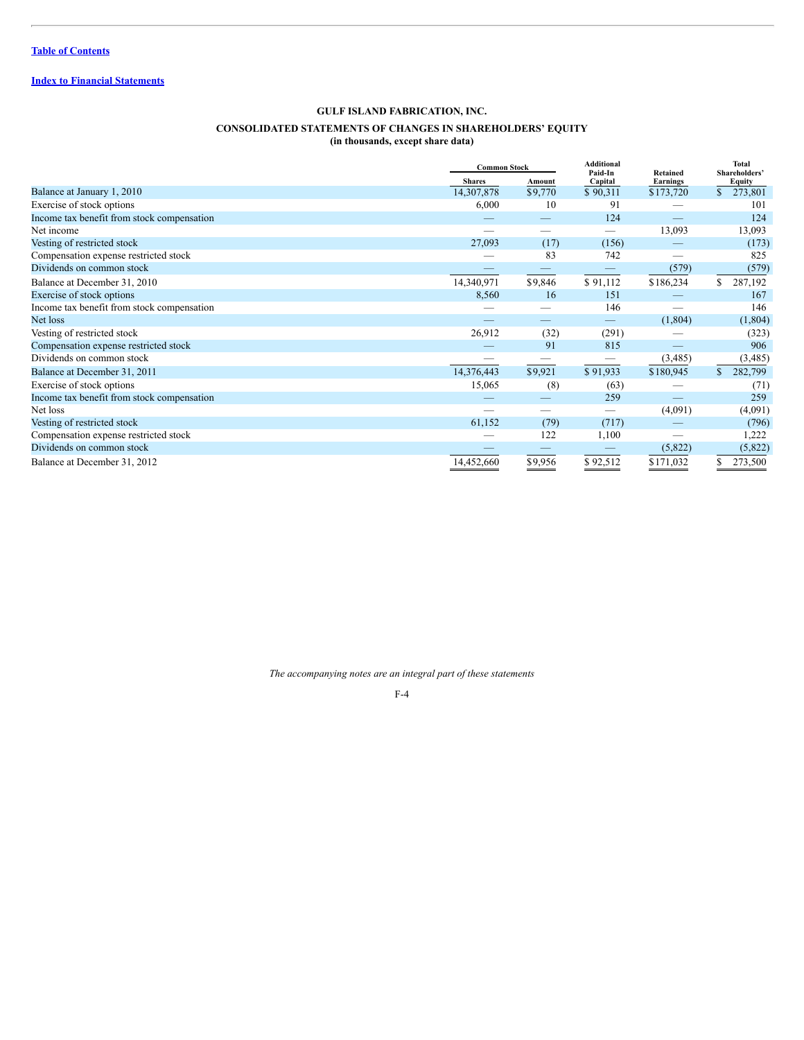## **GULF ISLAND FABRICATION, INC.**

# **CONSOLIDATED STATEMENTS OF CHANGES IN SHAREHOLDERS' EQUITY**

**(in thousands, except share data)**

<span id="page-43-0"></span>

|                                            |               | <b>Common Stock</b> |          | <b>Additional</b><br>Paid-In |    | Retained      | <b>Total</b><br>Shareholders' |  |  |
|--------------------------------------------|---------------|---------------------|----------|------------------------------|----|---------------|-------------------------------|--|--|
|                                            | <b>Shares</b> | Amount              | Capital  | Earnings                     |    | <b>Equity</b> |                               |  |  |
| Balance at January 1, 2010                 | 14,307,878    | \$9,770             | \$90,311 | \$173,720                    | S. | 273,801       |                               |  |  |
| Exercise of stock options                  | 6,000         | 10                  | 91       |                              |    | 101           |                               |  |  |
| Income tax benefit from stock compensation |               |                     | 124      |                              |    | 124           |                               |  |  |
| Net income                                 |               |                     |          | 13,093                       |    | 13,093        |                               |  |  |
| Vesting of restricted stock                | 27,093        | (17)                | (156)    |                              |    | (173)         |                               |  |  |
| Compensation expense restricted stock      |               | 83                  | 742      |                              |    | 825           |                               |  |  |
| Dividends on common stock                  |               |                     |          | (579)                        |    | (579)         |                               |  |  |
| Balance at December 31, 2010               | 14,340,971    | \$9,846             | \$91,112 | \$186,234                    | \$ | 287,192       |                               |  |  |
| Exercise of stock options                  | 8,560         | 16                  | 151      |                              |    | 167           |                               |  |  |
| Income tax benefit from stock compensation |               |                     | 146      |                              |    | 146           |                               |  |  |
| Net loss                                   |               | _                   |          | (1,804)                      |    | (1,804)       |                               |  |  |
| Vesting of restricted stock                | 26,912        | (32)                | (291)    |                              |    | (323)         |                               |  |  |
| Compensation expense restricted stock      |               | 91                  | 815      |                              |    | 906           |                               |  |  |
| Dividends on common stock                  |               |                     |          | (3,485)                      |    | (3,485)       |                               |  |  |
| Balance at December 31, 2011               | 14,376,443    | \$9,921             | \$91,933 | \$180,945                    | \$ | 282,799       |                               |  |  |
| Exercise of stock options                  | 15,065        | (8)                 | (63)     |                              |    | (71)          |                               |  |  |
| Income tax benefit from stock compensation |               |                     | 259      |                              |    | 259           |                               |  |  |
| Net loss                                   |               |                     |          | (4,091)                      |    | (4,091)       |                               |  |  |
| Vesting of restricted stock                | 61,152        | (79)                | (717)    |                              |    | (796)         |                               |  |  |
| Compensation expense restricted stock      |               | 122                 | 1,100    |                              |    | 1,222         |                               |  |  |
| Dividends on common stock                  |               |                     |          | (5,822)                      |    | (5,822)       |                               |  |  |
| Balance at December 31, 2012               | 14,452,660    | \$9,956             | \$92,512 | \$171,032                    |    | 273,500       |                               |  |  |

*The accompanying notes are an integral part of these statements*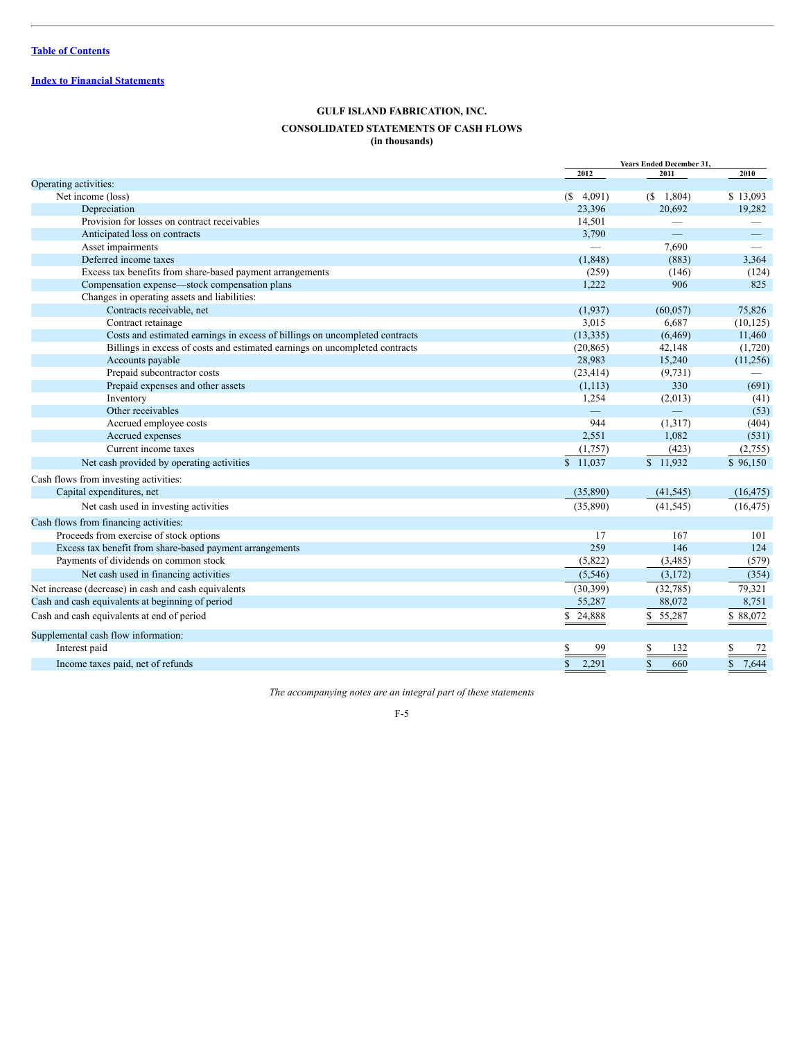### **GULF ISLAND FABRICATION, INC.**

### **CONSOLIDATED STATEMENTS OF CASH FLOWS**

**(in thousands)**

<span id="page-44-0"></span>

|                                                                             |                      | <b>Years Ended December 31,</b> |                       |  |
|-----------------------------------------------------------------------------|----------------------|---------------------------------|-----------------------|--|
|                                                                             | 2012                 | 2011                            | 2010                  |  |
| Operating activities:                                                       |                      |                                 |                       |  |
| Net income (loss)                                                           | $($ \$ 4,091)        | $(S \t1, 804)$                  | \$13,093              |  |
| Depreciation                                                                | 23,396               | 20,692                          | 19,282                |  |
| Provision for losses on contract receivables                                | 14,501               |                                 |                       |  |
| Anticipated loss on contracts                                               | 3,790                | $\equiv$                        |                       |  |
| Asset impairments                                                           |                      | 7,690                           |                       |  |
| Deferred income taxes                                                       | (1, 848)             | (883)                           | 3,364                 |  |
| Excess tax benefits from share-based payment arrangements                   | (259)                | (146)                           | (124)                 |  |
| Compensation expense—stock compensation plans                               | 1,222                | 906                             | 825                   |  |
| Changes in operating assets and liabilities:                                |                      |                                 |                       |  |
| Contracts receivable, net                                                   | (1,937)              | (60, 057)                       | 75,826                |  |
| Contract retainage                                                          | 3,015                | 6,687                           | (10, 125)             |  |
| Costs and estimated earnings in excess of billings on uncompleted contracts | (13, 335)            | (6, 469)                        | 11,460                |  |
| Billings in excess of costs and estimated earnings on uncompleted contracts | (20, 865)            | 42,148                          | (1,720)               |  |
| Accounts payable                                                            | 28,983               | 15,240                          | (11,256)              |  |
| Prepaid subcontractor costs                                                 | (23, 414)            | (9, 731)                        |                       |  |
| Prepaid expenses and other assets                                           | (1, 113)             | 330                             | (691)                 |  |
| Inventory                                                                   | 1,254                | (2,013)                         | (41)                  |  |
| Other receivables                                                           |                      | $\overline{\phantom{0}}$        | (53)                  |  |
| Accrued employee costs                                                      | 944                  | (1,317)                         | (404)                 |  |
| Accrued expenses                                                            | 2,551                | 1,082                           | (531)                 |  |
| Current income taxes                                                        | (1,757)              | (423)                           | (2,755)               |  |
| Net cash provided by operating activities                                   | \$11,037             | \$11,932                        | \$96,150              |  |
| Cash flows from investing activities:                                       |                      |                                 |                       |  |
| Capital expenditures, net                                                   | (35,890)             | (41, 545)                       | (16, 475)             |  |
| Net cash used in investing activities                                       | (35,890)             | (41, 545)                       | (16, 475)             |  |
| Cash flows from financing activities:                                       |                      |                                 |                       |  |
| Proceeds from exercise of stock options                                     | 17                   | 167                             | 101                   |  |
| Excess tax benefit from share-based payment arrangements                    | 259                  | 146                             | 124                   |  |
| Payments of dividends on common stock                                       | (5,822)              | (3, 485)                        | (579)                 |  |
| Net cash used in financing activities                                       | (5, 546)             | (3,172)                         | (354)                 |  |
| Net increase (decrease) in cash and cash equivalents                        | (30, 399)            | (32, 785)                       | 79,321                |  |
| Cash and cash equivalents at beginning of period                            | 55,287               | 88,072                          | 8,751                 |  |
| Cash and cash equivalents at end of period                                  | 24,888<br>\$         | \$55,287                        | \$88,072              |  |
| Supplemental cash flow information:                                         |                      |                                 |                       |  |
| Interest paid                                                               | S<br>99              | 132                             | 72                    |  |
| Income taxes paid, net of refunds                                           | $\mathbf S$<br>2.291 | $\mathbf S$<br>660              | $\mathbf{s}$<br>7.644 |  |

*The accompanying notes are an integral part of these statements*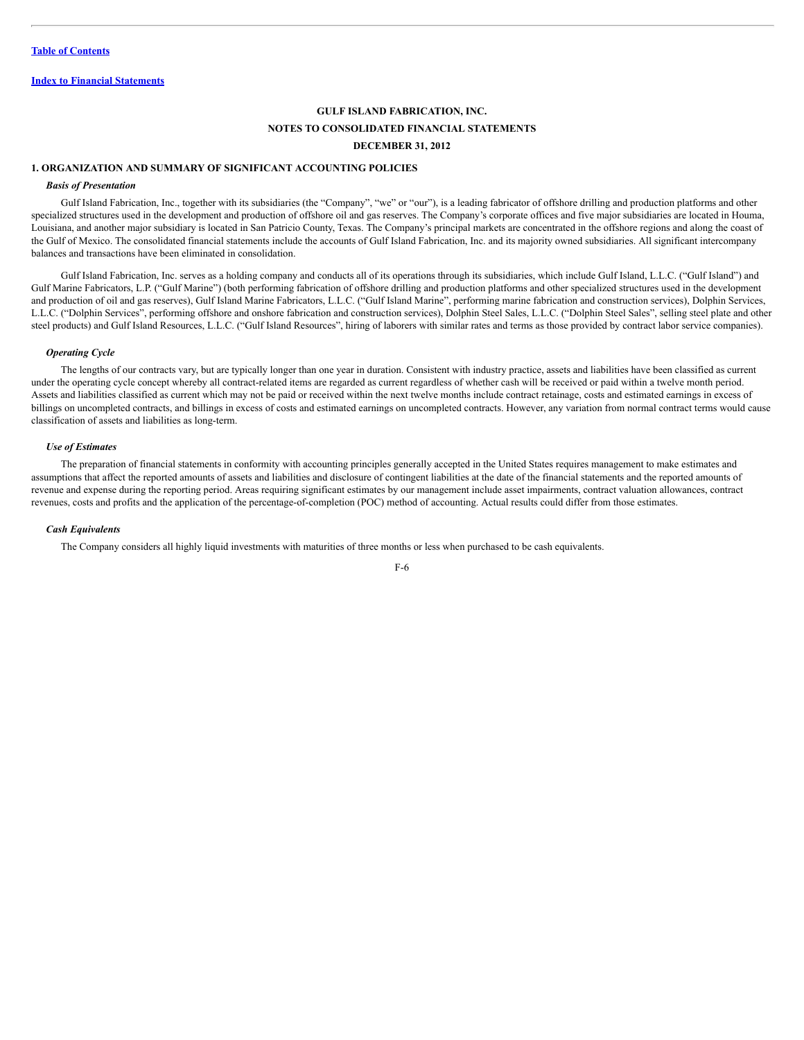### **GULF ISLAND FABRICATION, INC. NOTES TO CONSOLIDATED FINANCIAL STATEMENTS DECEMBER 31, 2012**

### <span id="page-45-0"></span>**1. ORGANIZATION AND SUMMARY OF SIGNIFICANT ACCOUNTING POLICIES**

### *Basis of Presentation*

Gulf Island Fabrication, Inc., together with its subsidiaries (the "Company", "we" or "our"), is a leading fabricator of offshore drilling and production platforms and other specialized structures used in the development and production of offshore oil and gas reserves. The Company's corporate offices and five major subsidiaries are located in Houma, Louisiana, and another major subsidiary is located in San Patricio County, Texas. The Company's principal markets are concentrated in the offshore regions and along the coast of the Gulf of Mexico. The consolidated financial statements include the accounts of Gulf Island Fabrication, Inc. and its majority owned subsidiaries. All significant intercompany balances and transactions have been eliminated in consolidation.

Gulf Island Fabrication, Inc. serves as a holding company and conducts all of its operations through its subsidiaries, which include Gulf Island, L.L.C. ("Gulf Island") and Gulf Marine Fabricators, L.P. ("Gulf Marine") (both performing fabrication of offshore drilling and production platforms and other specialized structures used in the development and production of oil and gas reserves), Gulf Island Marine Fabricators, L.L.C. ("Gulf Island Marine", performing marine fabrication and construction services), Dolphin Services, L.L.C. ("Dolphin Services", performing offshore and onshore fabrication and construction services), Dolphin Steel Sales, L.L.C. ("Dolphin Steel Sales", selling steel plate and other steel products) and Gulf Island Resources, L.L.C. ("Gulf Island Resources", hiring of laborers with similar rates and terms as those provided by contract labor service companies).

#### *Operating Cycle*

The lengths of our contracts vary, but are typically longer than one year in duration. Consistent with industry practice, assets and liabilities have been classified as current under the operating cycle concept whereby all contract-related items are regarded as current regardless of whether cash will be received or paid within a twelve month period. Assets and liabilities classified as current which may not be paid or received within the next twelve months include contract retainage, costs and estimated earnings in excess of billings on uncompleted contracts, and billings in excess of costs and estimated earnings on uncompleted contracts. However, any variation from normal contract terms would cause classification of assets and liabilities as long-term.

### *Use of Estimates*

The preparation of financial statements in conformity with accounting principles generally accepted in the United States requires management to make estimates and assumptions that affect the reported amounts of assets and liabilities and disclosure of contingent liabilities at the date of the financial statements and the reported amounts of revenue and expense during the reporting period. Areas requiring significant estimates by our management include asset impairments, contract valuation allowances, contract revenues, costs and profits and the application of the percentage-of-completion (POC) method of accounting. Actual results could differ from those estimates.

#### *Cash Equivalents*

The Company considers all highly liquid investments with maturities of three months or less when purchased to be cash equivalents.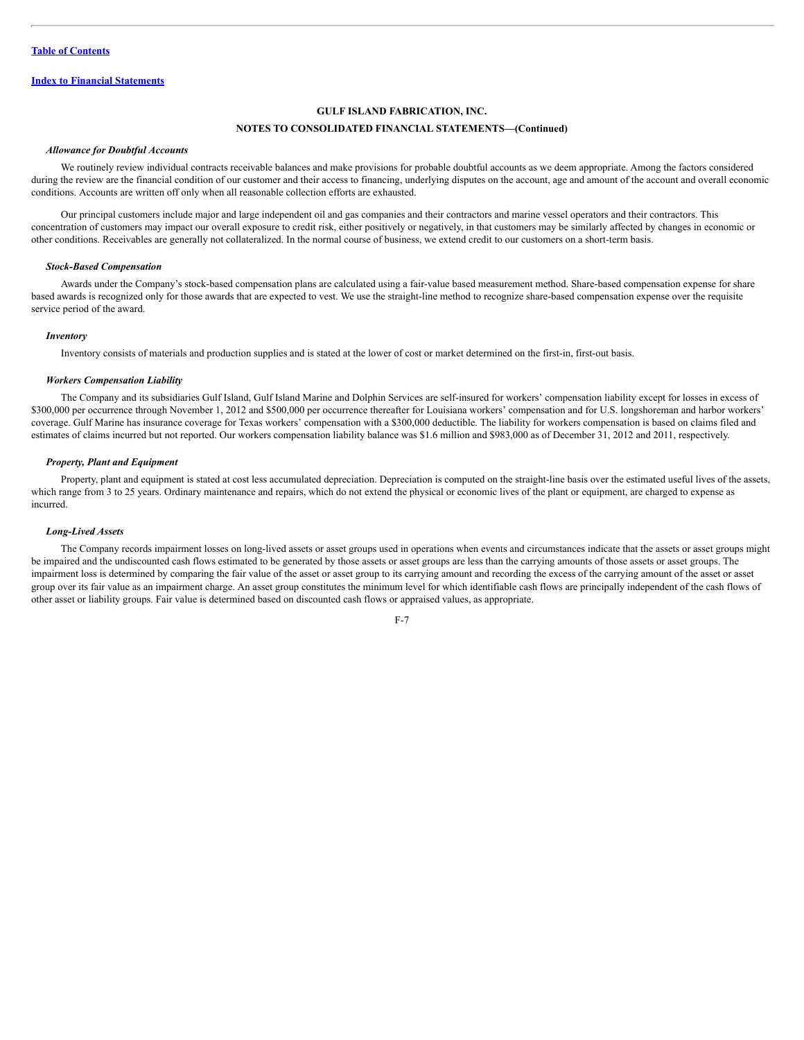### **GULF ISLAND FABRICATION, INC. NOTES TO CONSOLIDATED FINANCIAL STATEMENTS—(Continued)**

### *Allowance for Doubtful Accounts*

We routinely review individual contracts receivable balances and make provisions for probable doubtful accounts as we deem appropriate. Among the factors considered during the review are the financial condition of our customer and their access to financing, underlying disputes on the account, age and amount of the account and overall economic conditions. Accounts are written off only when all reasonable collection efforts are exhausted.

Our principal customers include major and large independent oil and gas companies and their contractors and marine vessel operators and their contractors. This concentration of customers may impact our overall exposure to credit risk, either positively or negatively, in that customers may be similarly affected by changes in economic or other conditions. Receivables are generally not collateralized. In the normal course of business, we extend credit to our customers on a short-term basis.

#### *Stock-Based Compensation*

Awards under the Company's stock-based compensation plans are calculated using a fair-value based measurement method. Share-based compensation expense for share based awards is recognized only for those awards that are expected to vest. We use the straight-line method to recognize share-based compensation expense over the requisite service period of the award.

#### *Inventory*

Inventory consists of materials and production supplies and is stated at the lower of cost or market determined on the first-in, first-out basis.

#### *Workers Compensation Liability*

The Company and its subsidiaries Gulf Island, Gulf Island Marine and Dolphin Services are self-insured for workers' compensation liability except for losses in excess of \$300,000 per occurrence through November 1, 2012 and \$500,000 per occurrence thereafter for Louisiana workers' compensation and for U.S. longshoreman and harbor workers' coverage. Gulf Marine has insurance coverage for Texas workers' compensation with a \$300,000 deductible. The liability for workers compensation is based on claims filed and estimates of claims incurred but not reported. Our workers compensation liability balance was \$1.6 million and \$983,000 as of December 31, 2012 and 2011, respectively.

#### *Property, Plant and Equipment*

Property, plant and equipment is stated at cost less accumulated depreciation. Depreciation is computed on the straight-line basis over the estimated useful lives of the assets, which range from 3 to 25 years. Ordinary maintenance and repairs, which do not extend the physical or economic lives of the plant or equipment, are charged to expense as incurred.

#### *Long-Lived Assets*

The Company records impairment losses on long-lived assets or asset groups used in operations when events and circumstances indicate that the assets or asset groups might be impaired and the undiscounted cash flows estimated to be generated by those assets or asset groups are less than the carrying amounts of those assets or asset groups. The impairment loss is determined by comparing the fair value of the asset or asset group to its carrying amount and recording the excess of the carrying amount of the asset or asset group over its fair value as an impairment charge. An asset group constitutes the minimum level for which identifiable cash flows are principally independent of the cash flows of other asset or liability groups. Fair value is determined based on discounted cash flows or appraised values, as appropriate.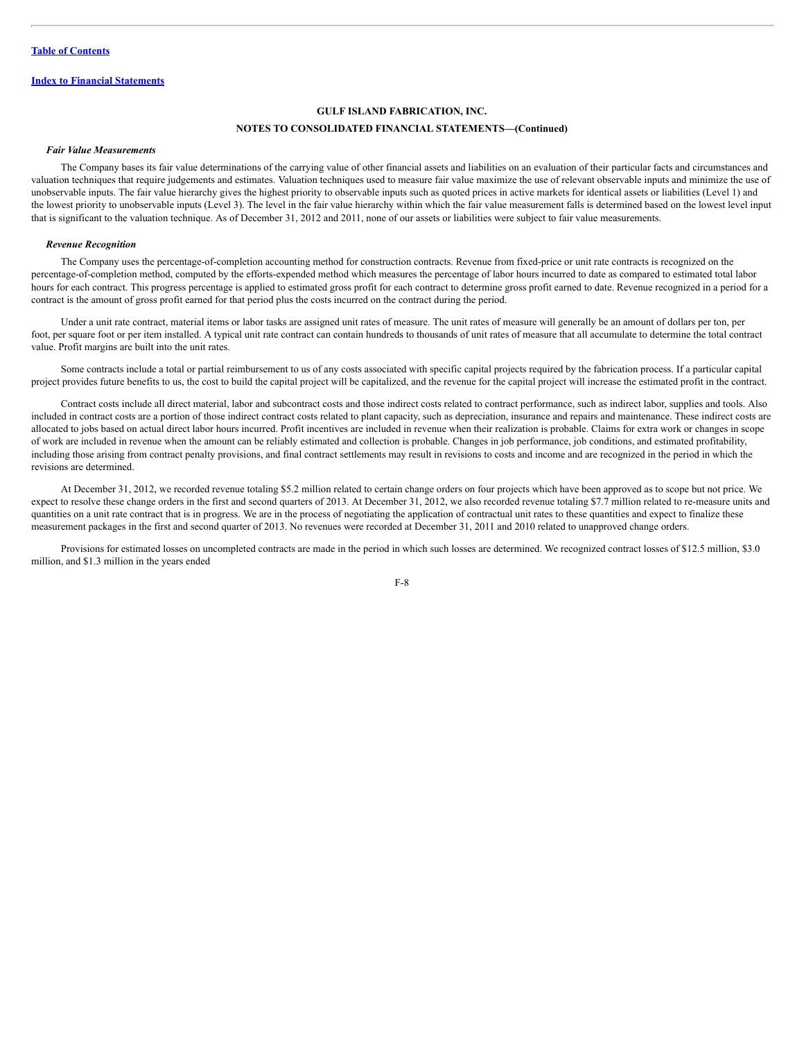### **GULF ISLAND FABRICATION, INC. NOTES TO CONSOLIDATED FINANCIAL STATEMENTS—(Continued)**

### *Fair Value Measurements*

The Company bases its fair value determinations of the carrying value of other financial assets and liabilities on an evaluation of their particular facts and circumstances and valuation techniques that require judgements and estimates. Valuation techniques used to measure fair value maximize the use of relevant observable inputs and minimize the use of unobservable inputs. The fair value hierarchy gives the highest priority to observable inputs such as quoted prices in active markets for identical assets or liabilities (Level 1) and the lowest priority to unobservable inputs (Level 3). The level in the fair value hierarchy within which the fair value measurement falls is determined based on the lowest level input that is significant to the valuation technique. As of December 31, 2012 and 2011, none of our assets or liabilities were subject to fair value measurements.

#### *Revenue Recognition*

The Company uses the percentage-of-completion accounting method for construction contracts. Revenue from fixed-price or unit rate contracts is recognized on the percentage-of-completion method, computed by the efforts-expended method which measures the percentage of labor hours incurred to date as compared to estimated total labor hours for each contract. This progress percentage is applied to estimated gross profit for each contract to determine gross profit earned to date. Revenue recognized in a period for a contract is the amount of gross profit earned for that period plus the costs incurred on the contract during the period.

Under a unit rate contract, material items or labor tasks are assigned unit rates of measure. The unit rates of measure will generally be an amount of dollars per ton, per foot, per square foot or per item installed. A typical unit rate contract can contain hundreds to thousands of unit rates of measure that all accumulate to determine the total contract value. Profit margins are built into the unit rates.

Some contracts include a total or partial reimbursement to us of any costs associated with specific capital projects required by the fabrication process. If a particular capital project provides future benefits to us, the cost to build the capital project will be capitalized, and the revenue for the capital project will increase the estimated profit in the contract.

Contract costs include all direct material, labor and subcontract costs and those indirect costs related to contract performance, such as indirect labor, supplies and tools. Also included in contract costs are a portion of those indirect contract costs related to plant capacity, such as depreciation, insurance and repairs and maintenance. These indirect costs are allocated to jobs based on actual direct labor hours incurred. Profit incentives are included in revenue when their realization is probable. Claims for extra work or changes in scope of work are included in revenue when the amount can be reliably estimated and collection is probable. Changes in job performance, job conditions, and estimated profitability, including those arising from contract penalty provisions, and final contract settlements may result in revisions to costs and income and are recognized in the period in which the revisions are determined.

At December 31, 2012, we recorded revenue totaling \$5.2 million related to certain change orders on four projects which have been approved as to scope but not price. We expect to resolve these change orders in the first and second quarters of 2013. At December 31, 2012, we also recorded revenue totaling \$7.7 million related to re-measure units and quantities on a unit rate contract that is in progress. We are in the process of negotiating the application of contractual unit rates to these quantities and expect to finalize these measurement packages in the first and second quarter of 2013. No revenues were recorded at December 31, 2011 and 2010 related to unapproved change orders.

Provisions for estimated losses on uncompleted contracts are made in the period in which such losses are determined. We recognized contract losses of \$12.5 million, \$3.0 million, and \$1.3 million in the years ended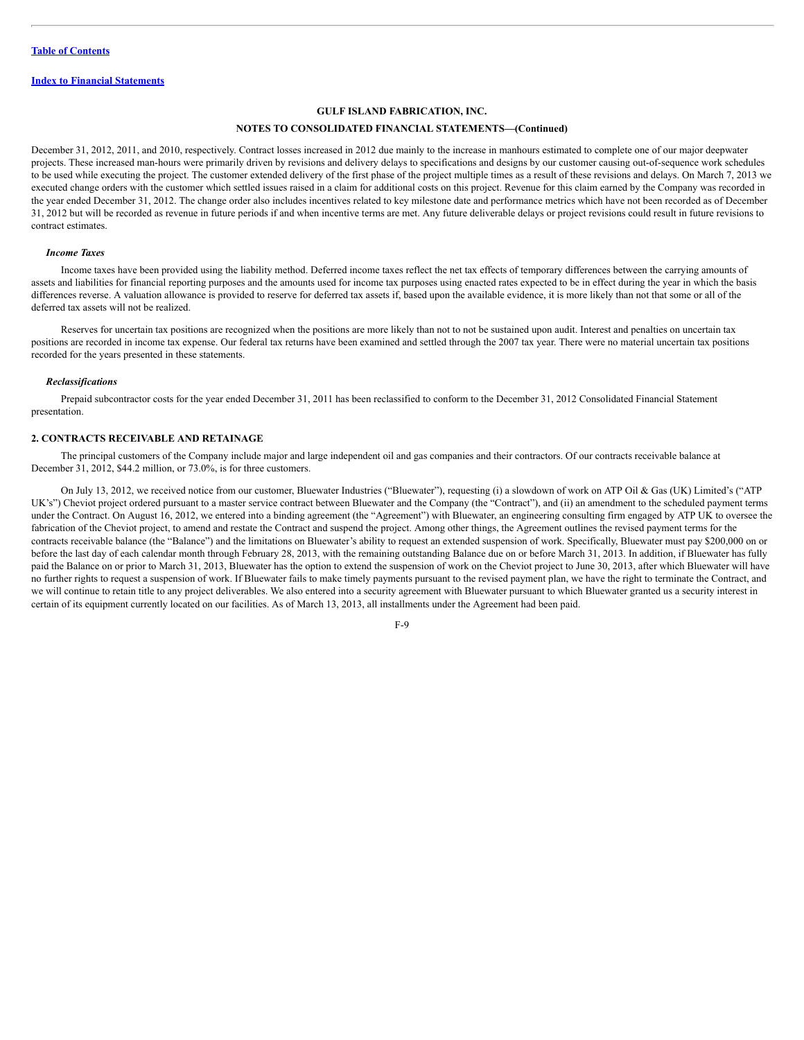#### **GULF ISLAND FABRICATION, INC.**

### **NOTES TO CONSOLIDATED FINANCIAL STATEMENTS—(Continued)**

December 31, 2012, 2011, and 2010, respectively. Contract losses increased in 2012 due mainly to the increase in manhours estimated to complete one of our major deepwater projects. These increased man-hours were primarily driven by revisions and delivery delays to specifications and designs by our customer causing out-of-sequence work schedules to be used while executing the project. The customer extended delivery of the first phase of the project multiple times as a result of these revisions and delays. On March 7, 2013 we executed change orders with the customer which settled issues raised in a claim for additional costs on this project. Revenue for this claim earned by the Company was recorded in the year ended December 31, 2012. The change order also includes incentives related to key milestone date and performance metrics which have not been recorded as of December 31, 2012 but will be recorded as revenue in future periods if and when incentive terms are met. Any future deliverable delays or project revisions could result in future revisions to contract estimates.

#### *Income Taxes*

Income taxes have been provided using the liability method. Deferred income taxes reflect the net tax effects of temporary differences between the carrying amounts of assets and liabilities for financial reporting purposes and the amounts used for income tax purposes using enacted rates expected to be in effect during the year in which the basis differences reverse. A valuation allowance is provided to reserve for deferred tax assets if, based upon the available evidence, it is more likely than not that some or all of the deferred tax assets will not be realized.

Reserves for uncertain tax positions are recognized when the positions are more likely than not to not be sustained upon audit. Interest and penalties on uncertain tax positions are recorded in income tax expense. Our federal tax returns have been examined and settled through the 2007 tax year. There were no material uncertain tax positions recorded for the years presented in these statements.

#### *Reclassifications*

Prepaid subcontractor costs for the year ended December 31, 2011 has been reclassified to conform to the December 31, 2012 Consolidated Financial Statement presentation.

### **2. CONTRACTS RECEIVABLE AND RETAINAGE**

The principal customers of the Company include major and large independent oil and gas companies and their contractors. Of our contracts receivable balance at December 31, 2012, \$44.2 million, or 73.0%, is for three customers.

On July 13, 2012, we received notice from our customer, Bluewater Industries ("Bluewater"), requesting (i) a slowdown of work on ATP Oil & Gas (UK) Limited's ("ATP UK's") Cheviot project ordered pursuant to a master service contract between Bluewater and the Company (the "Contract"), and (ii) an amendment to the scheduled payment terms under the Contract. On August 16, 2012, we entered into a binding agreement (the "Agreement") with Bluewater, an engineering consulting firm engaged by ATP UK to oversee the fabrication of the Cheviot project, to amend and restate the Contract and suspend the project. Among other things, the Agreement outlines the revised payment terms for the contracts receivable balance (the "Balance") and the limitations on Bluewater's ability to request an extended suspension of work. Specifically, Bluewater must pay \$200,000 on or before the last day of each calendar month through February 28, 2013, with the remaining outstanding Balance due on or before March 31, 2013. In addition, if Bluewater has fully paid the Balance on or prior to March 31, 2013, Bluewater has the option to extend the suspension of work on the Cheviot project to June 30, 2013, after which Bluewater will have no further rights to request a suspension of work. If Bluewater fails to make timely payments pursuant to the revised payment plan, we have the right to terminate the Contract, and we will continue to retain title to any project deliverables. We also entered into a security agreement with Bluewater pursuant to which Bluewater granted us a security interest in certain of its equipment currently located on our facilities. As of March 13, 2013, all installments under the Agreement had been paid.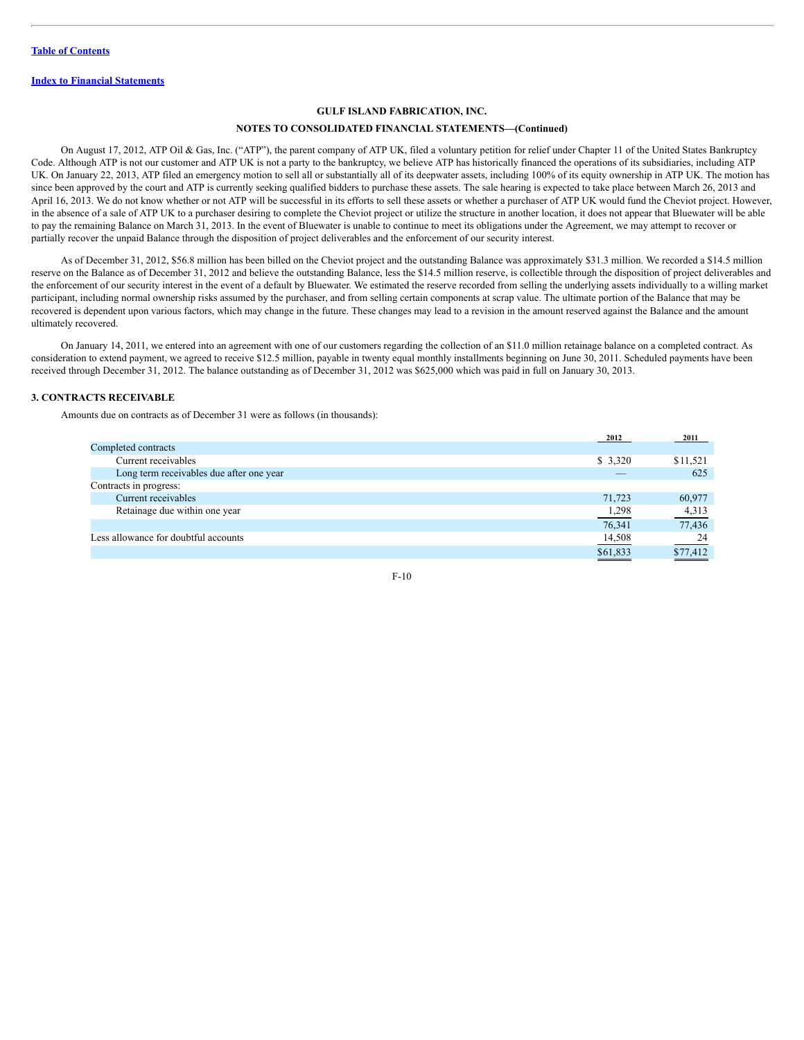#### **GULF ISLAND FABRICATION, INC.**

### **NOTES TO CONSOLIDATED FINANCIAL STATEMENTS—(Continued)**

On August 17, 2012, ATP Oil & Gas, Inc. ("ATP"), the parent company of ATP UK, filed a voluntary petition for relief under Chapter 11 of the United States Bankruptcy Code. Although ATP is not our customer and ATP UK is not a party to the bankruptcy, we believe ATP has historically financed the operations of its subsidiaries, including ATP UK. On January 22, 2013, ATP filed an emergency motion to sell all or substantially all of its deepwater assets, including 100% of its equity ownership in ATP UK. The motion has since been approved by the court and ATP is currently seeking qualified bidders to purchase these assets. The sale hearing is expected to take place between March 26, 2013 and April 16, 2013. We do not know whether or not ATP will be successful in its efforts to sell these assets or whether a purchaser of ATP UK would fund the Cheviot project. However, in the absence of a sale of ATP UK to a purchaser desiring to complete the Cheviot project or utilize the structure in another location, it does not appear that Bluewater will be able to pay the remaining Balance on March 31, 2013. In the event of Bluewater is unable to continue to meet its obligations under the Agreement, we may attempt to recover or partially recover the unpaid Balance through the disposition of project deliverables and the enforcement of our security interest.

As of December 31, 2012, \$56.8 million has been billed on the Cheviot project and the outstanding Balance was approximately \$31.3 million. We recorded a \$14.5 million reserve on the Balance as of December 31, 2012 and believe the outstanding Balance, less the \$14.5 million reserve, is collectible through the disposition of project deliverables and the enforcement of our security interest in the event of a default by Bluewater. We estimated the reserve recorded from selling the underlying assets individually to a willing market participant, including normal ownership risks assumed by the purchaser, and from selling certain components at scrap value. The ultimate portion of the Balance that may be recovered is dependent upon various factors, which may change in the future. These changes may lead to a revision in the amount reserved against the Balance and the amount ultimately recovered.

On January 14, 2011, we entered into an agreement with one of our customers regarding the collection of an \$11.0 million retainage balance on a completed contract. As consideration to extend payment, we agreed to receive \$12.5 million, payable in twenty equal monthly installments beginning on June 30, 2011. Scheduled payments have been received through December 31, 2012. The balance outstanding as of December 31, 2012 was \$625,000 which was paid in full on January 30, 2013.

### **3. CONTRACTS RECEIVABLE**

Amounts due on contracts as of December 31 were as follows (in thousands):

|                                          | 2012     | 2011                   |
|------------------------------------------|----------|------------------------|
| Completed contracts                      |          |                        |
| Current receivables                      | \$3,320  | \$11,521               |
| Long term receivables due after one year |          | 625                    |
| Contracts in progress:                   |          |                        |
| Current receivables                      | 71,723   | 60,977                 |
| Retainage due within one year            | 1,298    | $\frac{4,313}{77,436}$ |
|                                          | 76,341   |                        |
| Less allowance for doubtful accounts     | 14,508   | 24                     |
|                                          | \$61,833 | $rac{21}{\$77,412}$    |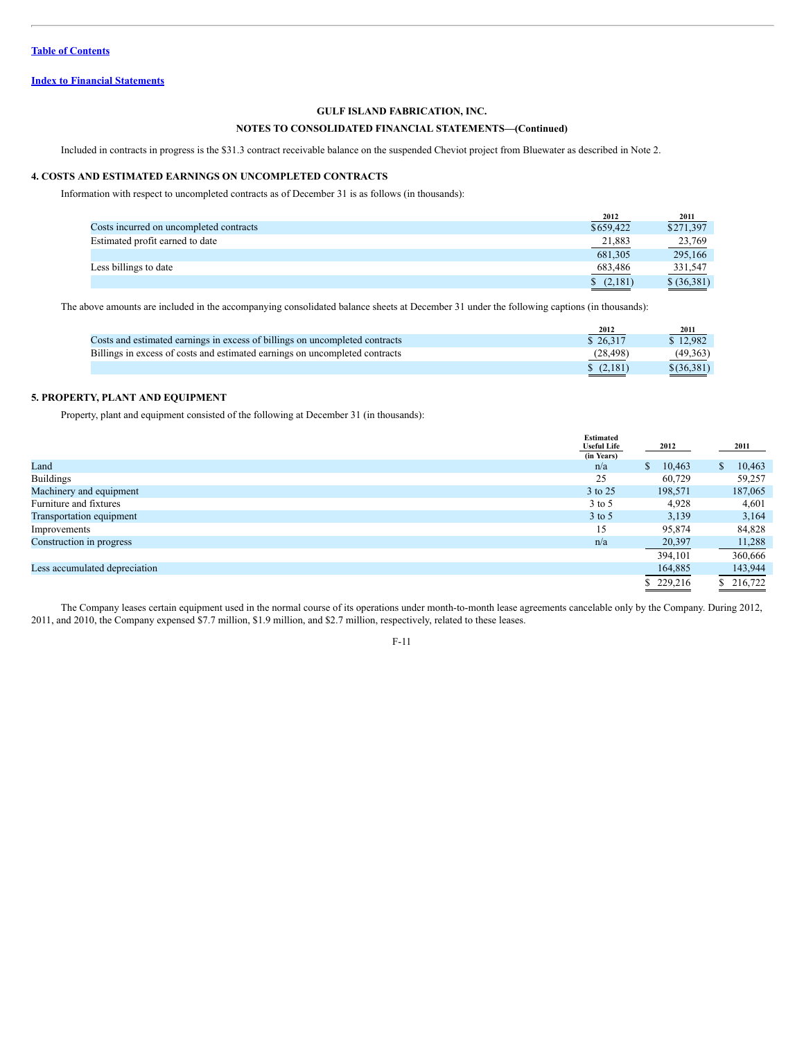### **GULF ISLAND FABRICATION, INC.**

### **NOTES TO CONSOLIDATED FINANCIAL STATEMENTS—(Continued)**

Included in contracts in progress is the \$31.3 contract receivable balance on the suspended Cheviot project from Bluewater as described in Note 2.

### **4. COSTS AND ESTIMATED EARNINGS ON UNCOMPLETED CONTRACTS**

Information with respect to uncompleted contracts as of December 31 is as follows (in thousands):

|                                         | 2012      | 2011        |
|-----------------------------------------|-----------|-------------|
| Costs incurred on uncompleted contracts | \$659,422 | \$271,397   |
| Estimated profit earned to date         | 21,883    | 23,769      |
|                                         | 681,305   | 295,166     |
| Less billings to date                   | 683,486   | 331,547     |
|                                         | \$(2,181) | \$ (36,381) |

The above amounts are included in the accompanying consolidated balance sheets at December 31 under the following captions (in thousands):

|                                                                             | 2012             | 2011       |
|-----------------------------------------------------------------------------|------------------|------------|
| Costs and estimated earnings in excess of billings on uncompleted contracts | \$26.317         | \$12.982   |
| Billings in excess of costs and estimated earnings on uncompleted contracts | (28, 498)        | (49,363)   |
|                                                                             | $\{8, (2.181)\}$ | \$(36.381) |

### **5. PROPERTY, PLANT AND EQUIPMENT**

Property, plant and equipment consisted of the following at December 31 (in thousands):

|                               | <b>Estimated</b><br><b>Useful Life</b><br>(in Years) | 2012         | 2011         |
|-------------------------------|------------------------------------------------------|--------------|--------------|
| Land                          | n/a                                                  | 10,463<br>S. | 10,463<br>Ъ. |
| <b>Buildings</b>              | 25                                                   | 60,729       | 59,257       |
| Machinery and equipment       | 3 to 25                                              | 198,571      | 187,065      |
| Furniture and fixtures        | $3$ to $5$                                           | 4,928        | 4,601        |
| Transportation equipment      | $3$ to $5$                                           | 3,139        | 3,164        |
| Improvements                  | 15                                                   | 95,874       | 84,828       |
| Construction in progress      | n/a                                                  | 20,397       | 11,288       |
|                               |                                                      | 394.101      | 360,666      |
| Less accumulated depreciation |                                                      | 164,885      | 143,944      |
|                               |                                                      | \$229,216    | 216,722      |
|                               |                                                      |              |              |

The Company leases certain equipment used in the normal course of its operations under month-to-month lease agreements cancelable only by the Company. During 2012, 2011, and 2010, the Company expensed \$7.7 million, \$1.9 million, and \$2.7 million, respectively, related to these leases.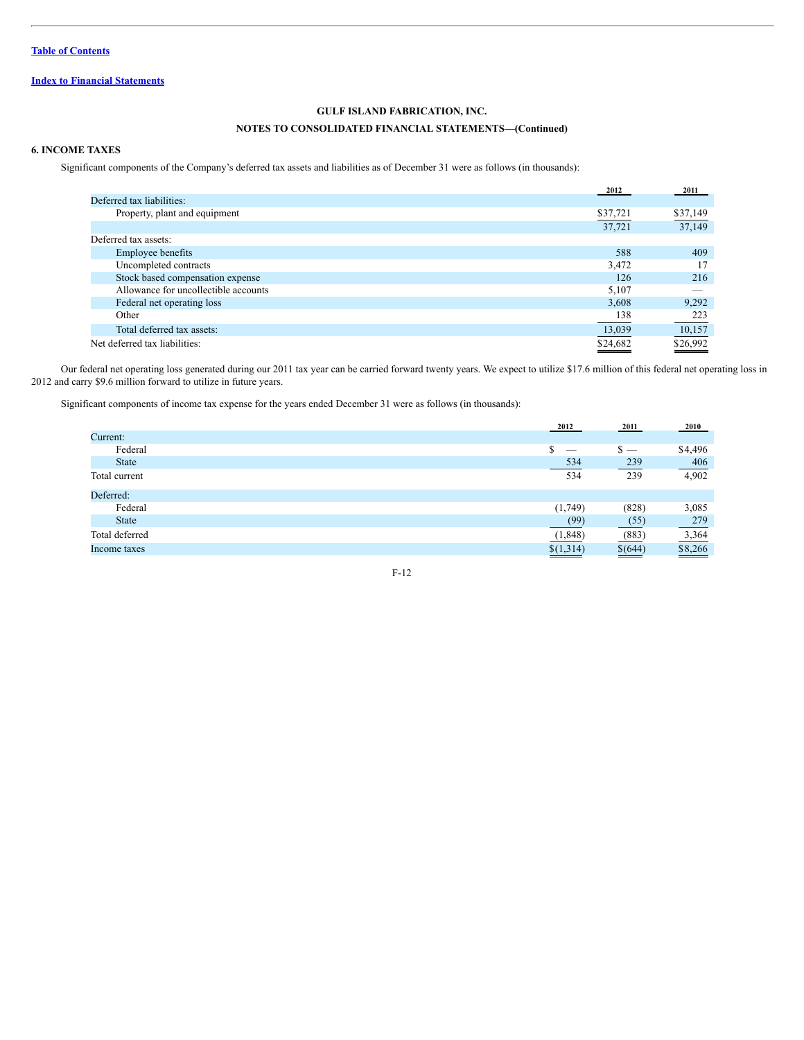### **GULF ISLAND FABRICATION, INC. NOTES TO CONSOLIDATED FINANCIAL STATEMENTS—(Continued)**

### **6. INCOME TAXES**

Significant components of the Company's deferred tax assets and liabilities as of December 31 were as follows (in thousands):

|                                      | 2012     | 2011     |
|--------------------------------------|----------|----------|
| Deferred tax liabilities:            |          |          |
| Property, plant and equipment        | \$37,721 | \$37,149 |
|                                      | 37,721   | 37,149   |
| Deferred tax assets:                 |          |          |
| Employee benefits                    | 588      | 409      |
| Uncompleted contracts                | 3,472    |          |
| Stock based compensation expense     | 126      | 216      |
| Allowance for uncollectible accounts | 5,107    |          |
| Federal net operating loss           | 3,608    | 9,292    |
| Other                                | 138      | 223      |
| Total deferred tax assets:           | 13,039   | 10,157   |
| Net deferred tax liabilities:        | \$24,682 | \$26,992 |
|                                      |          |          |

Our federal net operating loss generated during our 2011 tax year can be carried forward twenty years. We expect to utilize \$17.6 million of this federal net operating loss in 2012 and carry \$9.6 million forward to utilize in future years.

Significant components of income tax expense for the years ended December 31 were as follows (in thousands):

|                | 2012                        | 2011           | 2010    |
|----------------|-----------------------------|----------------|---------|
| Current:       |                             |                |         |
| Federal        | $\overbrace{\hspace{15em}}$ | $\mathbf{s}$ — | \$4,496 |
| <b>State</b>   | 534                         | 239            | 406     |
| Total current  | 534                         | 239            | 4,902   |
| Deferred:      |                             |                |         |
| Federal        | (1,749)                     | (828)          | 3,085   |
| <b>State</b>   | (99)                        | (55)           | 279     |
| Total deferred | (1,848)                     | (883)          | 3,364   |
| Income taxes   | \$(1,314)                   | \$(644)        | \$8,266 |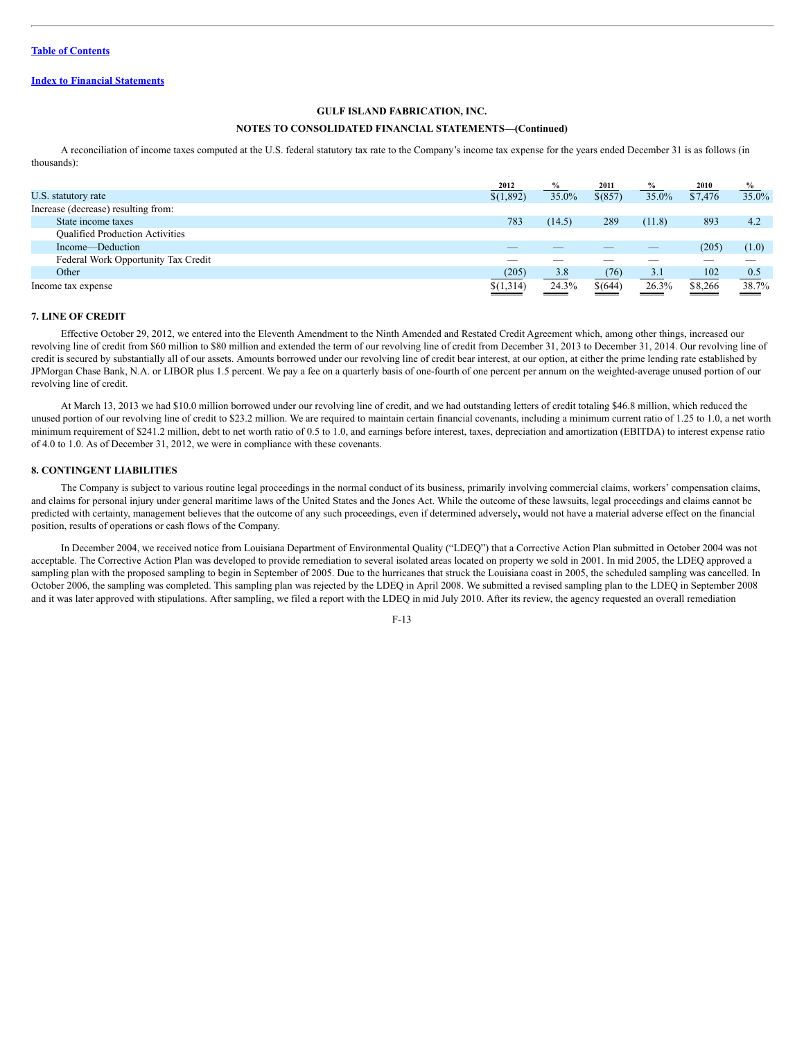### **GULF ISLAND FABRICATION, INC.**

### **NOTES TO CONSOLIDATED FINANCIAL STATEMENTS—(Continued)**

A reconciliation of income taxes computed at the U.S. federal statutory tax rate to the Company's income tax expense for the years ended December 31 is as follows (in thousands):

|                                        | 2012            | $\%$     | 2011     | $\frac{9}{6}$ | 2010    | $\%$  |
|----------------------------------------|-----------------|----------|----------|---------------|---------|-------|
| U.S. statutory rate                    | \$(1,892)       | $35.0\%$ | \$ (857) | 35.0%         | \$7.476 | 35.0% |
| Increase (decrease) resulting from:    |                 |          |          |               |         |       |
| State income taxes                     | 783             | (14.5)   | 289      | (11.8)        | 893     | 4.2   |
| <b>Oualified Production Activities</b> |                 |          |          |               |         |       |
| Income—Deduction                       |                 |          |          |               | (205)   | (1.0) |
| Federal Work Opportunity Tax Credit    |                 |          |          |               |         |       |
| Other                                  | (205)           | 3.8      | (76)     | 3.1           | 102     | 0.5   |
| Income tax expense                     | \$(1,314)<br>—— | 24.3%    | \$(644)  | 26.3%         | \$8,266 | 38.7% |
|                                        |                 |          |          |               |         |       |

### **7. LINE OF CREDIT**

Effective October 29, 2012, we entered into the Eleventh Amendment to the Ninth Amended and Restated Credit Agreement which, among other things, increased our revolving line of credit from \$60 million to \$80 million and extended the term of our revolving line of credit from December 31, 2013 to December 31, 2014. Our revolving line of credit is secured by substantially all of our assets. Amounts borrowed under our revolving line of credit bear interest, at our option, at either the prime lending rate established by JPMorgan Chase Bank, N.A. or LIBOR plus 1.5 percent. We pay a fee on a quarterly basis of one-fourth of one percent per annum on the weighted-average unused portion of our revolving line of credit.

At March 13, 2013 we had \$10.0 million borrowed under our revolving line of credit, and we had outstanding letters of credit totaling \$46.8 million, which reduced the unused portion of our revolving line of credit to \$23.2 million. We are required to maintain certain financial covenants, including a minimum current ratio of 1.25 to 1.0, a net worth minimum requirement of \$241.2 million, debt to net worth ratio of 0.5 to 1.0, and earnings before interest, taxes, depreciation and amortization (EBITDA) to interest expense ratio of 4.0 to 1.0. As of December 31, 2012, we were in compliance with these covenants.

### **8. CONTINGENT LIABILITIES**

The Company is subject to various routine legal proceedings in the normal conduct of its business, primarily involving commercial claims, workers' compensation claims, and claims for personal injury under general maritime laws of the United States and the Jones Act. While the outcome of these lawsuits, legal proceedings and claims cannot be predicted with certainty, management believes that the outcome of any such proceedings, even if determined adversely**,** would not have a material adverse effect on the financial position, results of operations or cash flows of the Company.

In December 2004, we received notice from Louisiana Department of Environmental Quality ("LDEQ") that a Corrective Action Plan submitted in October 2004 was not acceptable. The Corrective Action Plan was developed to provide remediation to several isolated areas located on property we sold in 2001. In mid 2005, the LDEQ approved a sampling plan with the proposed sampling to begin in September of 2005. Due to the hurricanes that struck the Louisiana coast in 2005, the scheduled sampling was cancelled. In October 2006, the sampling was completed. This sampling plan was rejected by the LDEQ in April 2008. We submitted a revised sampling plan to the LDEQ in September 2008 and it was later approved with stipulations. After sampling, we filed a report with the LDEQ in mid July 2010. After its review, the agency requested an overall remediation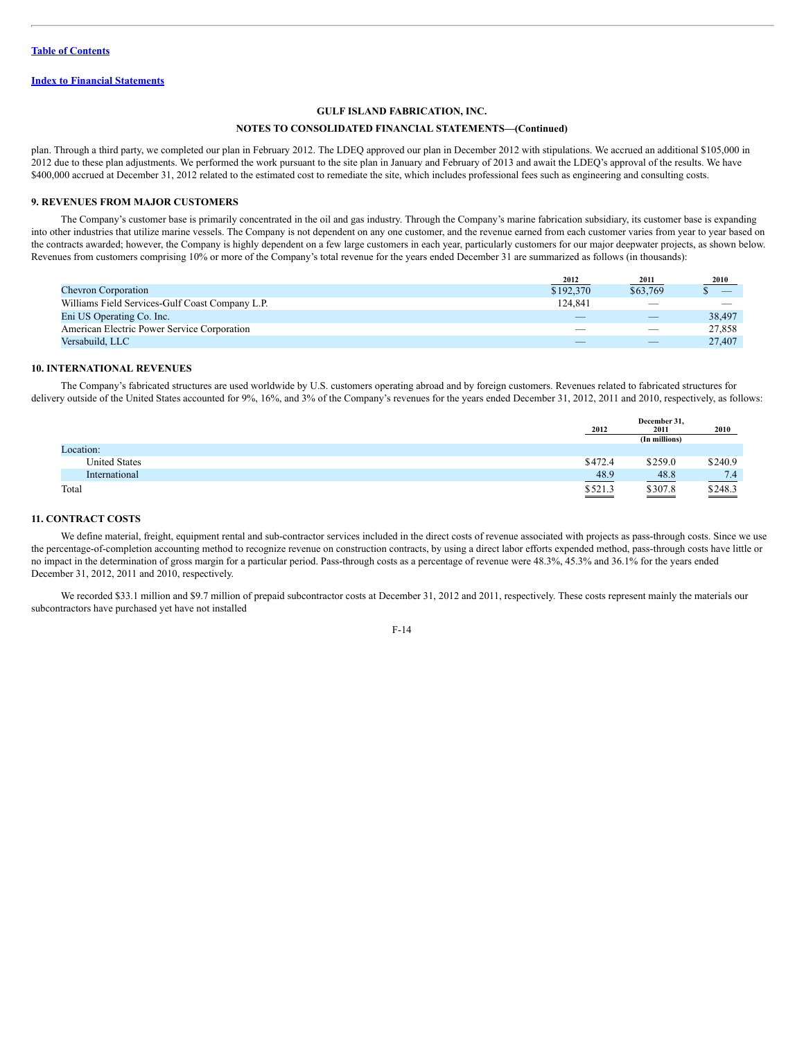### **GULF ISLAND FABRICATION, INC.**

### **NOTES TO CONSOLIDATED FINANCIAL STATEMENTS—(Continued)**

plan. Through a third party, we completed our plan in February 2012. The LDEQ approved our plan in December 2012 with stipulations. We accrued an additional \$105,000 in 2012 due to these plan adjustments. We performed the work pursuant to the site plan in January and February of 2013 and await the LDEQ's approval of the results. We have \$400,000 accrued at December 31, 2012 related to the estimated cost to remediate the site, which includes professional fees such as engineering and consulting costs.

### **9. REVENUES FROM MAJOR CUSTOMERS**

The Company's customer base is primarily concentrated in the oil and gas industry. Through the Company's marine fabrication subsidiary, its customer base is expanding into other industries that utilize marine vessels. The Company is not dependent on any one customer, and the revenue earned from each customer varies from year to year based on the contracts awarded; however, the Company is highly dependent on a few large customers in each year, particularly customers for our major deepwater projects, as shown below. Revenues from customers comprising 10% or more of the Company's total revenue for the years ended December 31 are summarized as follows (in thousands):

|                                                 | 2012      | 2011     | 2010   |
|-------------------------------------------------|-----------|----------|--------|
| <b>Chevron Corporation</b>                      | \$192,370 | \$63,769 |        |
| Williams Field Services-Gulf Coast Company L.P. | 124.841   | $\sim$   |        |
| Eni US Operating Co. Inc.                       |           |          | 38,497 |
| American Electric Power Service Corporation     |           |          | 27.858 |
| Versabuild, LLC                                 |           |          | 27,407 |

### **10. INTERNATIONAL REVENUES**

The Company's fabricated structures are used worldwide by U.S. customers operating abroad and by foreign customers. Revenues related to fabricated structures for delivery outside of the United States accounted for 9%, 16%, and 3% of the Company's revenues for the years ended December 31, 2012, 2011 and 2010, respectively, as follows:

|                      |         | December 31,             |                                     |  |
|----------------------|---------|--------------------------|-------------------------------------|--|
|                      | 2012    | 2011<br>(In millions)    | 2010                                |  |
| Location:            |         |                          |                                     |  |
| <b>United States</b> | \$472.4 | \$259.0                  | \$240.9                             |  |
| International        | 48.9    | 48.8                     | 7.4                                 |  |
| Total                | \$521.3 | $\sim$ $\sim$<br>\$307.8 | <b>Contract Contract</b><br>\$248.3 |  |

### **11. CONTRACT COSTS**

We define material, freight, equipment rental and sub-contractor services included in the direct costs of revenue associated with projects as pass-through costs. Since we use the percentage-of-completion accounting method to recognize revenue on construction contracts, by using a direct labor efforts expended method, pass-through costs have little or no impact in the determination of gross margin for a particular period. Pass-through costs as a percentage of revenue were 48.3%, 45.3% and 36.1% for the years ended December 31, 2012, 2011 and 2010, respectively.

We recorded \$33.1 million and \$9.7 million of prepaid subcontractor costs at December 31, 2012 and 2011, respectively. These costs represent mainly the materials our subcontractors have purchased yet have not installed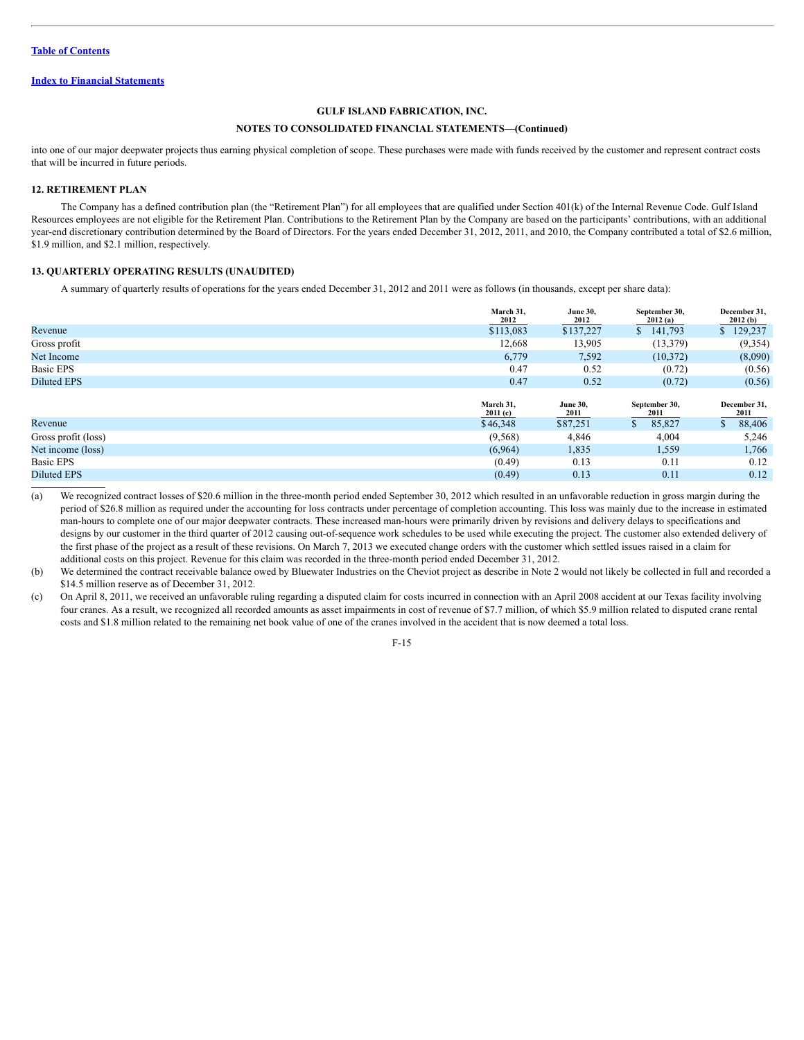### **GULF ISLAND FABRICATION, INC.**

### **NOTES TO CONSOLIDATED FINANCIAL STATEMENTS—(Continued)**

into one of our major deepwater projects thus earning physical completion of scope. These purchases were made with funds received by the customer and represent contract costs that will be incurred in future periods.

### **12. RETIREMENT PLAN**

The Company has a defined contribution plan (the "Retirement Plan") for all employees that are qualified under Section 401(k) of the Internal Revenue Code. Gulf Island Resources employees are not eligible for the Retirement Plan. Contributions to the Retirement Plan by the Company are based on the participants' contributions, with an additional year-end discretionary contribution determined by the Board of Directors. For the years ended December 31, 2012, 2011, and 2010, the Company contributed a total of \$2.6 million, \$1.9 million, and \$2.1 million, respectively.

### **13. QUARTERLY OPERATING RESULTS (UNAUDITED)**

A summary of quarterly results of operations for the years ended December 31, 2012 and 2011 were as follows (in thousands, except per share data):

|                     | March 31,<br>2012    | <b>June 30,</b><br><u>2012</u> | September 30,<br>2012(a) | December 31,<br>2012(b) |
|---------------------|----------------------|--------------------------------|--------------------------|-------------------------|
| Revenue             | \$113,083            | \$137,227                      | \$141,793                | 129,237<br>S.           |
| Gross profit        | 12,668               | 13,905                         | (13,379)                 | (9,354)                 |
| Net Income          | 6,779                | 7,592                          | (10, 372)                | (8,090)                 |
| Basic EPS           | 0.47                 | 0.52                           | (0.72)                   | (0.56)                  |
| <b>Diluted EPS</b>  | 0.47                 | 0.52                           | (0.72)                   | (0.56)                  |
|                     | March 31,<br>2011(c) | June 30,<br>2011               | September 30,<br>2011    | December 31,<br>2011    |
| Revenue             | \$46,348             | \$87,251                       | S<br>85,827              | 88,406<br>\$            |
| Gross profit (loss) | (9,568)              | 4,846                          | 4,004                    | 5,246                   |
| Net income (loss)   | (6.964)              | 1,835                          | 1,559                    | 1,766                   |
| Basic EPS           | (0.49)               | 0.13                           | 0.11                     | 0.12                    |
| <b>Diluted EPS</b>  | (0.49)               | 0.13                           | 0.11                     | 0.12                    |

(a) We recognized contract losses of \$20.6 million in the three-month period ended September 30, 2012 which resulted in an unfavorable reduction in gross margin during the period of \$26.8 million as required under the accounting for loss contracts under percentage of completion accounting. This loss was mainly due to the increase in estimated man-hours to complete one of our major deepwater contracts. These increased man-hours were primarily driven by revisions and delivery delays to specifications and designs by our customer in the third quarter of 2012 causing out-of-sequence work schedules to be used while executing the project. The customer also extended delivery of the first phase of the project as a result of these revisions. On March 7, 2013 we executed change orders with the customer which settled issues raised in a claim for additional costs on this project. Revenue for this claim was recorded in the three-month period ended December 31, 2012.

(b) We determined the contract receivable balance owed by Bluewater Industries on the Cheviot project as describe in Note 2 would not likely be collected in full and recorded a \$14.5 million reserve as of December 31, 2012.

(c) On April 8, 2011, we received an unfavorable ruling regarding a disputed claim for costs incurred in connection with an April 2008 accident at our Texas facility involving four cranes. As a result, we recognized all recorded amounts as asset impairments in cost of revenue of \$7.7 million, of which \$5.9 million related to disputed crane rental costs and \$1.8 million related to the remaining net book value of one of the cranes involved in the accident that is now deemed a total loss.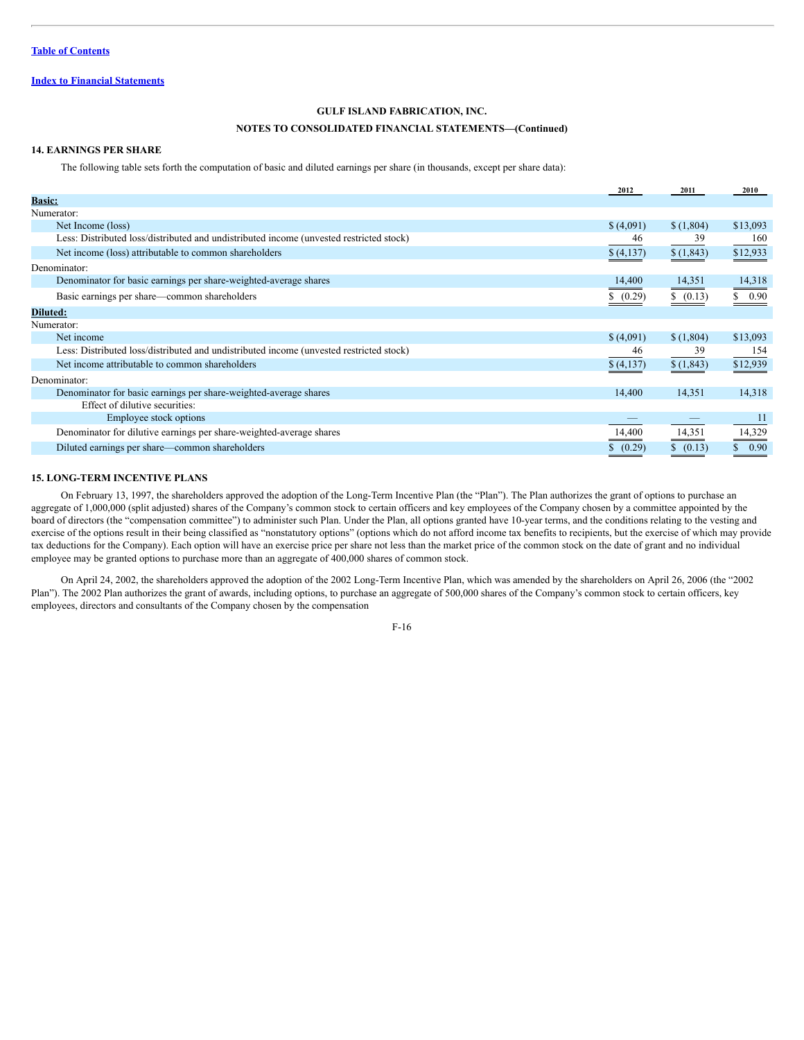### **GULF ISLAND FABRICATION, INC.**

### **NOTES TO CONSOLIDATED FINANCIAL STATEMENTS—(Continued)**

### **14. EARNINGS PER SHARE**

The following table sets forth the computation of basic and diluted earnings per share (in thousands, except per share data):

|                                                                                         | 2012      | 2011      | 2010     |
|-----------------------------------------------------------------------------------------|-----------|-----------|----------|
| <b>Basic:</b>                                                                           |           |           |          |
| Numerator:                                                                              |           |           |          |
| Net Income (loss)                                                                       | \$(4,091) | \$(1,804) | \$13,093 |
| Less: Distributed loss/distributed and undistributed income (unvested restricted stock) | 46        | 39        | 160      |
| Net income (loss) attributable to common shareholders                                   | \$(4,137) | \$(1,843) | \$12,933 |
| Denominator:                                                                            |           |           |          |
| Denominator for basic earnings per share-weighted-average shares                        | 14,400    | 14,351    | 14,318   |
| Basic earnings per share—common shareholders                                            | \$ (0.29) | \$ (0.13) | \$ 0.90  |
| <b>Diluted:</b>                                                                         |           |           |          |
| Numerator:                                                                              |           |           |          |
| Net income                                                                              | \$(4,091) | \$(1,804) | \$13,093 |
| Less: Distributed loss/distributed and undistributed income (unvested restricted stock) | 46        | 39        | 154      |
| Net income attributable to common shareholders                                          | \$(4,137) | \$(1,843) | \$12,939 |
| Denominator:                                                                            |           |           |          |
| Denominator for basic earnings per share-weighted-average shares                        | 14,400    | 14,351    | 14,318   |
| Effect of dilutive securities:                                                          |           |           |          |
| Employee stock options                                                                  |           |           | 11       |
| Denominator for dilutive earnings per share-weighted-average shares                     | 14,400    | 14,351    | 14,329   |
| Diluted earnings per share—common shareholders                                          | (0.29)    | \$ (0.13) | 0.90     |

### **15. LONG-TERM INCENTIVE PLANS**

On February 13, 1997, the shareholders approved the adoption of the Long-Term Incentive Plan (the "Plan"). The Plan authorizes the grant of options to purchase an aggregate of 1,000,000 (split adjusted) shares of the Company's common stock to certain officers and key employees of the Company chosen by a committee appointed by the board of directors (the "compensation committee") to administer such Plan. Under the Plan, all options granted have 10-year terms, and the conditions relating to the vesting and exercise of the options result in their being classified as "nonstatutory options" (options which do not afford income tax benefits to recipients, but the exercise of which may provide tax deductions for the Company). Each option will have an exercise price per share not less than the market price of the common stock on the date of grant and no individual employee may be granted options to purchase more than an aggregate of 400,000 shares of common stock.

On April 24, 2002, the shareholders approved the adoption of the 2002 Long-Term Incentive Plan, which was amended by the shareholders on April 26, 2006 (the "2002 Plan"). The 2002 Plan authorizes the grant of awards, including options, to purchase an aggregate of 500,000 shares of the Company's common stock to certain officers, key employees, directors and consultants of the Company chosen by the compensation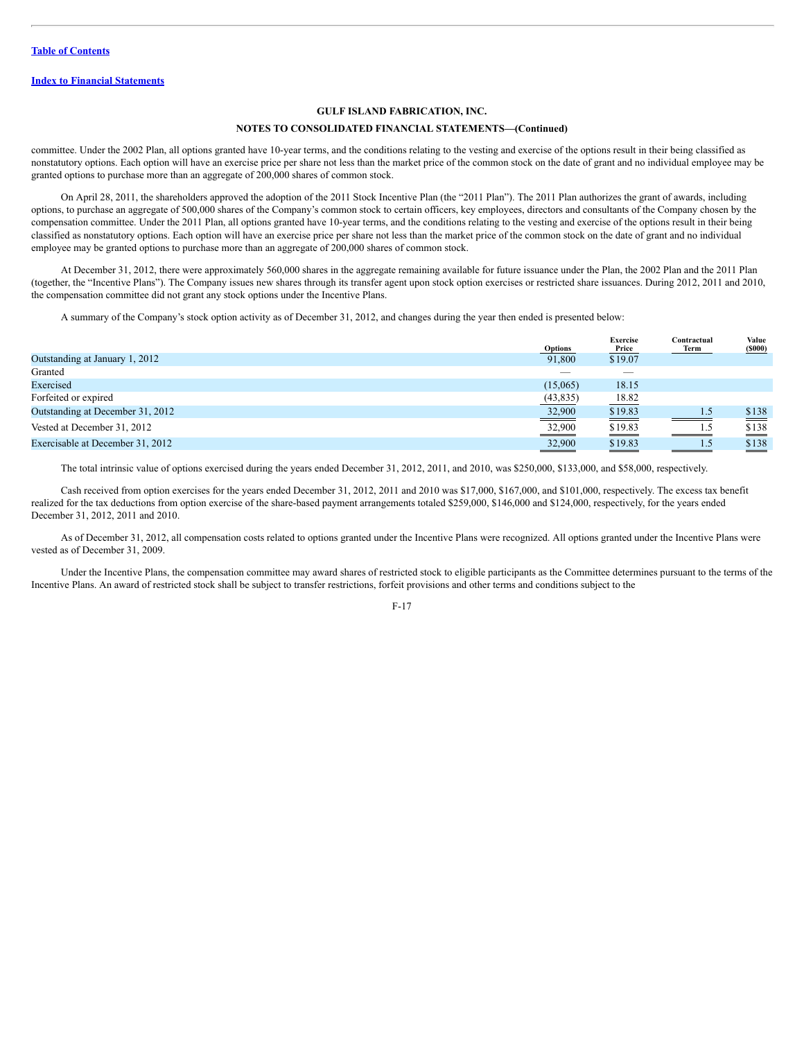### **GULF ISLAND FABRICATION, INC.**

### **NOTES TO CONSOLIDATED FINANCIAL STATEMENTS—(Continued)**

committee. Under the 2002 Plan, all options granted have 10-year terms, and the conditions relating to the vesting and exercise of the options result in their being classified as nonstatutory options. Each option will have an exercise price per share not less than the market price of the common stock on the date of grant and no individual employee may be granted options to purchase more than an aggregate of 200,000 shares of common stock.

On April 28, 2011, the shareholders approved the adoption of the 2011 Stock Incentive Plan (the "2011 Plan"). The 2011 Plan authorizes the grant of awards, including options, to purchase an aggregate of 500,000 shares of the Company's common stock to certain officers, key employees, directors and consultants of the Company chosen by the compensation committee. Under the 2011 Plan, all options granted have 10-year terms, and the conditions relating to the vesting and exercise of the options result in their being classified as nonstatutory options. Each option will have an exercise price per share not less than the market price of the common stock on the date of grant and no individual employee may be granted options to purchase more than an aggregate of 200,000 shares of common stock.

At December 31, 2012, there were approximately 560,000 shares in the aggregate remaining available for future issuance under the Plan, the 2002 Plan and the 2011 Plan (together, the "Incentive Plans"). The Company issues new shares through its transfer agent upon stock option exercises or restricted share issuances. During 2012, 2011 and 2010, the compensation committee did not grant any stock options under the Incentive Plans.

A summary of the Company's stock option activity as of December 31, 2012, and changes during the year then ended is presented below:

|                                  | <b>Options</b>              | <b>Exercise</b>         | Contractual<br><b>Term</b> | Value<br>(5000) |
|----------------------------------|-----------------------------|-------------------------|----------------------------|-----------------|
| Outstanding at January 1, 2012   | 91.800                      | $\frac{Price}{\$19.07}$ |                            |                 |
| Granted                          |                             |                         |                            |                 |
| Exercised                        | (15,065)                    | 18.15                   |                            |                 |
| Forfeited or expired             | (43, 835)                   | 18.82                   |                            |                 |
| Outstanding at December 31, 2012 | 32,900<br>$\equiv$ $\equiv$ | \$19.83                 | 1.5                        | \$138           |
| Vested at December 31, 2012      | 32,900                      | $\underline{\$19.83}$   | 1.5                        | \$138           |
| Exercisable at December 31, 2012 | 32,900                      | \$19.83                 | 1.5                        | \$138           |

The total intrinsic value of options exercised during the years ended December 31, 2012, 2011, and 2010, was \$250,000, \$133,000, and \$58,000, respectively.

Cash received from option exercises for the years ended December 31, 2012, 2011 and 2010 was \$17,000, \$167,000, and \$101,000, respectively. The excess tax benefit realized for the tax deductions from option exercise of the share-based payment arrangements totaled \$259,000, \$146,000 and \$124,000, respectively, for the years ended December 31, 2012, 2011 and 2010.

As of December 31, 2012, all compensation costs related to options granted under the Incentive Plans were recognized. All options granted under the Incentive Plans were vested as of December 31, 2009.

Under the Incentive Plans, the compensation committee may award shares of restricted stock to eligible participants as the Committee determines pursuant to the terms of the Incentive Plans. An award of restricted stock shall be subject to transfer restrictions, forfeit provisions and other terms and conditions subject to the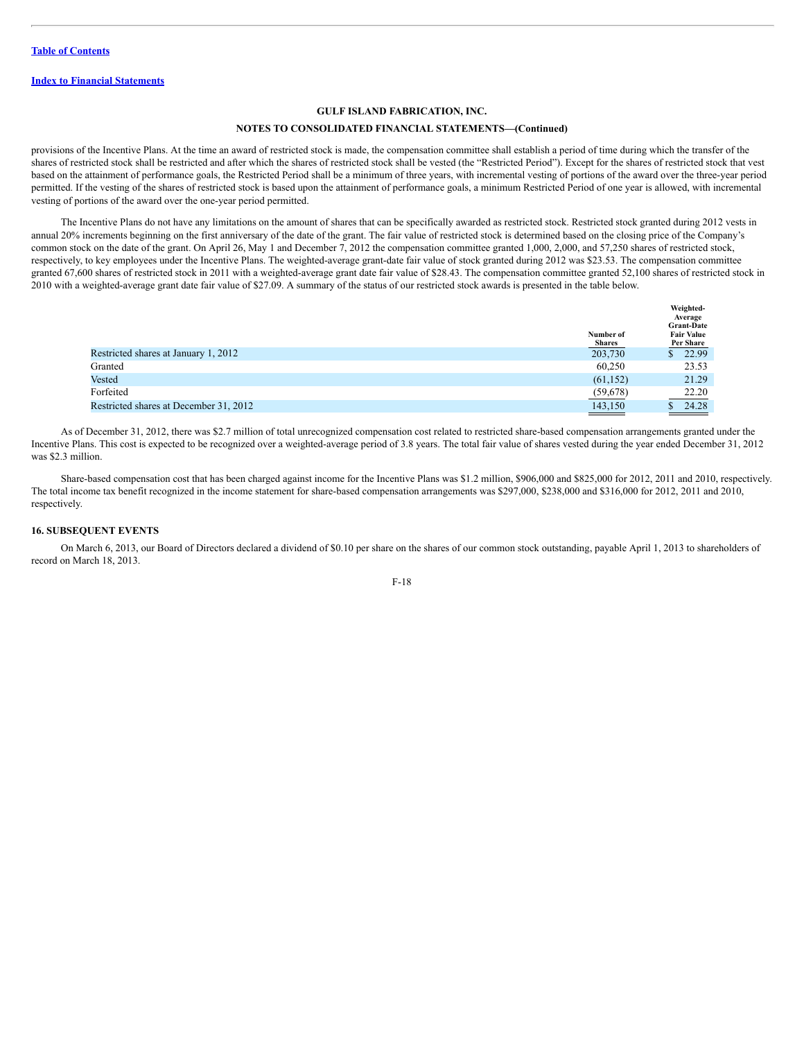#### **GULF ISLAND FABRICATION, INC.**

### **NOTES TO CONSOLIDATED FINANCIAL STATEMENTS—(Continued)**

provisions of the Incentive Plans. At the time an award of restricted stock is made, the compensation committee shall establish a period of time during which the transfer of the shares of restricted stock shall be restricted and after which the shares of restricted stock shall be vested (the "Restricted Period"). Except for the shares of restricted stock that vest based on the attainment of performance goals, the Restricted Period shall be a minimum of three years, with incremental vesting of portions of the award over the three-year period permitted. If the vesting of the shares of restricted stock is based upon the attainment of performance goals, a minimum Restricted Period of one year is allowed, with incremental vesting of portions of the award over the one-year period permitted.

The Incentive Plans do not have any limitations on the amount of shares that can be specifically awarded as restricted stock. Restricted stock granted during 2012 vests in annual 20% increments beginning on the first anniversary of the date of the grant. The fair value of restricted stock is determined based on the closing price of the Company's common stock on the date of the grant. On April 26, May 1 and December 7, 2012 the compensation committee granted 1,000, 2,000, and 57,250 shares of restricted stock, respectively, to key employees under the Incentive Plans. The weighted-average grant-date fair value of stock granted during 2012 was \$23.53. The compensation committee granted 67,600 shares of restricted stock in 2011 with a weighted-average grant date fair value of \$28.43. The compensation committee granted 52,100 shares of restricted stock in 2010 with a weighted-average grant date fair value of \$27.09. A summary of the status of our restricted stock awards is presented in the table below.

|                                        |                     | Weighted-<br>Average<br><b>Grant-Date</b> |
|----------------------------------------|---------------------|-------------------------------------------|
|                                        | Number of<br>Shares | <b>Fair Value</b><br>Per Share            |
| Restricted shares at January 1, 2012   | 203,730             | 22.99                                     |
| Granted                                | 60.250              | 23.53                                     |
| Vested                                 | (61, 152)           | 21.29                                     |
| Forfeited                              | (59, 678)           | 22.20                                     |
| Restricted shares at December 31, 2012 | 143,150             | 24.28                                     |

As of December 31, 2012, there was \$2.7 million of total unrecognized compensation cost related to restricted share-based compensation arrangements granted under the Incentive Plans. This cost is expected to be recognized over a weighted-average period of 3.8 years. The total fair value of shares vested during the year ended December 31, 2012 was \$2.3 million.

Share-based compensation cost that has been charged against income for the Incentive Plans was \$1.2 million, \$906,000 and \$825,000 for 2012, 2011 and 2010, respectively. The total income tax benefit recognized in the income statement for share-based compensation arrangements was \$297,000, \$238,000 and \$316,000 for 2012, 2011 and 2010, respectively.

### **16. SUBSEQUENT EVENTS**

On March 6, 2013, our Board of Directors declared a dividend of \$0.10 per share on the shares of our common stock outstanding, payable April 1, 2013 to shareholders of record on March 18, 2013.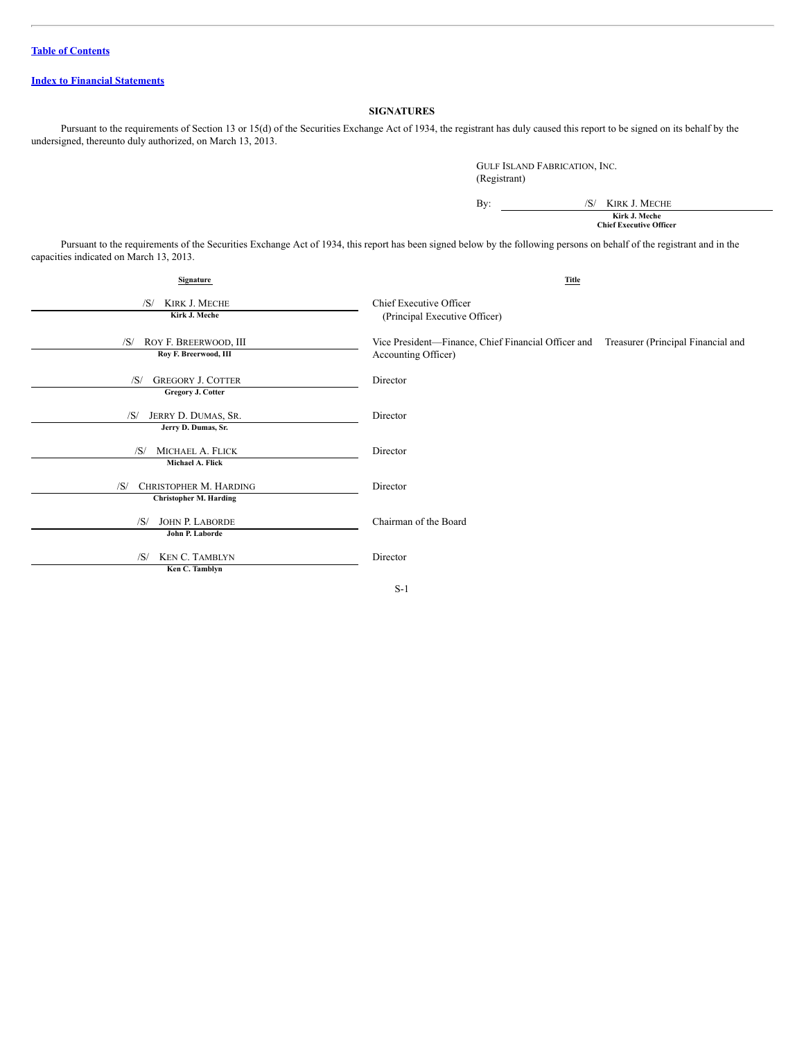### **SIGNATURES**

<span id="page-58-0"></span>Pursuant to the requirements of Section 13 or 15(d) of the Securities Exchange Act of 1934, the registrant has duly caused this report to be signed on its behalf by the undersigned, thereunto duly authorized, on March 13, 2013.

> GULF ISLAND FABRICATION, INC. (Registrant)

By: /S/ KIRK J. MECHE

**Kirk J. Meche Chief Executive Officer**

Pursuant to the requirements of the Securities Exchange Act of 1934, this report has been signed below by the following persons on behalf of the registrant and in the capacities indicated on March 13, 2013.

| Signature                                                      | Title                                                                                                            |  |
|----------------------------------------------------------------|------------------------------------------------------------------------------------------------------------------|--|
| <b>KIRK J. MECHE</b><br>/S/<br>Kirk J. Meche                   | Chief Executive Officer<br>(Principal Executive Officer)                                                         |  |
| ROY F. BREERWOOD, III<br>/S/<br>Roy F. Breerwood, III          | Vice President-Finance, Chief Financial Officer and<br>Treasurer (Principal Financial and<br>Accounting Officer) |  |
| <b>GREGORY J. COTTER</b><br>/S/<br><b>Gregory J. Cotter</b>    | Director                                                                                                         |  |
| JERRY D. DUMAS, SR.<br>/S/<br>Jerry D. Dumas, Sr.              | Director                                                                                                         |  |
| MICHAEL A. FLICK<br>/S/<br>Michael A. Flick                    | Director                                                                                                         |  |
| CHRISTOPHER M. HARDING<br>/S/<br><b>Christopher M. Harding</b> | Director                                                                                                         |  |
| <b>JOHN P. LABORDE</b><br>/S/<br>John P. Laborde               | Chairman of the Board                                                                                            |  |
| <b>KEN C. TAMBLYN</b><br>/S/<br>Ken C. Tamblyn                 | Director                                                                                                         |  |

S-1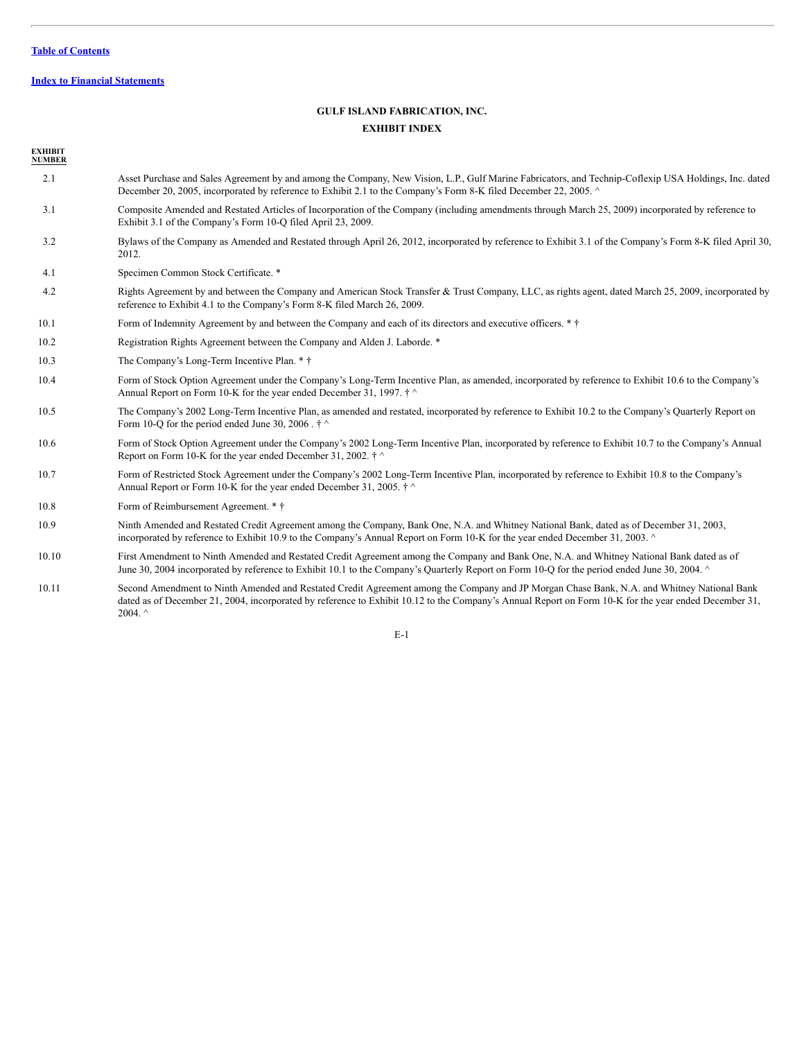### **GULF ISLAND FABRICATION, INC. EXHIBIT INDEX**

# <span id="page-59-0"></span>**EXHIBIT NUMBER**

- 2.1 Asset Purchase and Sales Agreement by and among the Company, New Vision, L.P., Gulf Marine Fabricators, and Technip-Coflexip USA Holdings, Inc. dated December 20, 2005, incorporated by reference to Exhibit 2.1 to the Company's Form 8-K filed December 22, 2005.
- 3.1 Composite Amended and Restated Articles of Incorporation of the Company (including amendments through March 25, 2009) incorporated by reference to Exhibit 3.1 of the Company's Form 10-Q filed April 23, 2009.
- 3.2 Bylaws of the Company as Amended and Restated through April 26, 2012, incorporated by reference to Exhibit 3.1 of the Company's Form 8-K filed April 30, 2012.
- 4.1 Specimen Common Stock Certificate. \*
- 4.2 Rights Agreement by and between the Company and American Stock Transfer & Trust Company, LLC, as rights agent, dated March 25, 2009, incorporated by reference to Exhibit 4.1 to the Company's Form 8-K filed March 26, 2009.
- 10.1 Form of Indemnity Agreement by and between the Company and each of its directors and executive officers. \* †
- 10.2 Registration Rights Agreement between the Company and Alden J. Laborde. \*
- 10.3 The Company's Long-Term Incentive Plan. \* †
- 10.4 Form of Stock Option Agreement under the Company's Long-Term Incentive Plan, as amended, incorporated by reference to Exhibit 10.6 to the Company's Annual Report on Form 10-K for the year ended December 31, 1997.  $\dagger \wedge$
- 10.5 The Company's 2002 Long-Term Incentive Plan, as amended and restated, incorporated by reference to Exhibit 10.2 to the Company's Quarterly Report on Form 10-Q for the period ended June 30, 2006 .  $\dagger$  ^
- 10.6 Form of Stock Option Agreement under the Company's 2002 Long-Term Incentive Plan, incorporated by reference to Exhibit 10.7 to the Company's Annual Report on Form 10-K for the year ended December 31, 2002. †  $\prime$
- 10.7 Form of Restricted Stock Agreement under the Company's 2002 Long-Term Incentive Plan, incorporated by reference to Exhibit 10.8 to the Company's Annual Report or Form 10-K for the year ended December 31, 2005. † ^
- 10.8 Form of Reimbursement Agreement. \* †
- 10.9 Ninth Amended and Restated Credit Agreement among the Company, Bank One, N.A. and Whitney National Bank, dated as of December 31, 2003, incorporated by reference to Exhibit 10.9 to the Company's Annual Report on Form 10-K for the year ended December 31, 2003.
- 10.10 First Amendment to Ninth Amended and Restated Credit Agreement among the Company and Bank One, N.A. and Whitney National Bank dated as of June 30, 2004 incorporated by reference to Exhibit 10.1 to the Company's Quarterly Report on Form 10-Q for the period ended June 30, 2004. ^
- 10.11 Second Amendment to Ninth Amended and Restated Credit Agreement among the Company and JP Morgan Chase Bank, N.A. and Whitney National Bank dated as of December 21, 2004, incorporated by reference to Exhibit 10.12 to the Company's Annual Report on Form 10-K for the year ended December 31,  $2004.$  ^

E-1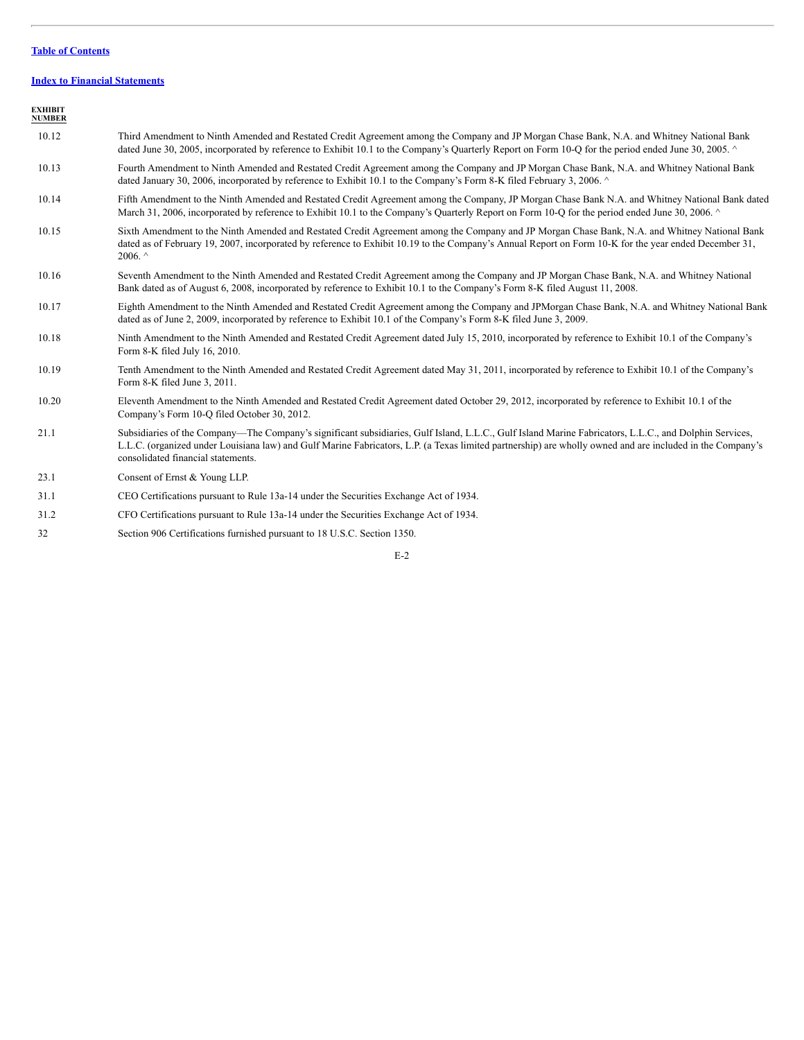### **Table of [Contents](#page-1-0)**

### **Index to Financial [Statements](#page-37-0)**

**EXHIBIT**

| EXHIBIT<br><b>NUMBER</b> |                                                                                                                                                                                                                                                                                                                                                           |
|--------------------------|-----------------------------------------------------------------------------------------------------------------------------------------------------------------------------------------------------------------------------------------------------------------------------------------------------------------------------------------------------------|
| 10.12                    | Third Amendment to Ninth Amended and Restated Credit Agreement among the Company and JP Morgan Chase Bank, N.A. and Whitney National Bank<br>dated June 30, 2005, incorporated by reference to Exhibit 10.1 to the Company's Quarterly Report on Form 10-Q for the period ended June 30, 2005.                                                            |
| 10.13                    | Fourth Amendment to Ninth Amended and Restated Credit Agreement among the Company and JP Morgan Chase Bank, N.A. and Whitney National Bank<br>dated January 30, 2006, incorporated by reference to Exhibit 10.1 to the Company's Form 8-K filed February 3, 2006.                                                                                         |
| 10.14                    | Fifth Amendment to the Ninth Amended and Restated Credit Agreement among the Company, JP Morgan Chase Bank N.A. and Whitney National Bank dated<br>March 31, 2006, incorporated by reference to Exhibit 10.1 to the Company's Quarterly Report on Form 10-Q for the period ended June 30, 2006.                                                           |
| 10.15                    | Sixth Amendment to the Ninth Amended and Restated Credit Agreement among the Company and JP Morgan Chase Bank, N.A. and Whitney National Bank<br>dated as of February 19, 2007, incorporated by reference to Exhibit 10.19 to the Company's Annual Report on Form 10-K for the year ended December 31,<br>$2006.$ ^                                       |
| 10.16                    | Seventh Amendment to the Ninth Amended and Restated Credit Agreement among the Company and JP Morgan Chase Bank, N.A. and Whitney National<br>Bank dated as of August 6, 2008, incorporated by reference to Exhibit 10.1 to the Company's Form 8-K filed August 11, 2008.                                                                                 |
| 10.17                    | Eighth Amendment to the Ninth Amended and Restated Credit Agreement among the Company and JPMorgan Chase Bank, N.A. and Whitney National Bank<br>dated as of June 2, 2009, incorporated by reference to Exhibit 10.1 of the Company's Form 8-K filed June 3, 2009.                                                                                        |
| 10.18                    | Ninth Amendment to the Ninth Amended and Restated Credit Agreement dated July 15, 2010, incorporated by reference to Exhibit 10.1 of the Company's<br>Form 8-K filed July 16, 2010.                                                                                                                                                                       |
| 10.19                    | Tenth Amendment to the Ninth Amended and Restated Credit Agreement dated May 31, 2011, incorporated by reference to Exhibit 10.1 of the Company's<br>Form 8-K filed June 3, 2011.                                                                                                                                                                         |
| 10.20                    | Eleventh Amendment to the Ninth Amended and Restated Credit Agreement dated October 29, 2012, incorporated by reference to Exhibit 10.1 of the<br>Company's Form 10-O filed October 30, 2012.                                                                                                                                                             |
| 21.1                     | Subsidiaries of the Company—The Company's significant subsidiaries, Gulf Island, L.L.C., Gulf Island Marine Fabricators, L.L.C., and Dolphin Services,<br>L.L.C. (organized under Louisiana law) and Gulf Marine Fabricators, L.P. (a Texas limited partnership) are wholly owned and are included in the Company's<br>consolidated financial statements. |
|                          |                                                                                                                                                                                                                                                                                                                                                           |

- 23.1 Consent of Ernst & Young LLP.
- 31.1 CEO Certifications pursuant to Rule 13a-14 under the Securities Exchange Act of 1934.
- 31.2 CFO Certifications pursuant to Rule 13a-14 under the Securities Exchange Act of 1934.
- 32 Section 906 Certifications furnished pursuant to 18 U.S.C. Section 1350.

E-2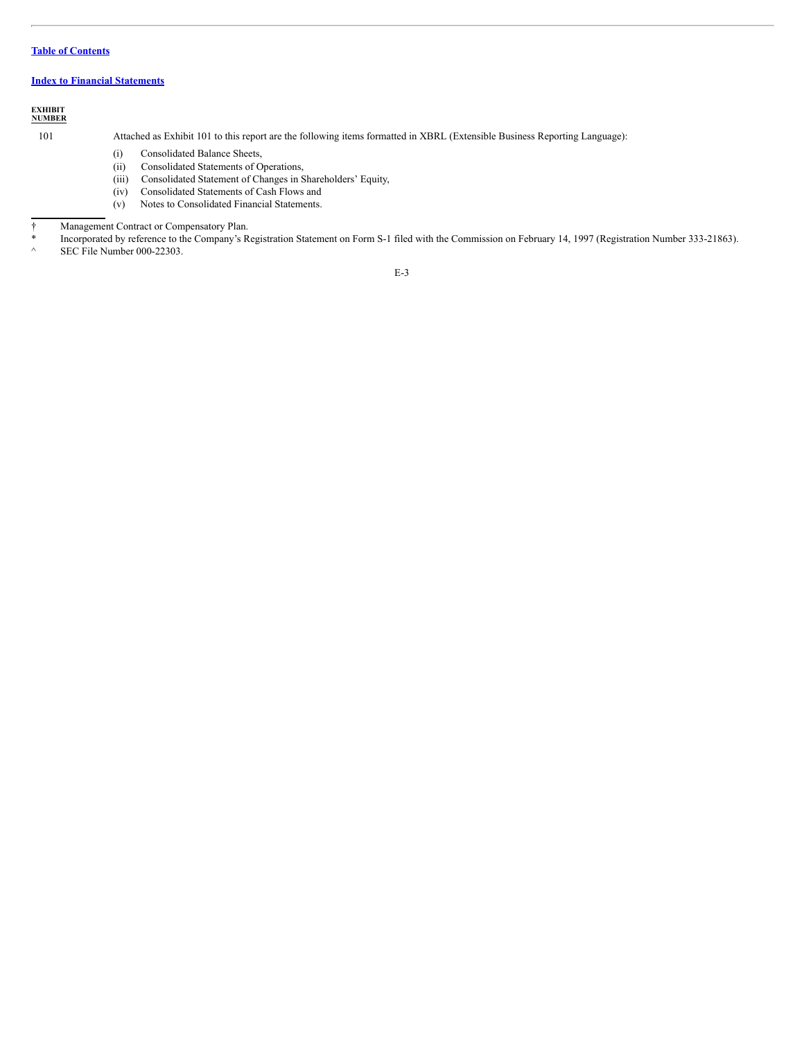### **Table of [Contents](#page-1-0)**

### **Index to Financial [Statements](#page-37-0)**

# **EXHIBIT NUMBER**

101

Attached as Exhibit 101 to this report are the following items formatted in XBRL (Extensible Business Reporting Language):

- (i) Consolidated Balance Sheets,
- (ii) Consolidated Statements of Operations,
- (iii) Consolidated Statement of Changes in Shareholders' Equity,
- (iv) Consolidated Statements of Cash Flows and
- (v) Notes to Consolidated Financial Statements.
- † Management Contract or Compensatory Plan.
- \* Incorporated by reference to the Company's Registration Statement on Form S-1 filed with the Commission on February 14, 1997 (Registration Number 333-21863).
- SEC File Number 000-22303.

### E-3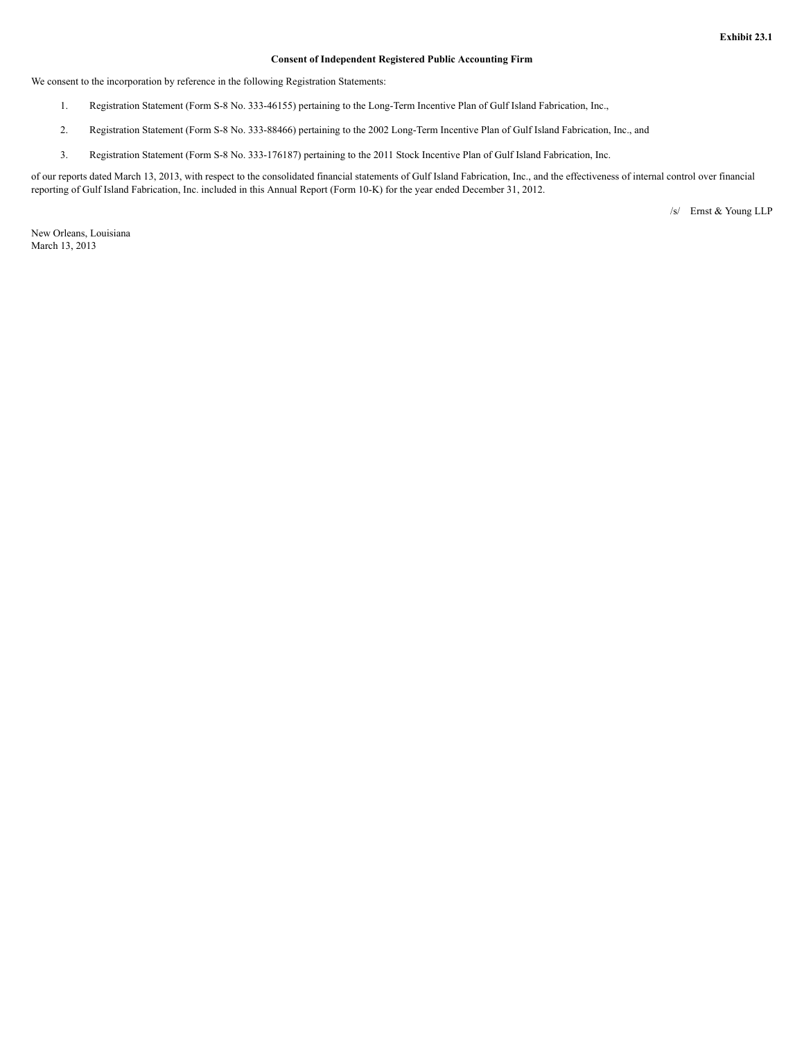### **Consent of Independent Registered Public Accounting Firm**

We consent to the incorporation by reference in the following Registration Statements:

- 1. Registration Statement (Form S-8 No. 333-46155) pertaining to the Long-Term Incentive Plan of Gulf Island Fabrication, Inc.,
- 2. Registration Statement (Form S-8 No. 333-88466) pertaining to the 2002 Long-Term Incentive Plan of Gulf Island Fabrication, Inc., and
- 3. Registration Statement (Form S-8 No. 333-176187) pertaining to the 2011 Stock Incentive Plan of Gulf Island Fabrication, Inc.

of our reports dated March 13, 2013, with respect to the consolidated financial statements of Gulf Island Fabrication, Inc., and the effectiveness of internal control over financial reporting of Gulf Island Fabrication, Inc. included in this Annual Report (Form 10-K) for the year ended December 31, 2012.

/s/ Ernst & Young LLP

New Orleans, Louisiana March 13, 2013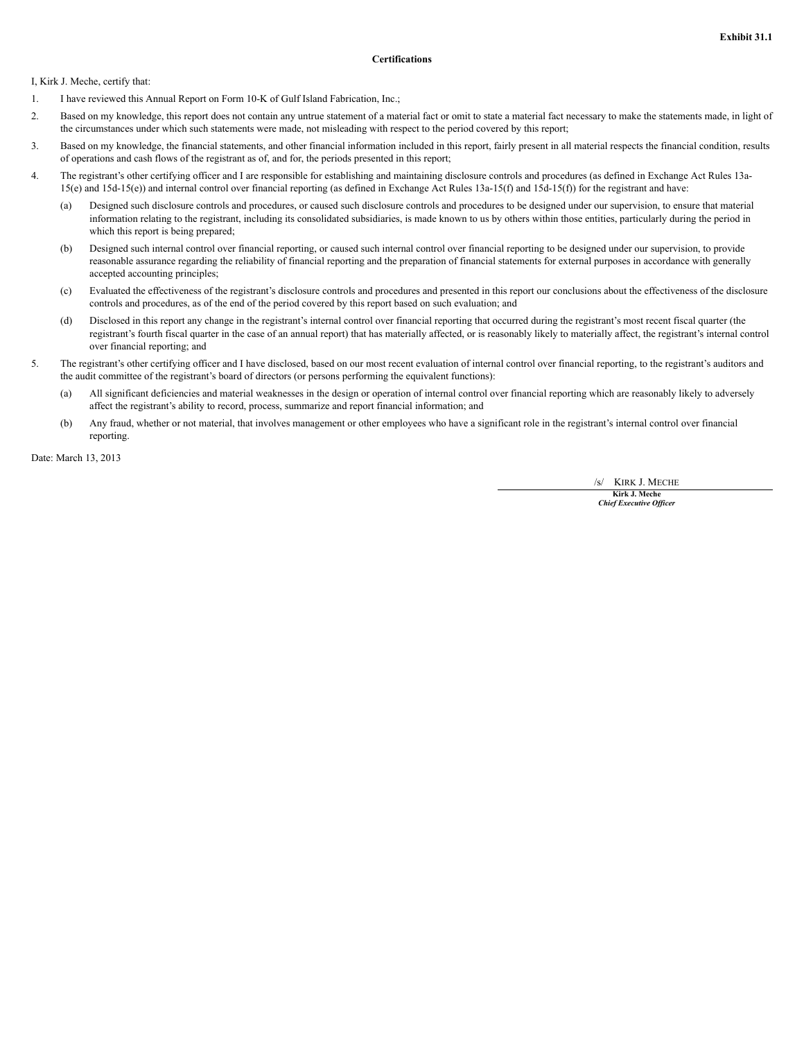I, Kirk J. Meche, certify that:

- 1. I have reviewed this Annual Report on Form 10-K of Gulf Island Fabrication, Inc.;
- 2. Based on my knowledge, this report does not contain any untrue statement of a material fact or omit to state a material fact necessary to make the statements made, in light of the circumstances under which such statements were made, not misleading with respect to the period covered by this report;
- 3. Based on my knowledge, the financial statements, and other financial information included in this report, fairly present in all material respects the financial condition, results of operations and cash flows of the registrant as of, and for, the periods presented in this report;
- 4. The registrant's other certifying officer and I are responsible for establishing and maintaining disclosure controls and procedures (as defined in Exchange Act Rules 13a-15(e) and 15d-15(e)) and internal control over financial reporting (as defined in Exchange Act Rules 13a-15(f) and 15d-15(f)) for the registrant and have:
	- (a) Designed such disclosure controls and procedures, or caused such disclosure controls and procedures to be designed under our supervision, to ensure that material information relating to the registrant, including its consolidated subsidiaries, is made known to us by others within those entities, particularly during the period in which this report is being prepared;
	- (b) Designed such internal control over financial reporting, or caused such internal control over financial reporting to be designed under our supervision, to provide reasonable assurance regarding the reliability of financial reporting and the preparation of financial statements for external purposes in accordance with generally accepted accounting principles;
	- (c) Evaluated the effectiveness of the registrant's disclosure controls and procedures and presented in this report our conclusions about the effectiveness of the disclosure controls and procedures, as of the end of the period covered by this report based on such evaluation; and
	- (d) Disclosed in this report any change in the registrant's internal control over financial reporting that occurred during the registrant's most recent fiscal quarter (the registrant's fourth fiscal quarter in the case of an annual report) that has materially affected, or is reasonably likely to materially affect, the registrant's internal control over financial reporting; and
- 5. The registrant's other certifying officer and I have disclosed, based on our most recent evaluation of internal control over financial reporting, to the registrant's auditors and the audit committee of the registrant's board of directors (or persons performing the equivalent functions):
	- (a) All significant deficiencies and material weaknesses in the design or operation of internal control over financial reporting which are reasonably likely to adversely affect the registrant's ability to record, process, summarize and report financial information; and
	- (b) Any fraud, whether or not material, that involves management or other employees who have a significant role in the registrant's internal control over financial reporting.

Date: March 13, 2013

/s/ KIRK J. MECHE

**Kirk J. Meche** *Chief Executive Officer*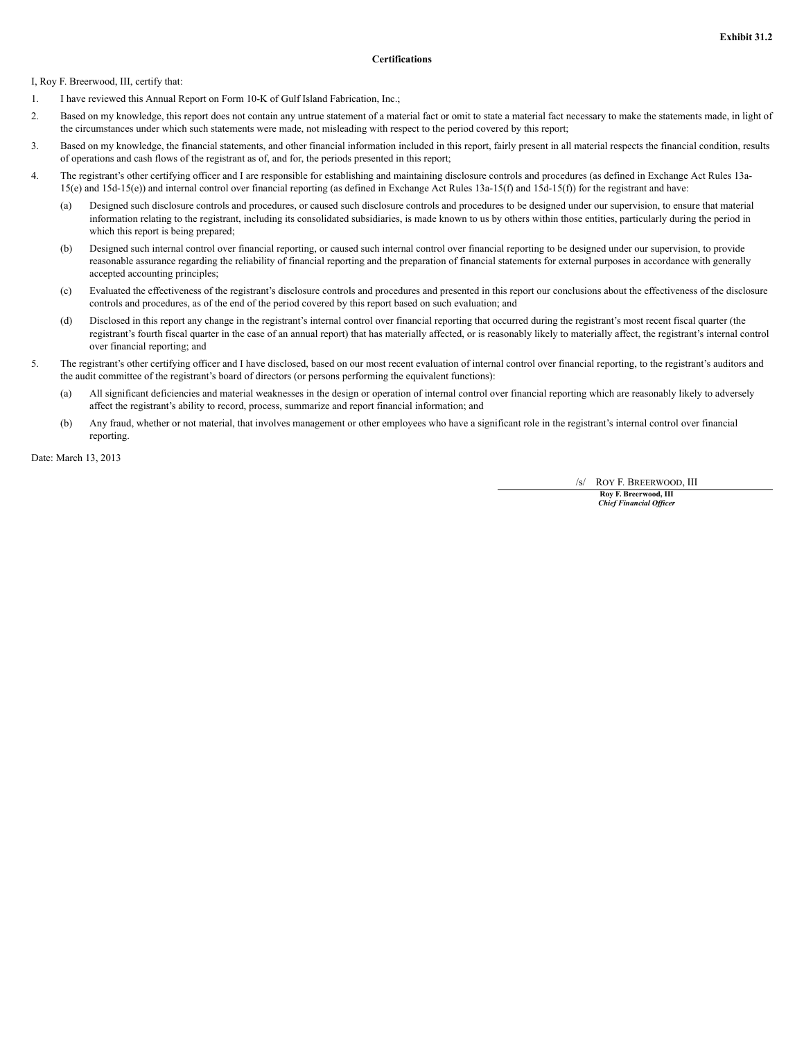I, Roy F. Breerwood, III, certify that:

- 1. I have reviewed this Annual Report on Form 10-K of Gulf Island Fabrication, Inc.;
- 2. Based on my knowledge, this report does not contain any untrue statement of a material fact or omit to state a material fact necessary to make the statements made, in light of the circumstances under which such statements were made, not misleading with respect to the period covered by this report;
- 3. Based on my knowledge, the financial statements, and other financial information included in this report, fairly present in all material respects the financial condition, results of operations and cash flows of the registrant as of, and for, the periods presented in this report;
- 4. The registrant's other certifying officer and I are responsible for establishing and maintaining disclosure controls and procedures (as defined in Exchange Act Rules 13a-15(e) and 15d-15(e)) and internal control over financial reporting (as defined in Exchange Act Rules 13a-15(f) and 15d-15(f)) for the registrant and have:
	- (a) Designed such disclosure controls and procedures, or caused such disclosure controls and procedures to be designed under our supervision, to ensure that material information relating to the registrant, including its consolidated subsidiaries, is made known to us by others within those entities, particularly during the period in which this report is being prepared;
	- (b) Designed such internal control over financial reporting, or caused such internal control over financial reporting to be designed under our supervision, to provide reasonable assurance regarding the reliability of financial reporting and the preparation of financial statements for external purposes in accordance with generally accepted accounting principles;
	- (c) Evaluated the effectiveness of the registrant's disclosure controls and procedures and presented in this report our conclusions about the effectiveness of the disclosure controls and procedures, as of the end of the period covered by this report based on such evaluation; and
	- (d) Disclosed in this report any change in the registrant's internal control over financial reporting that occurred during the registrant's most recent fiscal quarter (the registrant's fourth fiscal quarter in the case of an annual report) that has materially affected, or is reasonably likely to materially affect, the registrant's internal control over financial reporting; and
- 5. The registrant's other certifying officer and I have disclosed, based on our most recent evaluation of internal control over financial reporting, to the registrant's auditors and the audit committee of the registrant's board of directors (or persons performing the equivalent functions):
	- (a) All significant deficiencies and material weaknesses in the design or operation of internal control over financial reporting which are reasonably likely to adversely affect the registrant's ability to record, process, summarize and report financial information; and
	- (b) Any fraud, whether or not material, that involves management or other employees who have a significant role in the registrant's internal control over financial reporting.

Date: March 13, 2013

ROY F. BREERWOOD, III

**Roy F. Breerwood, III** *Chief Financial Officer*